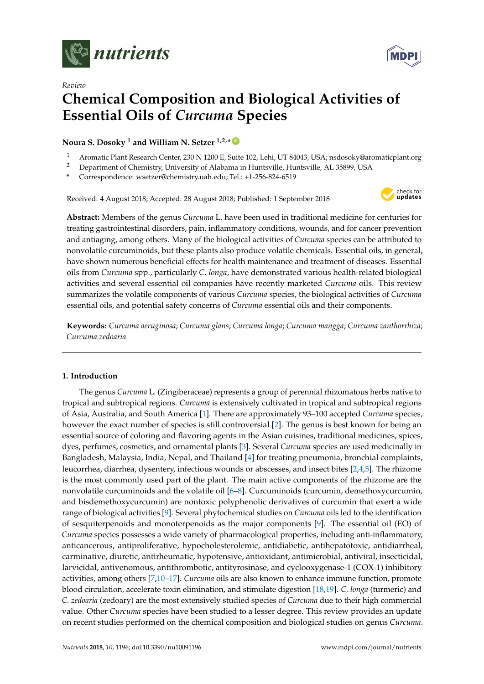



# *Review* **Chemical Composition and Biological Activities of Essential Oils of** *Curcuma* **Species**

**Noura S. Dosoky <sup>1</sup> and William N. Setzer 1,2,\* [ID](https://orcid.org/0000-0002-3639-0528)**

- 1 Aromatic Plant Research Center, 230 N 1200 E, Suite 102, Lehi, UT 84043, USA; nsdosoky@aromaticplant.org<br>2 Department of Chemistry University of Alabama in Huntaville, Huntaville, AL 25800, USA
- <sup>2</sup> Department of Chemistry, University of Alabama in Huntsville, Huntsville, AL 35899, USA
- **\*** Correspondence: wsetzer@chemistry.uah.edu; Tel.: +1-256-824-6519

Received: 4 August 2018; Accepted: 28 August 2018; Published: 1 September 2018



**Abstract:** Members of the genus *Curcuma* L. have been used in traditional medicine for centuries for treating gastrointestinal disorders, pain, inflammatory conditions, wounds, and for cancer prevention and antiaging, among others. Many of the biological activities of *Curcuma* species can be attributed to nonvolatile curcuminoids, but these plants also produce volatile chemicals. Essential oils, in general, have shown numerous beneficial effects for health maintenance and treatment of diseases. Essential oils from *Curcuma* spp., particularly *C. longa*, have demonstrated various health-related biological activities and several essential oil companies have recently marketed *Curcuma* oils. This review summarizes the volatile components of various *Curcuma* species, the biological activities of *Curcuma* essential oils, and potential safety concerns of *Curcuma* essential oils and their components.

**Keywords:** *Curcuma aeruginosa*; *Curcuma glans*; *Curcuma longa*; *Curcuma mangga*; *Curcuma zanthorrhiza*; *Curcuma zedoaria*

### **1. Introduction**

The genus *Curcuma* L. (Zingiberaceae) represents a group of perennial rhizomatous herbs native to tropical and subtropical regions. *Curcuma* is extensively cultivated in tropical and subtropical regions of Asia, Australia, and South America [\[1\]](#page-27-0). There are approximately 93–100 accepted *Curcuma* species, however the exact number of species is still controversial [\[2\]](#page-27-1). The genus is best known for being an essential source of coloring and flavoring agents in the Asian cuisines, traditional medicines, spices, dyes, perfumes, cosmetics, and ornamental plants [\[3\]](#page-27-2). Several *Curcuma* species are used medicinally in Bangladesh, Malaysia, India, Nepal, and Thailand [\[4\]](#page-27-3) for treating pneumonia, bronchial complaints, leucorrhea, diarrhea, dysentery, infectious wounds or abscesses, and insect bites [\[2,](#page-27-1)[4](#page-27-3)[,5\]](#page-27-4). The rhizome is the most commonly used part of the plant. The main active components of the rhizome are the nonvolatile curcuminoids and the volatile oil [\[6–](#page-27-5)[8\]](#page-27-6). Curcuminoids (curcumin, demethoxycurcumin, and bisdemethoxycurcumin) are nontoxic polyphenolic derivatives of curcumin that exert a wide range of biological activities [\[9\]](#page-27-7). Several phytochemical studies on *Curcuma* oils led to the identification of sesquiterpenoids and monoterpenoids as the major components [\[9\]](#page-27-7). The essential oil (EO) of *Curcuma* species possesses a wide variety of pharmacological properties, including anti-inflammatory, anticancerous, antiproliferative, hypocholesterolemic, antidiabetic, antihepatotoxic, antidiarrheal, carminative, diuretic, antirheumatic, hypotensive, antioxidant, antimicrobial, antiviral, insecticidal, larvicidal, antivenomous, antithrombotic, antityrosinase, and cyclooxygenase-1 (COX-1) inhibitory activities, among others [\[7](#page-27-8)[,10–](#page-27-9)[17\]](#page-28-0). *Curcuma* oils are also known to enhance immune function, promote blood circulation, accelerate toxin elimination, and stimulate digestion [\[18](#page-28-1)[,19\]](#page-28-2). *C. longa* (turmeric) and *C. zedoaria* (zedoary) are the most extensively studied species of *Curcuma* due to their high commercial value. Other *Curcuma* species have been studied to a lesser degree. This review provides an update on recent studies performed on the chemical composition and biological studies on genus *Curcuma*.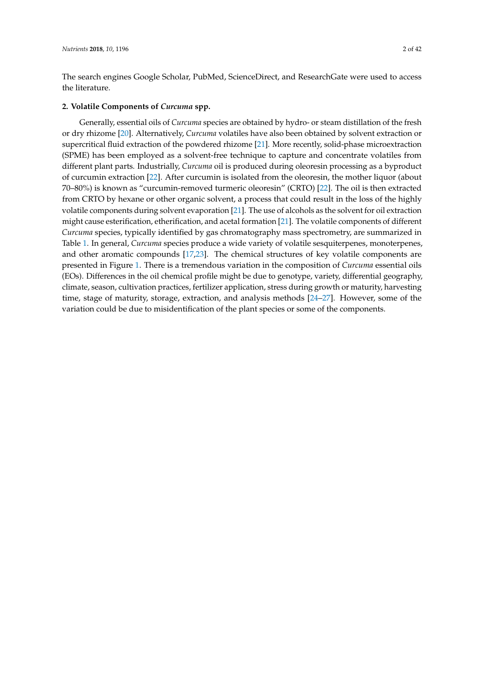The search engines Google Scholar, PubMed, ScienceDirect, and ResearchGate were used to access the literature.

### **2. Volatile Components of** *Curcuma* **spp.**

Generally, essential oils of *Curcuma* species are obtained by hydro- or steam distillation of the fresh or dry rhizome [\[20\]](#page-28-3). Alternatively, *Curcuma* volatiles have also been obtained by solvent extraction or supercritical fluid extraction of the powdered rhizome [\[21\]](#page-28-4). More recently, solid-phase microextraction (SPME) has been employed as a solvent-free technique to capture and concentrate volatiles from different plant parts. Industrially, *Curcuma* oil is produced during oleoresin processing as a byproduct of curcumin extraction [\[22\]](#page-28-5). After curcumin is isolated from the oleoresin, the mother liquor (about 70–80%) is known as "curcumin-removed turmeric oleoresin" (CRTO) [\[22\]](#page-28-5). The oil is then extracted from CRTO by hexane or other organic solvent, a process that could result in the loss of the highly volatile components during solvent evaporation [\[21\]](#page-28-4). The use of alcohols as the solvent for oil extraction might cause esterification, etherification, and acetal formation [\[21\]](#page-28-4). The volatile components of different *Curcuma* species, typically identified by gas chromatography mass spectrometry, are summarized in Table [1.](#page-7-0) In general, *Curcuma* species produce a wide variety of volatile sesquiterpenes, monoterpenes, and other aromatic compounds [\[17](#page-28-0)[,23\]](#page-28-6). The chemical structures of key volatile components are presented in Figure [1.](#page-8-0) There is a tremendous variation in the composition of *Curcuma* essential oils (EOs). Differences in the oil chemical profile might be due to genotype, variety, differential geography, climate, season, cultivation practices, fertilizer application, stress during growth or maturity, harvesting time, stage of maturity, storage, extraction, and analysis methods [\[24–](#page-28-7)[27\]](#page-28-8). However, some of the variation could be due to misidentification of the plant species or some of the components.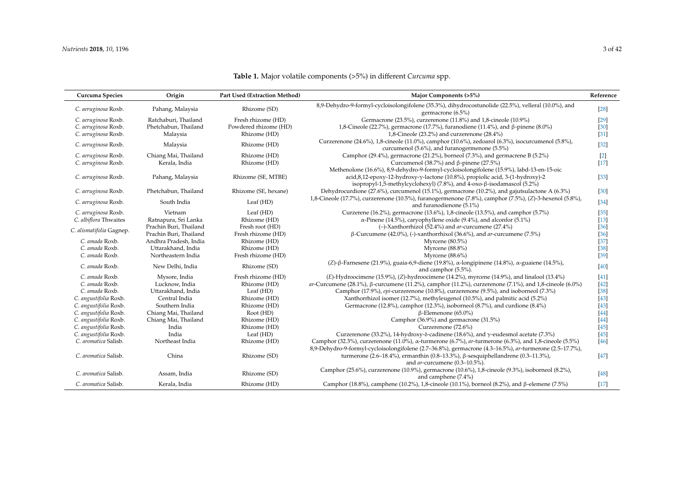| Curcuma Species          | Origin                 | Part Used (Extraction Method) | Major Components (>5%)                                                                                                                             | Reference |
|--------------------------|------------------------|-------------------------------|----------------------------------------------------------------------------------------------------------------------------------------------------|-----------|
| C. aeruginosa Roxb.      | Pahang, Malaysia       | Rhizome (SD)                  | 8,9-Dehydro-9-formyl-cycloisolongifolene (35.3%), dihydrocostunolide (22.5%), velleral (10.0%), and<br>germacrone (6.5%)                           | $[28]$    |
| C. aeruginosa Roxb.      | Ratchaburi, Thailand   | Fresh rhizome (HD)            | Germacrone (23.5%), curzerenone (11.8%) and 1,8-cineole (10.9%)                                                                                    | $[29]$    |
| C. aeruginosa Roxb.      | Phetchabun, Thailand   | Powdered rhizome (HD)         | 1,8-Cineole (22.7%), germacrone (17.7%), furanodiene (11.4%), and β-pinene (8.0%)                                                                  | $[30]$    |
| C. aeruginosa Roxb.      | Malaysia               | Rhizome (HD)                  | 1,8-Cineole (23.2%) and curzerenone (28.4%)                                                                                                        | $[31]$    |
| C. aeruginosa Roxb.      | Malaysia               | Rhizome (HD)                  | Curzerenone (24.6%), 1,8-cineole (11.0%), camphor (10.6%), zedoarol (6.3%), isocurcumenol (5.8%),<br>curcumenol (5.6%), and furanogermenone (5.5%) | $[32]$    |
| C. aeruginosa Roxb.      | Chiang Mai, Thailand   | Rhizome (HD)                  | Camphor (29.4%), germacrone (21.2%), borneol (7.3%), and germacrene B (5.2%)                                                                       | $[2]$     |
| C. aeruginosa Roxb.      | Kerala, India          | Rhizome (HD)                  | Curcumenol (38.7%) and $\beta$ -pinene (27.5%)                                                                                                     | $[17]$    |
|                          |                        |                               | Methenolone (16.6%), 8,9-dehydro-9-formyl-cycloisolongifolene (15.9%), labd-13-en-15-oic                                                           |           |
| C. aeruginosa Roxb.      | Pahang, Malaysia       | Rhizome (SE, MTBE)            | acid, 8,12-epoxy-12-hydroxy-y-lactone (10.8%), propiolic acid, 3-(1-hydroxy)-2                                                                     | $[33]$    |
|                          |                        |                               | isopropyl-1,5-methylcyclohexyl) $(7.8\%)$ , and 4-oxo- $\beta$ -isodamascol $(5.2\%)$                                                              |           |
| C. aeruginosa Roxb.      | Phetchabun, Thailand   | Rhizome (SE, hexane)          | Dehydrocurdione (27.6%), curcumenol (15.1%), germacrone (10.2%), and gajutsulactone A (6.3%)                                                       | $[30]$    |
|                          |                        |                               | 1,8-Cineole (17.7%), curzerenone (10.5%), furanogermenone (7.8%), camphor (7.5%), (Z)-3-hexenol (5.8%),                                            |           |
| C. aeruginosa Roxb.      | South India            | Leaf (HD)                     | and furanodienone (5.1%)                                                                                                                           | $[34]$    |
| C. aeruginosa Roxb.      | Vietnam                | Leaf (HD)                     | Curzerene (16.2%), germacrone (13.6%), 1,8-cineole (13.5%), and camphor (5.7%)                                                                     | $[35]$    |
| C. albiflora Thwaites    | Ratnapura, Sri Lanka   | Rhizome (HD)                  | $\alpha$ -Pinene (14.5%), caryophyllene oxide (9.4%), and alconfor (5.1%)                                                                          | $[13]$    |
|                          | Prachin Buri, Thailand | Fresh root (HD)               | $(-)$ -Xanthorrhizol (52.4%) and <i>ar</i> -curcumene (27.4%)                                                                                      | $[36]$    |
| C. alismatifolia Gagnep. | Prachin Buri, Thailand | Fresh rhizome (HD)            | $\beta$ -Curcumene (42.0%), (-)-xanthorrhixol (36.6%), and ar-curcumene (7.5%)                                                                     | $[36]$    |
| C. amada Roxb.           | Andhra Pradesh, India  | Rhizome (HD)                  | Myrcene $(80.5\%)$                                                                                                                                 | $[37]$    |
| C. amada Roxb.           | Uttarakhand, India     | Rhizome (HD)                  | Myrcene (88.8%)                                                                                                                                    | $[38]$    |
| C. amada Roxb.           | Northeastern India     | Fresh rhizome (HD)            | Myrcene (88.6%)                                                                                                                                    | $[39]$    |
|                          |                        |                               | (Z)-β-Farnesene (21.9%), guaia-6,9-diene (19.8%), α-longipinene (14.8%), α-guaiene (14.5%),                                                        |           |
| C. amada Roxb.           | New Delhi, India       | Rhizome (SD)                  | and camphor (5.5%).                                                                                                                                | $[40]$    |
| C. amada Roxb.           | Mysore, India          | Fresh rhizome (HD)            | (E)-Hydroocimene (15.9%), (Z)-hydroocimene (14.2%), myrcene (14.9%), and linalool (13.4%)                                                          | $[41]$    |
| C. amada Roxb.           | Lucknow, India         | Rhizome (HD)                  | ar-Curcumene (28.1%), $\beta$ -curcumene (11.2%), camphor (11.2%), curzerenone (7.1%), and 1,8-cineole (6.0%)                                      | $[42]$    |
| C. amada Roxb.           | Uttarakhand, India     | Leaf $(HD)$                   | Camphor (17.9%), epi-curzerenone (10.8%), curzerenone (9.5%), and isoborneol (7.3%)                                                                | $[38]$    |
| C. angustifolia Roxb.    | Central India          | Rhizome (HD)                  | Xanthorrhizol isomer (12.7%), methyleugenol (10.5%), and palmitic acid (5.2%)                                                                      | $[43]$    |
| C. angustifolia Roxb.    | Southern India         | Rhizome (HD)                  | Germacrone (12.8%), camphor (12.3%), isoborneol (8.7%), and curdione (8.4%)                                                                        | $[43]$    |
| C. angustifolia Roxb.    | Chiang Mai, Thailand   | Root(HD)                      | $\beta$ -Elemenone (65.0%)                                                                                                                         | $[44]$    |
| C. angustifolia Roxb.    | Chiang Mai, Thailand   | Rhizome (HD)                  | Camphor (36.9%) and germacrone (31.5%)                                                                                                             | $[44]$    |
| C. angustifolia Roxb.    | India                  | Rhizome (HD)                  | Curzerenone (72.6%)                                                                                                                                | $[45]$    |
| C. angustifolia Roxb.    | India                  | Leaf (HD)                     | Curzerenone (33.2%), 14-hydroxy- $\delta$ -cadinene (18.6%), and $\gamma$ -eudesmol acetate (7.3%)                                                 | $[45]$    |
| C. aromatica Salisb.     | Northeast India        | Rhizome (HD)                  | Camphor (32.3%), curzerenone (11.0%), $\alpha$ -turmerone (6.7%), ar-turmerone (6.3%), and 1,8-cineole (5.5%)                                      | $[46]$    |
|                          |                        |                               | 8,9-Dehydro-9-formyl-cycloisolongifolene (2.7-36.8%), germacrone (4.3-16.5%), ar-turmerone (2.5-17.7%),                                            |           |
| C. aromatica Salisb.     | China                  | Rhizome (SD)                  | turmerone (2.6–18.4%), ermanthin (0.8–13.3%), β-sesquiphellandrene (0.3–11.3%),                                                                    | $[47]$    |
|                          |                        |                               | and ar-curcumene (0.3-10.5%).                                                                                                                      |           |
| C. aromatica Salisb.     | Assam, India           | Rhizome (SD)                  | Camphor (25.6%), curzerenone (10.9%), germacrone (10.6%), 1,8-cineole (9.3%), isoborneol (8.2%),                                                   | [48]      |
|                          |                        |                               | and camphene (7.4%)                                                                                                                                |           |
| C. aromatica Salisb.     | Kerala, India          | Rhizome (HD)                  | Camphor (18.8%), camphene (10.2%), 1,8-cineole (10.1%), borneol (8.2%), and $\beta$ -elemene (7.5%)                                                | $[17]$    |

### **Table 1.** Major volatile components (>5%) in different *Curcuma* spp.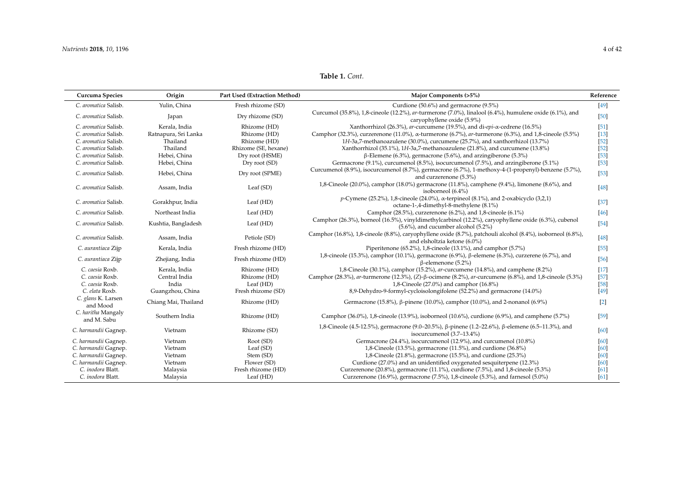**Table 1.** *Cont.*

| Curcuma Species                   | Origin               | Part Used (Extraction Method) | Major Components (>5%)                                                                                                                             | Reference        |
|-----------------------------------|----------------------|-------------------------------|----------------------------------------------------------------------------------------------------------------------------------------------------|------------------|
| C. aromatica Salisb.              | Yulin, China         | Fresh rhizome (SD)            | Curdione (50.6%) and germacrone (9.5%)                                                                                                             | [49]             |
| C. aromatica Salisb.              | Japan                | Dry rhizome (SD)              | Curcumol (35.8%), 1,8-cineole (12.2%), ar-turmerone (7.0%), linalool (6.4%), humulene oxide (6.1%), and<br>caryophyllene oxide (5.9%)              | [50]             |
| C. aromatica Salisb.              | Kerala, India        | Rhizome (HD)                  | Xanthorrhizol (26.3%), ar-curcumene (19.5%), and di-epi- $\alpha$ -cedrene (16.5%)                                                                 | $[51]$           |
| C. aromatica Salisb.              | Ratnapura, Sri Lanka | Rhizome (HD)                  | Camphor (32.3%), curzerenone (11.0%), $\alpha$ -turmerone (6.7%), ar-turmerone (6.3%), and 1,8-cineole (5.5%)                                      | $[13]$           |
| C. aromatica Salisb.              | Thailand             | Rhizome (HD)                  | 1H-3a,7-methanoazulene (30.0%), curcumene (25.7%), and xanthorrhizol (13.7%)                                                                       | $[52]$           |
| C. aromatica Salisb.              | Thailand             | Rhizome (SE, hexane)          | Xanthorrhizol (35.1%), 1H-3a,7-methanoazulene (21.8%), and curcumene (13.8%)                                                                       | $[52]$           |
| C. aromatica Salisb.              | Hebei, China         | Dry root (HSME)               | $\beta$ -Elemene (6.3%), germacrone (5.6%), and arzingiberone (5.3%)                                                                               | $[53]$           |
| C. aromatica Salisb.              | Hebei, China         | Dry root (SD)                 | Germacrone (9.1%), curcumenol (8.5%), isocurcumenol (7.5%), and arzingiberone (5.1%)                                                               | $[53]$           |
| C. aromatica Salisb.              | Hebei, China         | Dry root (SPME)               | Curcumenol (8.9%), isocurcumenol (8.7%), germacrone (6.7%), 1-methoxy-4-(1-propenyl)-benzene (5.7%),<br>and curzerenone (5.3%)                     | $[53]$           |
| C. aromatica Salisb.              | Assam, India         | Leaf (SD)                     | 1,8-Cineole (20.0%), camphor (18.0%) germacrone (11.8%), camphene (9.4%), limonene (8.6%), and<br>isoborneol (6.4%)                                | $[48]$           |
| C. aromatica Salisb.              | Gorakhpur, India     | Leaf (HD)                     | p-Cymene (25.2%), 1,8-cineole (24.0%), $\alpha$ -terpineol (8.1%), and 2-oxabicyclo (3,2,1)<br>octane-1-,4-dimethyl-8-methylene (8.1%)             | $[37]$           |
| C. aromatica Salisb.              | Northeast India      | Leaf (HD)                     | Camphor (28.5%), curzerenone (6.2%), and 1,8-cineole (6.1%)                                                                                        | $[46]$           |
| C. aromatica Salisb.              | Kushtia, Bangladesh  | Leaf (HD)                     | Camphor (26.3%), borneol (16.5%), vinyldimethylcarbinol (12.2%), caryophyllene oxide (6.3%), cubenol<br>$(5.6\%)$ , and cucumber alcohol $(5.2\%)$ | $[54]$           |
| C. aromatica Salisb.              | Assam, India         | Petiole (SD)                  | Camphor (16.8%), 1,8-cineole (8.8%), caryophyllene oxide (8.7%), patchouli alcohol (8.4%), isoborneol (6.8%),<br>and elsholtzia ketone (6.0%)      | $[48]$           |
| C. aurantiaca Zijp                | Kerala, India        | Fresh rhizome (HD)            | Piperitenone (65.2%), 1,8-cineole (13.1%), and camphor (5.7%)                                                                                      | $[55]$           |
| C. aurantiaca Zijp                | Zhejiang, India      | Fresh rhizome (HD)            | 1,8-cineole (15.3%), camphor (10.1%), germacrone (6.9%), β-elemene (6.3%), curzerene (6.7%), and<br>$\beta$ -elemenone (5.2%)                      | $[56]$           |
| C. caesia Roxb.                   | Kerala, India        | Rhizome (HD)                  | 1,8-Cineole (30.1%), camphor (15.2%), ar-curcumene (14.8%), and camphene (8.2%)                                                                    | $[17]$           |
| C. caesia Roxb.                   | Central India        | Rhizome (HD)                  | Camphor (28.3%), ar-turmerone (12.3%), (Z)- $\beta$ -ocimene (8.2%), ar-curcumene (6.8%), and 1,8-cineole (5.3%)                                   | $[57]$           |
| C. caesia Roxb.                   | India                | Leaf (HD)                     | 1,8-Cineole (27.0%) and camphor (16.8%)                                                                                                            | $[58]$           |
| C. elata Roxb.                    | Guangzhou, China     | Fresh rhizome (SD)            | 8,9-Dehydro-9-formyl-cycloisolongifolene (52.2%) and germacrone (14.0%)                                                                            | $[49]$           |
| C. glans K. Larsen<br>and Mood    | Chiang Mai, Thailand | Rhizome (HD)                  | Germacrone (15.8%), $\beta$ -pinene (10.0%), camphor (10.0%), and 2-nonanol (6.9%)                                                                 | $\left[2\right]$ |
| C. haritha Mangaly<br>and M. Sabu | Southern India       | Rhizome (HD)                  | Camphor (36.0%), 1,8-cineole (13.9%), isoborneol (10.6%), curdione (6.9%), and camphene (5.7%)                                                     | [59]             |
| C. harmandii Gagnep.              | Vietnam              | Rhizome (SD)                  | 1,8-Cineole (4.5-12.5%), germacrone (9.0–20.5%), β-pinene (1.2–22.6%), β-elemene (6.5–11.3%), and<br>isocurcumenol (3.7–13.4%)                     | $[60]$           |
| C. harmandii Gagnep.              | Vietnam              | Root (SD)                     | Germacrone (24.4%), isocurcumenol (12.9%), and curcumenol (10.8%)                                                                                  | [60]             |
| C. harmandii Gagnep.              | Vietnam              | Leaf (SD)                     | 1,8-Cineole (13.5%), germacrone (11.5%), and curdione (36.8%)                                                                                      | [60]             |
| C. harmandii Gagnep.              | Vietnam              | Stem (SD)                     | 1,8-Cineole (21.8%), germacrone (15.5%), and curdione (25.3%)                                                                                      | [60]             |
| C. harmandii Gagnep.              | Vietnam              | Flower (SD)                   | Curdione (27.0%) and an unidentified oxygenated sesquiterpene (12.3%)                                                                              | [60]             |
| C. inodora Blatt.                 | Malaysia             | Fresh rhizome (HD)            | Curzerenone (20.8%), germacrone (11.1%), curdione (7.5%), and 1,8-cineole (5.3%)                                                                   | [61]             |
| C. inodora Blatt.                 | Malaysia             | Leaf (HD)                     | Curzerenone (16.9%), germacrone (7.5%), 1,8-cineole (5.3%), and farnesol (5.0%)                                                                    | [61]             |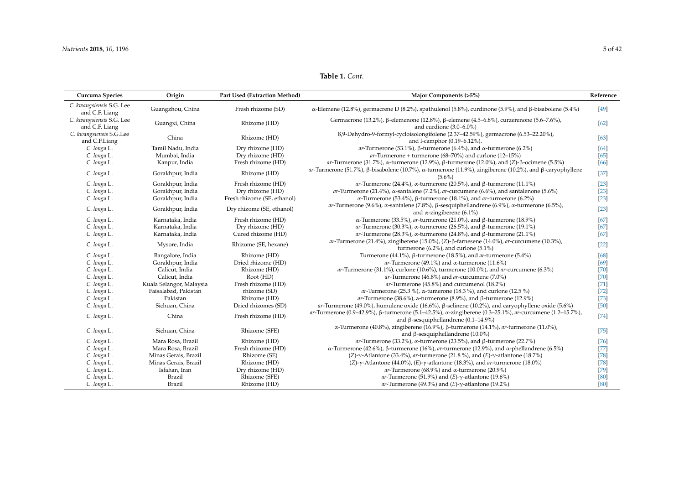**Table 1.** *Cont.*

| Curcuma Species                            | Origin                   | <b>Part Used (Extraction Method)</b> | Major Components (>5%)                                                                                                                                                | Reference |
|--------------------------------------------|--------------------------|--------------------------------------|-----------------------------------------------------------------------------------------------------------------------------------------------------------------------|-----------|
| C. kwangsiensis S.G. Lee<br>and C.F. Liang | Guangzhou, China         | Fresh rhizome (SD)                   | $\alpha$ -Elemene (12.8%), germacrene D (8.2%), spathulenol (5.8%), curdinone (5.9%), and $\beta$ -bisabolene (5.4%)                                                  | [49]      |
| C. kwangsiensis S.G. Lee<br>and C.F. Liang | Guangxi, China           | Rhizome (HD)                         | Germacrone (13.2%), β-elemenone (12.8%), β-elemene (4.5–6.8%), curzerenone (5.6–7.6%),<br>and curdione $(3.0-6.0\%)$                                                  | [62]      |
| C. kwangsiensis S.G.Lee<br>and C.F.Liang   | China                    | Rhizome (HD)                         | 8,9-Dehydro-9-formyl-cycloisolongifolene (2.37-42.59%), germacrone (6.53-22.20%),<br>and l-camphor (0.19-6.12%).                                                      | [63]      |
| C. longa L.                                | Tamil Nadu, India        | Dry rhizome (HD)                     | ar-Turmerone (53.1%), $\beta$ -turmerone (6.4%), and $\alpha$ -turmerone (6.2%)                                                                                       | [64]      |
| C. longa L.                                | Mumbai, India            | Dry rhizome (HD)                     | $ar$ -Turmerone + turmerone (68-70%) and curlone (12-15%)                                                                                                             | [65]      |
| C. longa L.                                | Kanpur, India            | Fresh rhizome (HD)                   | ar-Turmerone (31.7%), $\alpha$ -turmerone (12.9%), $\beta$ -turmerone (12.0%), and (Z)- $\beta$ -ocimene (5.5%)                                                       | [66]      |
| C. longa L.                                | Gorakhpur, India         | Rhizome (HD)                         | ar-Turmerone (51.7%), $\beta$ -bisabolene (10.7%), $\alpha$ -turmerone (11.9%), zingiberene (10.2%), and $\beta$ -caryophyllene<br>$(5.6\%)$                          | $[37]$    |
| C. longa L.                                | Gorakhpur, India         | Fresh rhizome (HD)                   | ar-Turmerone (24.4%), $\alpha$ -turmerone (20.5%), and $\beta$ -turmerone (11.1%)                                                                                     | $[23]$    |
| C. longa L.                                | Gorakhpur, India         | Dry rhizome (HD)                     | ar-Turmerone (21.4%), $\alpha$ -santalene (7.2%), ar-curcumene (6.6%), and santalenone (5.6%)                                                                         | $[23]$    |
| C. longa L.                                | Gorakhpur, India         | Fresh rhizome (SE, ethanol)          | α-Turmerone (53.4%), β-turmerone (18.1%), and ar-turmerone (6.2%)                                                                                                     | $[23]$    |
| C. longa L.                                | Gorakhpur, India         | Dry rhizome (SE, ethanol)            | ar-Turmerone (9.6%), $\alpha$ -santalene (7.8%), $\beta$ -sesquiphellandrene (6.9%), $\alpha$ -turmerone (6.5%),<br>and $\alpha$ -zingiberene (6.1%)                  | $[23]$    |
| C. longa L.                                | Karnataka, India         | Fresh rhizome (HD)                   | $\alpha$ -Turmerone (33.5%), ar-turmerone (21.0%), and $\beta$ -turmerone (18.9%)                                                                                     | [67]      |
| C. longa L.                                | Karnataka, India         | Dry rhizome (HD)                     | ar-Turmerone (30.3%), $\alpha$ -turmerone (26.5%), and $\beta$ -turmerone (19.1%)                                                                                     | [67]      |
| C. longa L.                                | Karnataka, India         | Cured rhizome (HD)                   | ar-Turmerone (28.3%), $\alpha$ -turmerone (24.8%), and $\beta$ -turmerone (21.1%)                                                                                     | [67]      |
| C. longa L.                                | Mysore, India            | Rhizome (SE, hexane)                 | ar-Turmerone (21.4%), zingiberene (15.0%), (Z)- $\beta$ -farnesene (14.0%), ar-curcumene (10.3%),<br>turmerone $(6.2\%)$ , and curlone $(5.1\%)$                      | $[22]$    |
| C. longa L.                                | Bangalore, India         | Rhizome (HD)                         | Turmerone (44.1%), $\beta$ -turmerone (18.5%), and ar-turmerone (5.4%)                                                                                                | [68]      |
| C. longa L.                                | Gorakhpur, India         | Dried rhizome (HD)                   | ar-Turmerone (49.1%) and $\alpha$ -turmerone (11.6%)                                                                                                                  | [69]      |
| C. longa L.                                | Calicut, India           | Rhizome (HD)                         | ar-Turmerone (31.1%), curlone (10.6%), turmerone (10.0%), and ar-curcumene (6.3%)                                                                                     | $[70]$    |
| C. longa L.                                | Calicut, India           | Root (HD)                            | ar-Turmerone (46.8%) and ar-curcumene (7.0%)                                                                                                                          | $[70]$    |
| C. longa L.                                | Kuala Selangor, Malaysia | Fresh rhizome (HD)                   | ar-Turmerone (45.8%) and curcumenol (18.2%)                                                                                                                           | $[71]$    |
| C. longa L.                                | Faisalabad, Pakistan     | rhizome (SD)                         | ar-Turmerone (25.3 %), $\alpha$ -tumerone (18.3 %), and curlone (12.5 %)                                                                                              | $[72]$    |
| C. longa L.                                | Pakistan                 | Rhizome (HD)                         | ar-Turmerone (38.6%), a-turmerone (8.9%), and $\beta$ -turmerone (12.9%)                                                                                              | $[73]$    |
| C. longa L.                                | Sichuan, China           | Dried rhizomes (SD)                  | ar-Turmerone (49.0%), humulene oxide (16.6%), $\beta$ -selinene (10.2%), and caryophyllene oxide (5.6%)                                                               | $[50]$    |
| C. longa L.                                | China                    | Fresh rhizome (HD)                   | ar-Turmerone (0.9–42.9%), $\beta$ -turmerone (5.1–42.5%), $\alpha$ -zingiberene (0.3–25.1%), ar-curcumene (1.2–15.7%),<br>and $\beta$ -sesquiphellandrene (0.1–14.9%) | $[74]$    |
| C. longa L.                                | Sichuan, China           | Rhizome (SFE)                        | α-Turmerone (40.8%), zingiberene (16.9%), β-turmerone (14.1%), ar-turmerone (11.0%),<br>and $\beta$ -sesquiphellandrene (10.0%)                                       | $[75]$    |
| C. longa L.                                | Mara Rosa, Brazil        | Rhizome (HD)                         | ar-Turmerone (33.2%), $\alpha$ -turmerone (23.5%), and $\beta$ -turmerone (22.7%)                                                                                     | $[76]$    |
| C. longa L.                                | Mara Rosa, Brazil        | Fresh rhizome (HD)                   | α-Turmerone (42.6%), β-turmerone (16%), ar-turmerone (12.9%), and α-phellandrene (6.5%)                                                                               | $[77]$    |
| C. longa L.                                | Minas Gerais, Brazil     | Rhizome (SE)                         | (Z)- $\gamma$ -Atlantone (33.4%), ar-turmerone (21.8%), and (E)- $\gamma$ -atlantone (18.7%)                                                                          | $[78]$    |
| C. longa L.                                | Minas Gerais, Brazil     | Rhizome (HD)                         | (Z)- $\gamma$ -Atlantone (44.0%), (E)- $\gamma$ -atlantone (18.3%), and ar-turmerone (18.0%)                                                                          | $[78]$    |
| C. longa L.                                | Isfahan, Iran            | Dry rhizome (HD)                     | ar-Turmerone (68.9%) and $\alpha$ -turmerone (20.9%)                                                                                                                  | $[79]$    |
| C. longa L.                                | Brazil                   | Rhizome (SFE)                        | ar-Turmerone (51.9%) and (E)- $\gamma$ -atlantone (19.6%)                                                                                                             | [80]      |
| C. longa L.                                | Brazil                   | Rhizome (HD)                         | ar-Turmerone (49.3%) and $(E)$ - $\gamma$ -atlantone (19.2%)                                                                                                          | [80]      |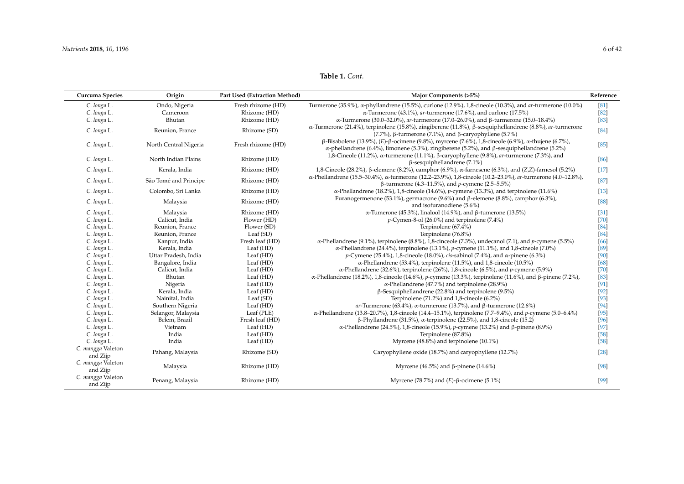**Table 1.** *Cont.*

| Curcuma Species               | Origin                | Part Used (Extraction Method) | Major Components (>5%)                                                                                                                                                                                                 | Reference |
|-------------------------------|-----------------------|-------------------------------|------------------------------------------------------------------------------------------------------------------------------------------------------------------------------------------------------------------------|-----------|
| C. longa L.                   | Ondo, Nigeria         | Fresh rhizome (HD)            | Turmerone (35.9%), α-phyllandrene (15.5%), curlone (12.9%), 1,8-cineole (10.3%), and <i>ar</i> -turmerone (10.0%)                                                                                                      | [81]      |
| C. longa L.                   | Cameroon              | Rhizome (HD)                  | $\alpha$ -Turmerone (43.1%), <i>ar</i> -turmerone (17.6%), and curlone (17.5%)                                                                                                                                         | [82]      |
| C. longa L.                   | Bhutan                | Rhizome (HD)                  | α-Turmerone (30.0–32.0%), ar-turmerone (17.0–26.0%), and β-turmerone (15.0–18.4%)                                                                                                                                      | $[83]$    |
| C. longa L.                   | Reunion, France       | Rhizome (SD)                  | α-Turmerone (21.4%), terpinolene (15.8%), zingiberene (11.8%), β-sesquiphellandrene (8.8%), ar-turmerone<br>(7.7%), $\beta$ -turmerone (7.1%), and $\beta$ -caryophyllene (5.7%)                                       | $[84]$    |
| C. longa L.                   | North Central Nigeria | Fresh rhizome (HD)            | $\beta$ -Bisabolene (13.9%), (E)-β-ocimene (9.8%), myrcene (7.6%), 1,8-cineole (6.9%), α-thujene (6.7%),<br>$\alpha$ -phellandrene (6.4%), limonene (5.3%), zingiberene (5.2%), and $\beta$ -sesquiphellandrene (5.2%) | $[85]$    |
| C. longa L.                   | North Indian Plains   | Rhizome (HD)                  | 1,8-Cineole (11.2%), α-turmerone (11.1%), β-caryophyllene (9.8%), ar-turmerone (7.3%), and<br>$\beta$ -sesquiphellandrene (7.1%)                                                                                       | $[86]$    |
| C. longa L.                   | Kerala, India         | Rhizome (HD)                  | 1,8-Cineole (28.2%), β-elemene (8.2%), camphor (6.9%), α-farnesene (6.3%), and (Z,Z)-farnesol (5.2%)                                                                                                                   | $[17]$    |
| C. longa L.                   | São Tomé and Principe | Rhizome (HD)                  | α-Phellandrene (15.5–30.4%), α-turmerone (12.2–23.9%), 1,8-cineole (10.2–23.0%), ar-turmerone (4.0–12.8%),<br>$β$ -turmerone (4.3–11.5%), and <i>p</i> -cymene (2.5–5.5%)                                              | [87]      |
| C. longa L.                   | Colombo, Sri Lanka    | Rhizome (HD)                  | $\alpha$ -Phellandrene (18.2%), 1,8-cineole (14.6%), p-cymene (13.3%), and terpinolene (11.6%)                                                                                                                         | $[13]$    |
| C. longa L.                   | Malaysia              | Rhizome (HD)                  | Furanogermenone (53.1%), germacrone (9.6%) and $\beta$ -elemene (8.8%), camphor (6.3%),<br>and isofuranodiene (5.6%)                                                                                                   | [88]      |
| C. longa L.                   | Malaysia              | Rhizome (HD)                  | α-Tumerone (45.3%), linalool (14.9%), and β-tumerone (13.5%)                                                                                                                                                           | $[31]$    |
| C. longa L.                   | Calicut, India        | Flower (HD)                   | $p$ -Cymen-8-ol (26.0%) and terpinolene (7.4%)                                                                                                                                                                         | [70]      |
| C. longa L.                   | Reunion, France       | Flower (SD)                   | Terpinolene (67.4%)                                                                                                                                                                                                    | [84]      |
| C. longa L.                   | Reunion, France       | Leaf (SD)                     | Terpinolene (76.8%)                                                                                                                                                                                                    | [84]      |
| C. longa L.                   | Kanpur, India         | Fresh leaf (HD)               | $\alpha$ -Phellandrene (9.1%), terpinolene (8.8%), 1,8-cinceole (7.3%), undecanol (7.1), and p-cymene (5.5%)                                                                                                           | [66]      |
| C. longa L.                   | Kerala, India         | Leaf (HD)                     | α-Phellandrene (24.4%), terpinolene (13.1%), p-cymene (11.1%), and 1,8-cineole (7.0%)                                                                                                                                  | [89]      |
| C. longa L.                   | Uttar Pradesh, India  | Leaf (HD)                     | p-Cymene (25.4%), 1,8-cineole (18.0%), <i>cis</i> -sabinol (7.4%), and α-pinene (6.3%)                                                                                                                                 | [90]      |
| C. longa L.                   | Bangalore, India      | Leaf (HD)                     | $\alpha$ -Phellandrene (53.4%), terpinolene (11.5%), and 1,8-cineole (10.5%)                                                                                                                                           | [68]      |
| C. longa L.                   | Calicut, India        | Leaf (HD)                     | α-Phellandrene (32.6%), terpinolene (26%), 1,8-cineole (6.5%), and p-cymene (5.9%)                                                                                                                                     | $[70]$    |
| C. longa L.                   | Bhutan                | Leaf (HD)                     | α-Phellandrene (18.2%), 1,8-cineole (14.6%), p-cymene (13.3%), terpinolene (11.6%), and β-pinene (7.2%),                                                                                                               | $[83]$    |
| C. longa L.                   | Nigeria               | Leaf (HD)                     | $\alpha$ -Phellandrene (47.7%) and terpinolene (28.9%)                                                                                                                                                                 | $[91]$    |
| C. longa L.                   | Kerala, India         | Leaf (HD)                     | $\beta$ -Sesquiphellandrene (22.8%) and terpinolene (9.5%)                                                                                                                                                             | $[92]$    |
| C. longa L.                   | Nainital, India       | Leaf (SD)                     | Terpinolene (71.2%) and 1,8-cineole (6.2%)                                                                                                                                                                             | $[93]$    |
| C. longa L.                   | Southern Nigeria      | Leaf (HD)                     | ar-Turmerone (63.4%), $\alpha$ -turmerone (13.7%), and $\beta$ -turmerone (12.6%)                                                                                                                                      | $[94]$    |
| C. longa L.                   | Selangor, Malaysia    | Leaf (PLE)                    | $\alpha$ -Phellandrene (13.8–20.7%), 1,8-cineole (14.4–15.1%), terpinolene (7.7–9.4%), and p-cymene (5.0–6.4%)                                                                                                         | $[95]$    |
| C. longa L.                   | Belem, Brazil         | Fresh leaf (HD)               | $\beta$ -Phyllandrene (31.5%), $\alpha$ -terpinolene (22.5%), and 1,8-cineole (15.2)                                                                                                                                   | $[96]$    |
| C. longa L.                   | Vietnam               | Leaf (HD)                     | α-Phellandrene (24.5%), 1,8-cineole (15.9%), <i>p</i> -cymene (13.2%) and β-pinene (8.9%)                                                                                                                              | $[97]$    |
| C. longa L.                   | India                 | Leaf (HD)                     | Terpinolene (87.8%)                                                                                                                                                                                                    | $[58]$    |
| C. longa L.                   | India                 | Leaf (HD)                     | Myrcene (48.8%) and terpinolene (10.1%)                                                                                                                                                                                | $[58]$    |
| C. mangga Valeton<br>and Zijp | Pahang, Malaysia      | Rhizome (SD)                  | Caryophyllene oxide (18.7%) and caryophyllene (12.7%)                                                                                                                                                                  | [28]      |
| C. mangga Valeton<br>and Zijp | Malaysia              | Rhizome (HD)                  | Myrcene (46.5%) and $\beta$ -pinene (14.6%)                                                                                                                                                                            | [98]      |
| C. mangga Valeton<br>and Zijp | Penang, Malaysia      | Rhizome (HD)                  | Myrcene (78.7%) and (E)- $\beta$ -ocimene (5.1%)                                                                                                                                                                       | [99]      |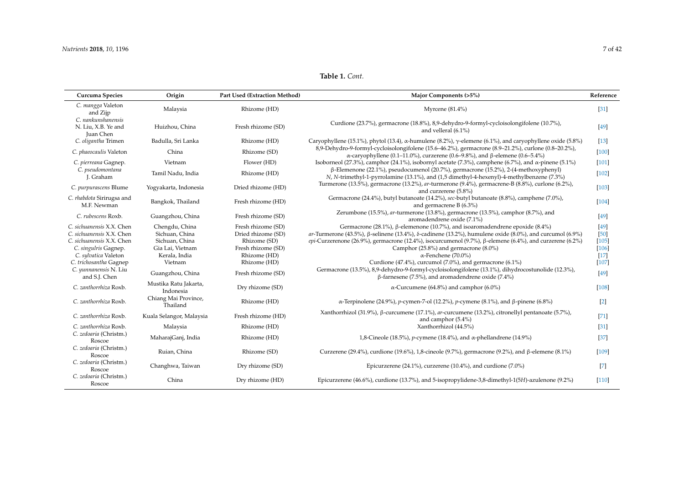| Curcuma Species                                                                                                                                                                        | Origin                                                                                             | Part Used (Extraction Method)                                                                                  | Major Components (>5%)                                                                                                                                                                                                                                                                                                                                                                                                                                                                                                                                                     | Reference                                                                        |
|----------------------------------------------------------------------------------------------------------------------------------------------------------------------------------------|----------------------------------------------------------------------------------------------------|----------------------------------------------------------------------------------------------------------------|----------------------------------------------------------------------------------------------------------------------------------------------------------------------------------------------------------------------------------------------------------------------------------------------------------------------------------------------------------------------------------------------------------------------------------------------------------------------------------------------------------------------------------------------------------------------------|----------------------------------------------------------------------------------|
| C. mangga Valeton<br>and Zijp                                                                                                                                                          | Malaysia                                                                                           | Rhizome (HD)                                                                                                   | Myrcene $(81.4\%)$                                                                                                                                                                                                                                                                                                                                                                                                                                                                                                                                                         | $[31]$                                                                           |
| C. nankunshanensis<br>N. Liu, X.B. Ye and<br><b>Juan Chen</b>                                                                                                                          | Huizhou, China                                                                                     | Fresh rhizome (SD)                                                                                             | Curdione (23.7%), germacrone (18.8%), 8,9-dehydro-9-formyl-cycloisolongifolene (10.7%),<br>and velleral (6.1%)                                                                                                                                                                                                                                                                                                                                                                                                                                                             | [49]                                                                             |
| C. oligantha Trimen                                                                                                                                                                    | Badulla, Sri Lanka                                                                                 | Rhizome (HD)                                                                                                   | Caryophyllene (15.1%), phytol (13.4), $\alpha$ -humulene (8.2%), $\gamma$ -elemene (6.1%), and caryophyllene oxide (5.8%)                                                                                                                                                                                                                                                                                                                                                                                                                                                  | $[13]$                                                                           |
| C. phaeocaulis Valeton                                                                                                                                                                 | China                                                                                              | Rhizome (SD)                                                                                                   | 8,9-Dehydro-9-formyl-cycloisolongifolene (15.6-46.2%), germacrone (8.9-21.2%), curlone (0.8-20.2%),<br>α-caryophyllene (0.1–11.0%), curzerene (0.6–9.8%), and β-elemene (0.6–5.4%)                                                                                                                                                                                                                                                                                                                                                                                         | $[100]$                                                                          |
| C. pierreana Gagnep.                                                                                                                                                                   | Vietnam                                                                                            | Flower (HD)                                                                                                    | Isoborneol (27.3%), camphor (24.1%), isobornyl acetate (7.3%), camphene (6.7%), and $\alpha$ -pinene (5.1%)                                                                                                                                                                                                                                                                                                                                                                                                                                                                | $[101]$                                                                          |
| C. pseudomontana<br>J. Graham                                                                                                                                                          | Tamil Nadu, India                                                                                  | Rhizome (HD)                                                                                                   | $\beta$ -Elemenone (22.1%), pseudocumenol (20.7%), germacrone (15.2%), 2-(4-methoxyphenyl)<br>N, N-trimethyl-1-pyrrolamine (13.1%), and (1,5 dimethyl-4-hexenyl)-4-methylbenzene (7.3%)                                                                                                                                                                                                                                                                                                                                                                                    | $[102]$                                                                          |
| C. purpurascens Blume                                                                                                                                                                  | Yogyakarta, Indonesia                                                                              | Dried rhizome (HD)                                                                                             | Turmerone (13.5%), germacrone (13.2%), ar-turmerone (9.4%), germacrene-B (8.8%), curlone (6.2%),<br>and curzerene (5.8%)                                                                                                                                                                                                                                                                                                                                                                                                                                                   | $[103]$                                                                          |
| C. rhabdota Sirirugsa and<br>M.F. Newman                                                                                                                                               | Bangkok, Thailand                                                                                  | Fresh rhizome (HD)                                                                                             | Germacrone (24.4%), butyl butanoate (14.2%), sec-butyl butanoate (8.8%), camphene (7.0%),<br>and germacrene $B(6.3\%)$                                                                                                                                                                                                                                                                                                                                                                                                                                                     | $[104]$                                                                          |
| C. rubescens Roxb.                                                                                                                                                                     | Guangzhou, China                                                                                   | Fresh rhizome (SD)                                                                                             | Zerumbone (15.5%), ar-turmerone (13.8%), germacrone (13.5%), camphor (8.7%), and<br>aromadendrene oxide (7.1%)                                                                                                                                                                                                                                                                                                                                                                                                                                                             | [49]                                                                             |
| C. sichuanensis X.X. Chen<br>C. sichuanensis X.X. Chen<br>C. sichuanensis X.X. Chen<br>C. singulris Gagnep.<br>C. sylvatica Valeton<br>C. trichosantha Gagnep<br>C. yunnanensis N. Liu | Chengdu, China<br>Sichuan, China<br>Sichuan, China<br>Gia Lai, Vietnam<br>Kerala, India<br>Vietnam | Fresh rhizome (SD)<br>Dried rhizome (SD)<br>Rhizome (SD)<br>Fresh rhizome (SD)<br>Rhizome (HD)<br>Rhizome (HD) | Germacrone (28.1%), $\beta$ -elemenone (10.7%), and isoaromadendrene epoxide (8.4%)<br>ar-Turmerone (43.5%), $\beta$ -selinene (13.4%), $\delta$ -cadinene (13.2%), humulene oxide (8.0%), and curcumol (6.9%)<br>epi-Curzerenone (26.9%), germacrone (12.4%), isocurcumenol (9.7%), $\beta$ -elemene (6.4%), and curzerene (6.2%)<br>Camphor (25.8%) and germacrone (8.0%)<br>$\alpha$ -Fenchene (70.0%)<br>Curdione (47.4%), curcumol (7.0%), and germacrone (6.1%)<br>Germacrone (13.5%), 8,9-dehydro-9-formyl-cycloisolongifolene (13.1%), dihydrocostunolide (12.3%), | $[49]$<br>[50]<br>$[105]$<br>$[106]$<br>$\left\lceil 17 \right\rceil$<br>$[107]$ |
| and S.J. Chen                                                                                                                                                                          | Guangzhou, China                                                                                   | Fresh rhizome (SD)                                                                                             | $\beta$ -farnesene (7.5%), and aromadendrene oxide (7.4%)                                                                                                                                                                                                                                                                                                                                                                                                                                                                                                                  | [49]                                                                             |
| C. zanthorrhiza Roxb.                                                                                                                                                                  | Mustika Ratu Jakarta,<br>Indonesia                                                                 | Dry rhizome (SD)                                                                                               | $\alpha$ -Curcumene (64.8%) and camphor (6.0%)                                                                                                                                                                                                                                                                                                                                                                                                                                                                                                                             | $[108]$                                                                          |
| C. zanthorrhiza Roxb.                                                                                                                                                                  | Chiang Mai Province,<br>Thailand                                                                   | Rhizome (HD)                                                                                                   | α-Terpinolene (24.9%), <i>p</i> -cymen-7-ol (12.2%), <i>p</i> -cymene (8.1%), and β-pinene (6.8%)                                                                                                                                                                                                                                                                                                                                                                                                                                                                          | $[2]$                                                                            |
| C. zanthorrhiza Roxb.                                                                                                                                                                  | Kuala Selangor, Malaysia                                                                           | Fresh rhizome (HD)                                                                                             | Xanthorrhizol (31.9%), β-curcumene (17.1%), ar-curcumene (13.2%), citronellyl pentanoate (5.7%),<br>and camphor (5.4%)                                                                                                                                                                                                                                                                                                                                                                                                                                                     | [71]                                                                             |
| C. zanthorrhiza Roxb.                                                                                                                                                                  | Malaysia                                                                                           | Rhizome (HD)                                                                                                   | Xanthorrhizol (44.5%)                                                                                                                                                                                                                                                                                                                                                                                                                                                                                                                                                      | $\left[31\right]$                                                                |
| C. zedoaria (Christm.)<br>Roscoe                                                                                                                                                       | MaharajGanj, India                                                                                 | Rhizome (HD)                                                                                                   | 1,8-Cineole (18.5%), <i>p</i> -cymene (18.4%), and $\alpha$ -phellandrene (14.9%)                                                                                                                                                                                                                                                                                                                                                                                                                                                                                          | $[37]$                                                                           |
| C. zedoaria (Christm.)<br>Roscoe                                                                                                                                                       | Ruian, China                                                                                       | Rhizome (SD)                                                                                                   | Curzerene (29.4%), curdione (19.6%), 1,8-cineole (9.7%), germacrone (9.2%), and β-elemene (8.1%)                                                                                                                                                                                                                                                                                                                                                                                                                                                                           | $[109]$                                                                          |
| C. zedoaria (Christm.)<br>Roscoe                                                                                                                                                       | Changhwa, Taiwan                                                                                   | Dry rhizome (SD)                                                                                               | Epicurzerene (24.1%), curzerene (10.4%), and curdione (7.0%)                                                                                                                                                                                                                                                                                                                                                                                                                                                                                                               | $[7]$                                                                            |
| C. zedoaria (Christm.)<br>Roscoe                                                                                                                                                       | China                                                                                              | Dry rhizome (HD)                                                                                               | Epicurzerene (46.6%), curdione (13.7%), and 5-isopropylidene-3,8-dimethyl-1(5H)-azulenone (9.2%)                                                                                                                                                                                                                                                                                                                                                                                                                                                                           | $[110]$                                                                          |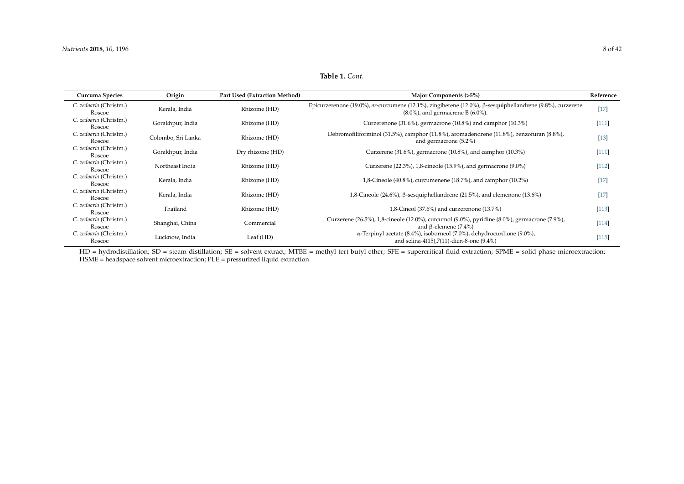**Table 1.** *Cont.*

| Curcuma Species                  | Origin             | <b>Part Used (Extraction Method)</b> | Major Components (>5%)                                                                                                                                       | Reference |
|----------------------------------|--------------------|--------------------------------------|--------------------------------------------------------------------------------------------------------------------------------------------------------------|-----------|
| C. zedoaria (Christm.)<br>Roscoe | Kerala, India      | Rhizome (HD)                         | Epicurzerenone (19.0%), ar-curcumene (12.1%), zingiberene (12.0%), $\beta$ -sesquiphellandrene (9.8%), curzerene<br>$(8.0\%)$ , and germacrene B $(6.0\%)$ . |           |
| C. zedoaria (Christm.)<br>Roscoe | Gorakhpur, India   | Rhizome (HD)                         | Curzerenone $(31.6\%)$ , germacrone $(10.8\%)$ and camphor $(10.3\%)$                                                                                        | $[111]$   |
| C. zedoaria (Christm.)<br>Roscoe | Colombo, Sri Lanka | Rhizome (HD)                         | Debromofiliforminol (31.5%), camphor (11.8%), aromadendrene (11.8%), benzofuran (8.8%),<br>and germacrone $(5.2\%)$                                          | $[13]$    |
| C. zedoaria (Christm.)<br>Roscoe | Gorakhpur, India   | Dry rhizome (HD)                     | Curzerene $(31.6\%)$ , germacrone $(10.8\%)$ , and camphor $(10.3\%)$                                                                                        | $[111]$   |
| C. zedoaria (Christm.)<br>Roscoe | Northeast India    | Rhizome (HD)                         | Curzerene $(22.3\%)$ , 1,8-cineole $(15.9\%)$ , and germacrone $(9.0\%)$                                                                                     | $[112]$   |
| C. zedoaria (Christm.)<br>Roscoe | Kerala, India      | Rhizome (HD)                         | 1,8-Cineole (40.8%), curcumenene (18.7%), and camphor (10.2%)                                                                                                |           |
| C. zedoaria (Christm.)<br>Roscoe | Kerala, India      | Rhizome (HD)                         | 1,8-Cineole (24.6%), β-sesquiphellandrene (21.5%), and elemenone (13.6%)                                                                                     | $[17]$    |
| C. zedoaria (Christm.)<br>Roscoe | Thailand           | Rhizome (HD)                         | 1,8-Cineol (37.6%) and curzerenone (13.7%)                                                                                                                   | $[113]$   |
| C. zedoaria (Christm.)<br>Roscoe | Shanghai, China    | Commercial                           | Curzerene (26.5%), 1,8-cineole (12.0%), curcumol (9.0%), pyridine (8.0%), germacrone (7.9%),<br>and $\beta$ -elemene (7.4%)                                  | $[114]$   |
| C. zedoaria (Christm.)<br>Roscoe | Lucknow, India     | Leaf (HD)                            | $\alpha$ -Terpinyl acetate (8.4%), isoborneol (7.0%), dehydrocurdione (9.0%),<br>and selina-4(15),7(11)-dien-8-one $(9.4\%)$                                 | $[115]$   |

<span id="page-7-0"></span>HD = hydrodistillation; SD = steam distillation; SE = solvent extract; MTBE = methyl tert-butyl ether; SFE = supercritical fluid extraction; SPME = solid-phase microextraction; HSME = headspace solvent microextraction; PLE = pressurized liquid extraction.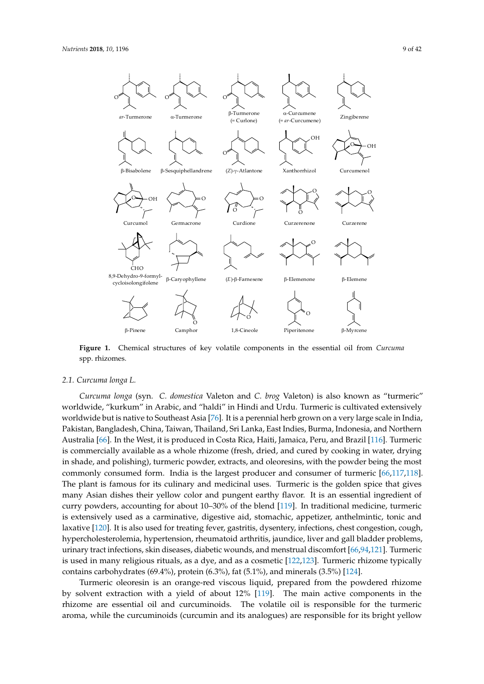<span id="page-8-0"></span>

Figure 1. Chemical structures of key volatile components in the essential oil from *Curcuma* spp. rhizomes.

1,8-Cineole

Piperitenone B-Myrcene

O **Camphor** 

# *2.1. Curcuma longa L. 2.1. Curcuma longa L.*

-Pinene

*Curcuma longa* (syn. *C. domestica* Valeton and *C. brog* Valeton) is also known as "turmeric" *Curcuma longa* (syn. *C. domestica* Valeton and *C. brog* Valeton) is also known as "turmeric" worldwide, "kurkum" in Arabic, and "haldi" in Hindi and Urdu. Turmeric is cultivated extensively worldwide, "kurkum" in Arabic, and "haldi" in Hindi and Urdu. Turmeric is cultivated extensively worldwide but is native to Southeast Asia [76]. It is a perennial herb grown on a very large scale in worldwide but is native to Southeast Asia [\[76\]](#page-30-21). It is a perennial herb grown on a very large scale in India, India, Pakistan, Bangladesh, China, Taiwan, Thailand, Sri Lanka, East Indies, Burma, Indonesia, and Pakistan, Bangladesh, China, Taiwan, Thailand, Sri Lanka, East Indies, Burma, Indonesia, and Northern Australia [\[66\]](#page-30-22). In the West, it is produced in Costa Rica, Haiti, Jamaica, Peru, and Brazil [\[116\]](#page-32-17). Turmeric is commercially available as a whole rhizome (fresh, dried, and cured by cooking in water, drying in shade, and polishing), turmeric powder, extracts, and oleoresins, with the powder being the most commonly consumed form. India is the largest producer and consumer of turmeric [\[66,](#page-30-22)[117,](#page-32-18)[118\]](#page-32-19). The plant is famous for its culinary and medicinal uses. Turmeric is the golden spice that gives many Asian dishes their yellow color and pungent earthy flavor. It is an essential ingredient of curry powders, accounting for about 10–30% of the blend [\[119\]](#page-32-20). In traditional medicine, turmeric is extensively used as a carminative, digestive aid, stomachic, appetizer, anthelmintic, tonic and laxative [\[120\]](#page-33-0). It is also used for treating fever, gastritis, dysentery, infections, chest congestion, cough, hypercholesterolemia, hypertension, rheumatoid arthritis, jaundice, liver and gall bladder problems, urinary tract infections, skin diseases, diabetic wounds, and menstrual discomfort [\[66,](#page-30-22)[94,](#page-31-20)[121\]](#page-33-1). Turmeric is used in many religious rituals, as a dye, and as a cosmetic [\[122,](#page-33-2)[123\]](#page-33-3). Turmeric rhizome typically contains carbohydrates (69.4%), protein  $(6.3%)$ , fat (5.1%), and minerals (3.5%) [\[124\]](#page-33-4).

Turmeric oleoresin is an orange-red viscous liquid, prepared from the powdered rhizome by solvent extraction with a yield of about 12%  $\overline{[119]}$  $\overline{[119]}$  $\overline{[119]}$ . The main active components in the rhizome are essential oil and curcuminoids. The volatile oil is responsible for the turmeric aroma, while the curcuminoids (curcumin and its analogues) are responsible for its bright vellow current and its analogues) are responsible for its analogues) are responsible for its bright yellow color  $\mathcal{E}$ aroma, while the curcuminoids (curcumin and its analogues) are responsible for its bright yellow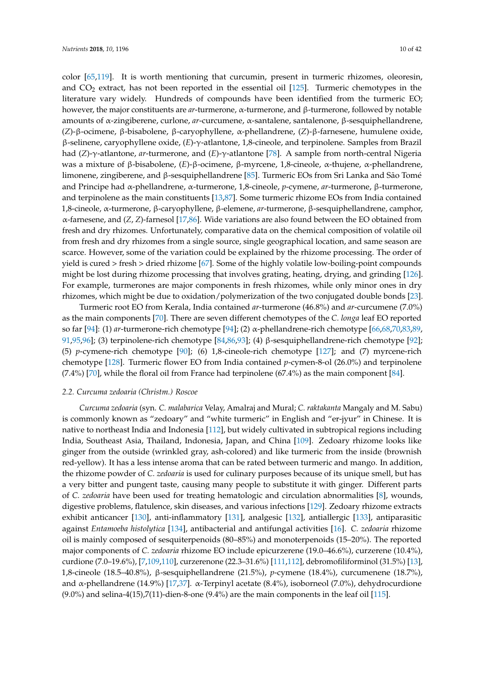color [\[65](#page-30-23)[,119\]](#page-32-20). It is worth mentioning that curcumin, present in turmeric rhizomes, oleoresin, and  $CO<sub>2</sub>$  extract, has not been reported in the essential oil [\[125\]](#page-33-5). Turmeric chemotypes in the literature vary widely. Hundreds of compounds have been identified from the turmeric EO; however, the major constituents are *ar*-turmerone, α-turmerone, and β-turmerone, followed by notable amounts of α-zingiberene, curlone, *ar*-curcumene, α-santalene, santalenone, β-sesquiphellandrene, (*Z*)-β-ocimene, β-bisabolene, β-caryophyllene, α-phellandrene, (*Z*)-β-farnesene, humulene oxide, β-selinene, caryophyllene oxide, (*E*)-γ-atlantone, 1,8-cineole, and terpinolene. Samples from Brazil had (*Z*)-γ-atlantone, *ar*-turmerone, and (*E*)-γ-atlantone [\[78\]](#page-30-24). A sample from north-central Nigeria was a mixture of β-bisabolene, (*E*)-β-ocimene, β-myrcene, 1,8-cineole, α-thujene, α-phellandrene, limonene, zingiberene, and β-sesquiphellandrene [\[85\]](#page-31-21). Turmeric EOs from Sri Lanka and São Tomé and Principe had α-phellandrene, α-turmerone, 1,8-cineole, *p*-cymene, *ar*-turmerone, β-turmerone, and terpinolene as the main constituents [\[13](#page-28-21)[,87\]](#page-31-22). Some turmeric rhizome EOs from India contained 1,8-cineole, α-turmerone, β-caryophyllene, β-elemene, *ar*-turmerone, β-sesquiphellandrene, camphor, α-farnesene, and (*Z*, *Z*)-farnesol [\[17](#page-28-0)[,86\]](#page-31-23). Wide variations are also found between the EO obtained from fresh and dry rhizomes. Unfortunately, comparative data on the chemical composition of volatile oil from fresh and dry rhizomes from a single source, single geographical location, and same season are scarce. However, some of the variation could be explained by the rhizome processing. The order of yield is cured > fresh > dried rhizome [\[67\]](#page-30-17). Some of the highly volatile low-boiling-point compounds might be lost during rhizome processing that involves grating, heating, drying, and grinding [\[126\]](#page-33-6). For example, turmerones are major components in fresh rhizomes, while only minor ones in dry rhizomes, which might be due to oxidation/polymerization of the two conjugated double bonds [\[23\]](#page-28-6).

Turmeric root EO from Kerala, India contained *ar*-turmerone (46.8%) and *ar*-curcumene (7.0%) as the main components [\[70\]](#page-30-25). There are seven different chemotypes of the *C. longa* leaf EO reported so far [\[94\]](#page-31-20): (1) *ar*-turmerone-rich chemotype [\[94\]](#page-31-20); (2) α-phellandrene-rich chemotype [\[66,](#page-30-22)[68,](#page-30-26)[70](#page-30-25)[,83,](#page-31-24)[89,](#page-31-25) [91](#page-31-19)[,95,](#page-31-26)[96\]](#page-31-27); (3) terpinolene-rich chemotype [\[84,](#page-31-28)[86,](#page-31-23)[93\]](#page-31-29); (4) β-sesquiphellandrene-rich chemotype [\[92\]](#page-31-30); (5) *p*-cymene-rich chemotype [\[90\]](#page-31-18); (6) 1,8-cineole-rich chemotype [\[127\]](#page-33-7); and (7) myrcene-rich chemotype [\[128\]](#page-33-8). Turmeric flower EO from India contained *p*-cymen-8-ol (26.0%) and terpinolene (7.4%) [\[70\]](#page-30-25), while the floral oil from France had terpinolene (67.4%) as the main component [\[84\]](#page-31-28).

### *2.2. Curcuma zedoaria (Christm.) Roscoe*

*Curcuma zedoaria* (syn. *C. malabarica* Velay, Amalraj and Mural; *C. raktakanta* Mangaly and M. Sabu) is commonly known as "zedoary" and "white turmeric" in English and "er-jyur" in Chinese. It is native to northeast India and Indonesia [\[112\]](#page-32-21), but widely cultivated in subtropical regions including India, Southeast Asia, Thailand, Indonesia, Japan, and China [\[109\]](#page-32-22). Zedoary rhizome looks like ginger from the outside (wrinkled gray, ash-colored) and like turmeric from the inside (brownish red-yellow). It has a less intense aroma that can be rated between turmeric and mango. In addition, the rhizome powder of *C. zedoaria* is used for culinary purposes because of its unique smell, but has a very bitter and pungent taste, causing many people to substitute it with ginger. Different parts of *C. zedoaria* have been used for treating hematologic and circulation abnormalities [\[8\]](#page-27-6), wounds, digestive problems, flatulence, skin diseases, and various infections [\[129\]](#page-33-9). Zedoary rhizome extracts exhibit anticancer [\[130\]](#page-33-10), anti-inflammatory [\[131\]](#page-33-11), analgesic [\[132\]](#page-33-12), antiallergic [\[133\]](#page-33-13), antiparasitic against *Entamoeba histolytica* [\[134\]](#page-33-14), antibacterial and antifungal activities [\[16\]](#page-28-22). *C. zedoaria* rhizome oil is mainly composed of sesquiterpenoids (80–85%) and monoterpenoids (15–20%). The reported major components of *C. zedoaria* rhizome EO include epicurzerene (19.0–46.6%), curzerene (10.4%), curdione (7.0–19.6%), [\[7](#page-27-8)[,109,](#page-32-22)[110\]](#page-32-23), curzerenone (22.3–31.6%) [\[111,](#page-32-24)[112\]](#page-32-21), debromofiliforminol (31.5%) [\[13\]](#page-28-21), 1,8-cineole (18.5–40.8%), β-sesquiphellandrene (21.5%), *p*-cymene (18.4%), curcumenene (18.7%), and α-phellandrene (14.9%) [\[17,](#page-28-0)[37\]](#page-29-22). α-Terpinyl acetate (8.4%), isoborneol (7.0%), dehydrocurdione  $(9.0\%)$  and selina-4(15),7(11)-dien-8-one  $(9.4\%)$  are the main components in the leaf oil [\[115\]](#page-32-25).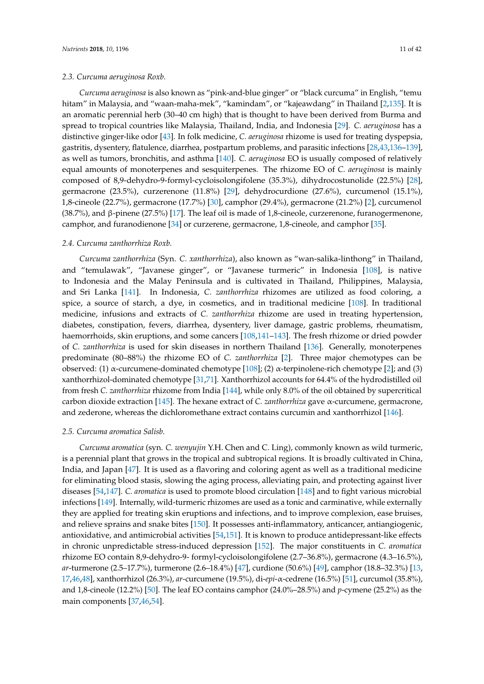### *2.3. Curcuma aeruginosa Roxb.*

*Curcuma aeruginosa* is also known as "pink-and-blue ginger" or "black curcuma" in English, "temu hitam" in Malaysia, and "waan-maha-mek", "kamindam", or "kajeawdang" in Thailand [\[2,](#page-27-1)[135\]](#page-33-15). It is an aromatic perennial herb (30–40 cm high) that is thought to have been derived from Burma and spread to tropical countries like Malaysia, Thailand, India, and Indonesia [\[29\]](#page-28-23). *C. aeruginosa* has a distinctive ginger-like odor [\[43\]](#page-29-23). In folk medicine, *C. aeruginosa* rhizome is used for treating dyspepsia, gastritis, dysentery, flatulence, diarrhea, postpartum problems, and parasitic infections [\[28,](#page-28-24)[43,](#page-29-23)[136](#page-33-16)[–139\]](#page-33-17), as well as tumors, bronchitis, and asthma [\[140\]](#page-33-18). *C. aeruginosa* EO is usually composed of relatively equal amounts of monoterpenes and sesquiterpenes. The rhizome EO of *C. aeruginosa* is mainly composed of 8,9-dehydro-9-formyl-cycloisolongifolene (35.3%), dihydrocostunolide (22.5%) [\[28\]](#page-28-24), germacrone (23.5%), curzerenone (11.8%) [\[29\]](#page-28-23), dehydrocurdione (27.6%), curcumenol (15.1%), 1,8-cineole (22.7%), germacrone (17.7%) [\[30\]](#page-28-25), camphor (29.4%), germacrone (21.2%) [\[2\]](#page-27-1), curcumenol (38.7%), and β-pinene (27.5%) [\[17\]](#page-28-0). The leaf oil is made of 1,8-cineole, curzerenone, furanogermenone, camphor, and furanodienone [\[34\]](#page-28-26) or curzerene, germacrone, 1,8-cineole, and camphor [\[35\]](#page-28-27).

#### *2.4. Curcuma zanthorrhiza Roxb.*

*Curcuma zanthorrhiza* (Syn. *C. xanthorrhiza*), also known as "wan-salika-linthong" in Thailand, and "temulawak", "Javanese ginger", or "Javanese turmeric" in Indonesia [\[108\]](#page-32-26), is native to Indonesia and the Malay Peninsula and is cultivated in Thailand, Philippines, Malaysia, and Sri Lanka [\[141\]](#page-33-19). In Indonesia, *C. zanthorrhiza* rhizomes are utilized as food coloring, a spice, a source of starch, a dye, in cosmetics, and in traditional medicine [\[108\]](#page-32-26). In traditional medicine, infusions and extracts of *C. zanthorrhiza* rhizome are used in treating hypertension, diabetes, constipation, fevers, diarrhea, dysentery, liver damage, gastric problems, rheumatism, haemorrhoids, skin eruptions, and some cancers [\[108](#page-32-26)[,141–](#page-33-19)[143\]](#page-34-0). The fresh rhizome or dried powder of *C. zanthorrhiza* is used for skin diseases in northern Thailand [\[136\]](#page-33-16). Generally, monoterpenes predominate (80–88%) the rhizome EO of *C. zanthorrhiza* [\[2\]](#page-27-1). Three major chemotypes can be observed: (1) α-curcumene-dominated chemotype [\[108\]](#page-32-26); (2) α-terpinolene-rich chemotype [\[2\]](#page-27-1); and (3) xanthorrhizol-dominated chemotype [\[31,](#page-28-28)[71\]](#page-30-27). Xanthorrhizol accounts for 64.4% of the hydrodistilled oil from fresh *C. zanthorrhiza* rhizome from India [\[144\]](#page-34-1), while only 8.0% of the oil obtained by supercritical carbon dioxide extraction [\[145\]](#page-34-2). The hexane extract of *C. zanthorrhiza* gave α-curcumene, germacrone, and zederone, whereas the dichloromethane extract contains curcumin and xanthorrhizol [\[146\]](#page-34-3).

### *2.5. Curcuma aromatica Salisb.*

*Curcuma aromatica* (syn. *C. wenyujin* Y.H. Chen and C. Ling), commonly known as wild turmeric, is a perennial plant that grows in the tropical and subtropical regions. It is broadly cultivated in China, India, and Japan [\[47\]](#page-29-24). It is used as a flavoring and coloring agent as well as a traditional medicine for eliminating blood stasis, slowing the aging process, alleviating pain, and protecting against liver diseases [\[54](#page-29-25)[,147\]](#page-34-4). *C. aromatica* is used to promote blood circulation [\[148\]](#page-34-5) and to fight various microbial infections [\[149\]](#page-34-6). Internally, wild-turmeric rhizomes are used as a tonic and carminative, while externally they are applied for treating skin eruptions and infections, and to improve complexion, ease bruises, and relieve sprains and snake bites [\[150\]](#page-34-7). It possesses anti-inflammatory, anticancer, antiangiogenic, antioxidative, and antimicrobial activities [\[54,](#page-29-25)[151\]](#page-34-8). It is known to produce antidepressant-like effects in chronic unpredictable stress-induced depression [\[152\]](#page-34-9). The major constituents in *C. aromatica* rhizome EO contain 8,9-dehydro-9- formyl-cycloisolongifolene (2.7–36.8%), germacrone (4.3–16.5%), *ar*-turmerone (2.5–17.7%), turmerone (2.6–18.4%) [\[47\]](#page-29-24), curdione (50.6%) [\[49\]](#page-29-26), camphor (18.8–32.3%) [\[13,](#page-28-21) [17](#page-28-0)[,46](#page-29-27)[,48\]](#page-29-28), xanthorrhizol (26.3%), *ar*-curcumene (19.5%), di-*epi*-α-cedrene (16.5%) [\[51\]](#page-29-29), curcumol (35.8%), and 1,8-cineole (12.2%) [\[50\]](#page-29-30). The leaf EO contains camphor (24.0%–28.5%) and *p*-cymene (25.2%) as the main components [\[37,](#page-29-22)[46,](#page-29-27)[54\]](#page-29-25).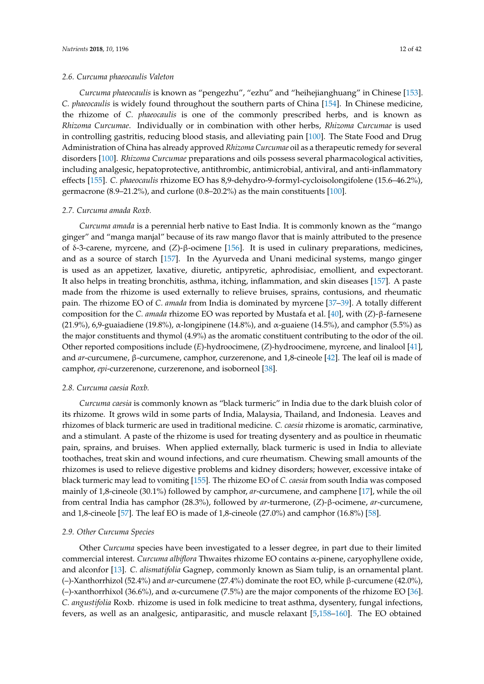### *2.6. Curcuma phaeocaulis Valeton*

*Curcuma phaeocaulis* is known as "pengezhu", "ezhu" and "heihejianghuang" in Chinese [\[153\]](#page-34-10). *C. phaeocaulis* is widely found throughout the southern parts of China [\[154\]](#page-34-11). In Chinese medicine, the rhizome of *C. phaeocaulis* is one of the commonly prescribed herbs, and is known as *Rhizoma Curcumae*. Individually or in combination with other herbs, *Rhizoma Curcumae* is used in controlling gastritis, reducing blood stasis, and alleviating pain [\[100\]](#page-32-27). The State Food and Drug Administration of China has already approved *Rhizoma Curcumae* oil as a therapeutic remedy for several disorders [\[100\]](#page-32-27). *Rhizoma Curcumae* preparations and oils possess several pharmacological activities, including analgesic, hepatoprotective, antithrombic, antimicrobial, antiviral, and anti-inflammatory effects [\[155\]](#page-34-12). *C. phaeocaulis* rhizome EO has 8,9-dehydro-9-formyl-cycloisolongifolene (15.6–46.2%), germacrone  $(8.9-21.2\%)$ , and curlone  $(0.8-20.2\%)$  as the main constituents  $[100]$ .

#### *2.7. Curcuma amada Roxb.*

*Curcuma amada* is a perennial herb native to East India. It is commonly known as the "mango ginger" and "manga manjal" because of its raw mango flavor that is mainly attributed to the presence of δ-3-carene, myrcene, and (*Z*)-β-ocimene [\[156\]](#page-34-13). It is used in culinary preparations, medicines, and as a source of starch [\[157\]](#page-34-14). In the Ayurveda and Unani medicinal systems, mango ginger is used as an appetizer, laxative, diuretic, antipyretic, aphrodisiac, emollient, and expectorant. It also helps in treating bronchitis, asthma, itching, inflammation, and skin diseases [\[157\]](#page-34-14). A paste made from the rhizome is used externally to relieve bruises, sprains, contusions, and rheumatic pain. The rhizome EO of *C. amada* from India is dominated by myrcene [\[37](#page-29-22)[–39\]](#page-29-31). A totally different composition for the *C. amada* rhizome EO was reported by Mustafa et al. [\[40\]](#page-29-32), with (*Z*)-β-farnesene (21.9%), 6,9-guaiadiene (19.8%), α-longipinene (14.8%), and α-guaiene (14.5%), and camphor (5.5%) as the major constituents and thymol (4.9%) as the aromatic constituent contributing to the odor of the oil. Other reported compositions include (*E*)-hydroocimene, (*Z*)-hydroocimene, myrcene, and linalool [\[41\]](#page-29-33), and *ar*-curcumene, β-curcumene, camphor, curzerenone, and 1,8-cineole [\[42\]](#page-29-34). The leaf oil is made of camphor, *epi*-curzerenone, curzerenone, and isoborneol [\[38\]](#page-29-35).

### *2.8. Curcuma caesia Roxb.*

*Curcuma caesia* is commonly known as "black turmeric" in India due to the dark bluish color of its rhizome. It grows wild in some parts of India, Malaysia, Thailand, and Indonesia. Leaves and rhizomes of black turmeric are used in traditional medicine. *C. caesia* rhizome is aromatic, carminative, and a stimulant. A paste of the rhizome is used for treating dysentery and as poultice in rheumatic pain, sprains, and bruises. When applied externally, black turmeric is used in India to alleviate toothaches, treat skin and wound infections, and cure rheumatism. Chewing small amounts of the rhizomes is used to relieve digestive problems and kidney disorders; however, excessive intake of black turmeric may lead to vomiting [\[155\]](#page-34-12). The rhizome EO of *C. caesia* from south India was composed mainly of 1,8-cineole (30.1%) followed by camphor, *ar*-curcumene, and camphene [\[17\]](#page-28-0), while the oil from central India has camphor (28.3%), followed by *ar*-turmerone, (*Z*)-β-ocimene, *ar*-curcumene, and 1,8-cineole [\[57\]](#page-29-36). The leaf EO is made of 1,8-cineole (27.0%) and camphor (16.8%) [\[58\]](#page-30-28).

#### *2.9. Other Curcuma Species*

Other *Curcuma* species have been investigated to a lesser degree, in part due to their limited commercial interest. *Curcuma albiflora* Thwaites rhizome EO contains α-pinene, caryophyllene oxide, and alconfor [\[13\]](#page-28-21). *C. alismatifolia* Gagnep, commonly known as Siam tulip, is an ornamental plant. (–)-Xanthorrhizol (52.4%) and *ar*-curcumene (27.4%) dominate the root EO, while β-curcumene (42.0%), (–)-xanthorrhixol (36.6%), and  $\alpha$ -curcumene (7.5%) are the major components of the rhizome EO [\[36\]](#page-29-37). *C. angustifolia* Roxb. rhizome is used in folk medicine to treat asthma, dysentery, fungal infections, fevers, as well as an analgesic, antiparasitic, and muscle relaxant [\[5](#page-27-4)[,158–](#page-34-15)[160\]](#page-34-16). The EO obtained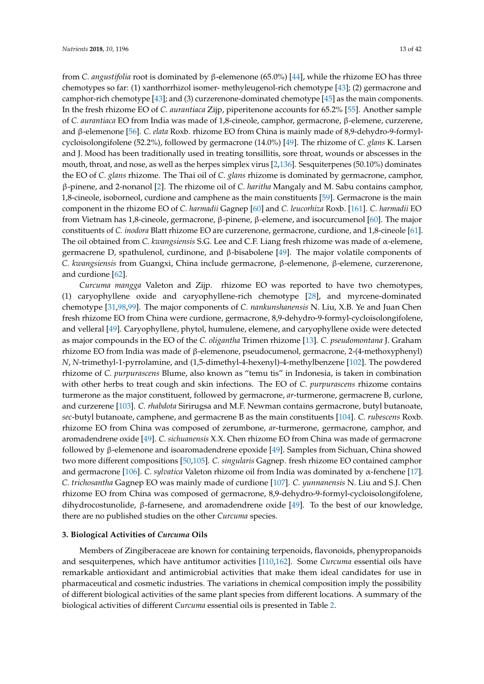from *C. angustifolia* root is dominated by β-elemenone (65.0%) [\[44\]](#page-29-38), while the rhizome EO has three chemotypes so far: (1) xanthorrhizol isomer- methyleugenol-rich chemotype [\[43\]](#page-29-23); (2) germacrone and camphor-rich chemotype [\[43\]](#page-29-23); and (3) curzerenone-dominated chemotype [\[45\]](#page-29-39) as the main components. In the fresh rhizome EO of *C. aurantiaca* Zijp, piperitenone accounts for 65.2% [\[55\]](#page-29-40). Another sample of *C. aurantiaca* EO from India was made of 1,8-cineole, camphor, germacrone, β-elemene, curzerene, and β-elemenone [\[56\]](#page-29-41). *C. elata* Roxb. rhizome EO from China is mainly made of 8,9-dehydro-9-formylcycloisolongifolene (52.2%), followed by germacrone (14.0%) [\[49\]](#page-29-26). The rhizome of *C. glans* K. Larsen and J. Mood has been traditionally used in treating tonsillitis, sore throat, wounds or abscesses in the mouth, throat, and nose, as well as the herpes simplex virus [\[2,](#page-27-1)[136\]](#page-33-16). Sesquiterpenes (50.10%) dominates the EO of *C. glans* rhizome. The Thai oil of *C. glans* rhizome is dominated by germacrone, camphor, β-pinene, and 2-nonanol [\[2\]](#page-27-1). The rhizome oil of *C. haritha* Mangaly and M. Sabu contains camphor, 1,8-cineole, isoborneol, curdione and camphene as the main constituents [\[59\]](#page-30-29). Germacrone is the main component in the rhizome EO of *C. harmadii* Gagnep [\[60\]](#page-30-30) and *C. leucorhiza* Roxb. [\[161\]](#page-34-17). *C. harmadii* EO from Vietnam has 1,8-cineole, germacrone, β-pinene, β-elemene, and isocurcumenol [\[60\]](#page-30-30). The major constituents of *C. inodora* Blatt rhizome EO are curzerenone, germacrone, curdione, and 1,8-cineole [\[61\]](#page-30-11). The oil obtained from *C. kwangsiensis* S.G. Lee and C.F. Liang fresh rhizome was made of α-elemene, germacrene D, spathulenol, curdinone, and β-bisabolene [\[49\]](#page-29-26). The major volatile components of *C. kwangsiensis* from Guangxi, China include germacrone, β-elemenone, β-elemene, curzerenone, and curdione [\[62\]](#page-30-12).

*Curcuma mangga* Valeton and Zijp. rhizome EO was reported to have two chemotypes, (1) caryophyllene oxide and caryophyllene-rich chemotype [\[28\]](#page-28-24), and myrcene-dominated chemotype [\[31](#page-28-28)[,98,](#page-31-31)[99\]](#page-32-28). The major components of *C. nankunshanensis* N. Liu, X.B. Ye and Juan Chen fresh rhizome EO from China were curdione, germacrone, 8,9-dehydro-9-formyl-cycloisolongifolene, and velleral [\[49\]](#page-29-26). Caryophyllene, phytol, humulene, elemene, and caryophyllene oxide were detected as major compounds in the EO of the *C. oligantha* Trimen rhizome [\[13\]](#page-28-21). *C. pseudomontana* J. Graham rhizome EO from India was made of β-elemenone, pseudocumenol, germacrone, 2-(4-methoxyphenyl) *N*, *N*-trimethyl-1-pyrrolamine, and (1,5-dimethyl-4-hexenyl)-4-methylbenzene [\[102\]](#page-32-29). The powdered rhizome of *C. purpurascens* Blume, also known as "temu tis" in Indonesia, is taken in combination with other herbs to treat cough and skin infections. The EO of *C. purpurascens* rhizome contains turmerone as the major constituent, followed by germacrone, *ar*-turmerone, germacrene B, curlone, and curzerene [\[103\]](#page-32-30). *C. rhabdota* Sirirugsa and M.F. Newman contains germacrone, butyl butanoate, *sec*-butyl butanoate, camphene, and germacrene B as the main constituents [\[104\]](#page-32-31). *C. rubescens* Roxb. rhizome EO from China was composed of zerumbone, *ar*-turmerone, germacrone, camphor, and aromadendrene oxide [\[49\]](#page-29-26). *C. sichuanensis* X.X. Chen rhizome EO from China was made of germacrone followed by β-elemenone and isoaromadendrene epoxide [\[49\]](#page-29-26). Samples from Sichuan, China showed two more different compositions [\[50](#page-29-30)[,105\]](#page-32-32). *C. singularis* Gagnep. fresh rhizome EO contained camphor and germacrone [\[106\]](#page-32-33). *C. sylvatica* Valeton rhizome oil from India was dominated by α-fenchene [\[17\]](#page-28-0). *C. trichosantha* Gagnep EO was mainly made of curdione [\[107\]](#page-32-34). *C. yunnanensis* N. Liu and S.J. Chen rhizome EO from China was composed of germacrone, 8,9-dehydro-9-formyl-cycloisolongifolene, dihydrocostunolide, β-farnesene, and aromadendrene oxide [\[49\]](#page-29-26). To the best of our knowledge, there are no published studies on the other *Curcuma* species.

### **3. Biological Activities of** *Curcuma* **Oils**

Members of Zingiberaceae are known for containing terpenoids, flavonoids, phenypropanoids and sesquiterpenes, which have antitumor activities [\[110,](#page-32-23)[162\]](#page-34-18). Some *Curcuma* essential oils have remarkable antioxidant and antimicrobial activities that make them ideal candidates for use in pharmaceutical and cosmetic industries. The variations in chemical composition imply the possibility of different biological activities of the same plant species from different locations. A summary of the biological activities of different *Curcuma* essential oils is presented in Table [2.](#page-15-0)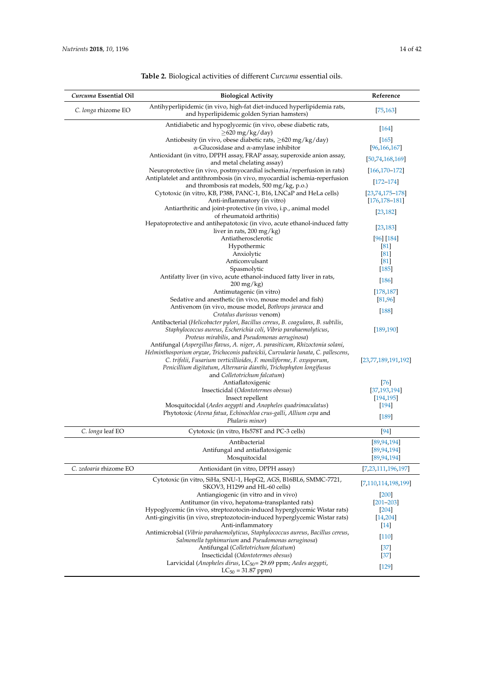| Curcuma Essential Oil  | <b>Biological Activity</b>                                                                                                                                                                                                                                                                                                                       | Reference                               |
|------------------------|--------------------------------------------------------------------------------------------------------------------------------------------------------------------------------------------------------------------------------------------------------------------------------------------------------------------------------------------------|-----------------------------------------|
| C. longa rhizome EO    | Antihyperlipidemic (in vivo, high-fat diet-induced hyperlipidemia rats,<br>and hyperlipidemic golden Syrian hamsters)                                                                                                                                                                                                                            | [75, 163]                               |
|                        | Antidiabetic and hypoglycemic (in vivo, obese diabetic rats,<br>$\geq$ 620 mg/kg/day)                                                                                                                                                                                                                                                            | [164]                                   |
|                        | Antiobesity (in vivo, obese diabetic rats, $>620$ mg/kg/day)<br>$\alpha$ -Glucosidase and $\alpha$ -amylase inhibitor                                                                                                                                                                                                                            | $[165]$<br>[96, 166, 167]               |
|                        | Antioxidant (in vitro, DPPH assay, FRAP assay, superoxide anion assay,<br>and metal chelating assay)                                                                                                                                                                                                                                             | [50,74,168,169]                         |
|                        | Neuroprotective (in vivo, postmyocardial ischemia/reperfusion in rats)                                                                                                                                                                                                                                                                           | $[166, 170 - 172]$                      |
|                        | Antiplatelet and antithrombosis (in vivo, myocardial ischemia-reperfusion<br>and thrombosis rat models, 500 mg/kg, p.o.)                                                                                                                                                                                                                         | $[172 - 174]$                           |
|                        | Cytotoxic (in vitro, KB, P388, PANC-1, B16, LNCaP and HeLa cells)<br>Anti-inflammatory (in vitro)                                                                                                                                                                                                                                                | $[23,74,175-178]$<br>$[176, 178 - 181]$ |
|                        | Antiarthritic and joint-protective (in vivo, i.p., animal model                                                                                                                                                                                                                                                                                  | [23, 182]                               |
|                        | of rheumatoid arthritis)<br>Hepatoprotective and antihepatotoxic (in vivo, acute ethanol-induced fatty                                                                                                                                                                                                                                           | [23, 183]                               |
|                        | liver in rats, $200 \,\mathrm{mg/kg}$ )<br>Antiatherosclerotic                                                                                                                                                                                                                                                                                   | [96] [184]                              |
|                        | Hypothermic                                                                                                                                                                                                                                                                                                                                      | [81]                                    |
|                        | Anxiolytic                                                                                                                                                                                                                                                                                                                                       | [81]                                    |
|                        | Anticonvulsant                                                                                                                                                                                                                                                                                                                                   | [81]                                    |
|                        | Spasmolytic<br>Antifatty liver (in vivo, acute ethanol-induced fatty liver in rats,<br>$200 \,\mathrm{mg/kg}$                                                                                                                                                                                                                                    | $[185]$<br>$[186]$                      |
|                        | Antimutagenic (in vitro)                                                                                                                                                                                                                                                                                                                         | [178, 187]                              |
|                        | Sedative and anesthetic (in vivo, mouse model and fish)                                                                                                                                                                                                                                                                                          | [81,96]                                 |
|                        | Antivenom (in vivo, mouse model, Bothrops jararaca and<br>Crotalus durissus venom)                                                                                                                                                                                                                                                               | $[188]$                                 |
|                        | Antibacterial (Helicobacter pylori, Bacillus cereus, B. coagulans, B. subtilis,<br>Staphylococcus aureus, Escherichia coli, Vibrio parahaemolyticus,<br>Proteus mirabilis, and Pseudomonas aeruginosa)                                                                                                                                           | [189, 190]                              |
|                        | Antifungal (Aspergillus flavus, A. niger, A. parasiticum, Rhizoctonia solani,<br>Helminthosporium oryzae, Trichoconis padwickii, Curvularia lunata, C. pallescens,<br>C. trifolii, Fusarium verticillioides, F. moniliforme, F. oxysporum,<br>Penicillium digitatum, Alternaria dianthi, Trichophyton longifusus<br>and Colletotrichum falcatum) | [23,77,189,191,192]                     |
|                        | Antiaflatoxigenic                                                                                                                                                                                                                                                                                                                                | [76]                                    |
|                        | Insecticidal (Odontotermes obesus)                                                                                                                                                                                                                                                                                                               | [37, 193, 194]                          |
|                        | Insect repellent                                                                                                                                                                                                                                                                                                                                 | [194, 195]                              |
|                        | Mosquitocidal (Aedes aegypti and Anopheles quadrimaculatus)                                                                                                                                                                                                                                                                                      | $[194]$                                 |
|                        | Phytotoxic (Avena fatua, Echinochloa crus-galli, Allium cepa and<br>Phalaris minor)                                                                                                                                                                                                                                                              | $[189]$                                 |
| C. longa leaf EO       | Cytotoxic (in vitro, Hs578T and PC-3 cells)                                                                                                                                                                                                                                                                                                      | $[94]$                                  |
|                        | Antibacterial                                                                                                                                                                                                                                                                                                                                    | [89, 94, 194]                           |
|                        | Antifungal and antiaflatoxigenic<br>Mosquitocidal                                                                                                                                                                                                                                                                                                | [89, 94, 194]<br>[89, 94, 194]          |
| C. zedoaria rhizome EO | Antioxidant (in vitro, DPPH assay)                                                                                                                                                                                                                                                                                                               | [7,23,111,196,197]                      |
|                        | Cytotoxic (in vitro, SiHa, SNU-1, HepG2, AGS, B16BL6, SMMC-7721,<br>SKOV3, H1299 and HL-60 cells)                                                                                                                                                                                                                                                | [7,110,114,198,199]                     |
|                        | Antiangiogenic (in vitro and in vivo)                                                                                                                                                                                                                                                                                                            | [200]                                   |
|                        | Antitumor (in vivo, hepatoma-transplanted rats)                                                                                                                                                                                                                                                                                                  | $[201 - 203]$                           |
|                        | Hypoglycemic (in vivo, streptozotocin-induced hyperglycemic Wistar rats)                                                                                                                                                                                                                                                                         | [204]                                   |
|                        | Anti-gingivitis (in vivo, streptozotocin-induced hyperglycemic Wistar rats)                                                                                                                                                                                                                                                                      | [14, 204]                               |
|                        | Anti-inflammatory                                                                                                                                                                                                                                                                                                                                | $[14]$                                  |
|                        | Antimicrobial (Vibrio parahaemolyticus, Staphylococcus aureus, Bacillus cereus,<br>Salmonella typhimurium and Pseudomonas aeruginosa)                                                                                                                                                                                                            | $[110]$                                 |
|                        | Antifungal (Colletotrichum falcatum)                                                                                                                                                                                                                                                                                                             | [37]                                    |
|                        | Insecticidal (Odontotermes obesus)<br>Larvicidal (Anopheles dirus, LC <sub>50</sub> = 29.69 ppm; Aedes aegypti,                                                                                                                                                                                                                                  | $[37]$                                  |
|                        | $LC_{50} = 31.87$ ppm)                                                                                                                                                                                                                                                                                                                           | $[129]$                                 |

## **Table 2.** Biological activities of different *Curcuma* essential oils.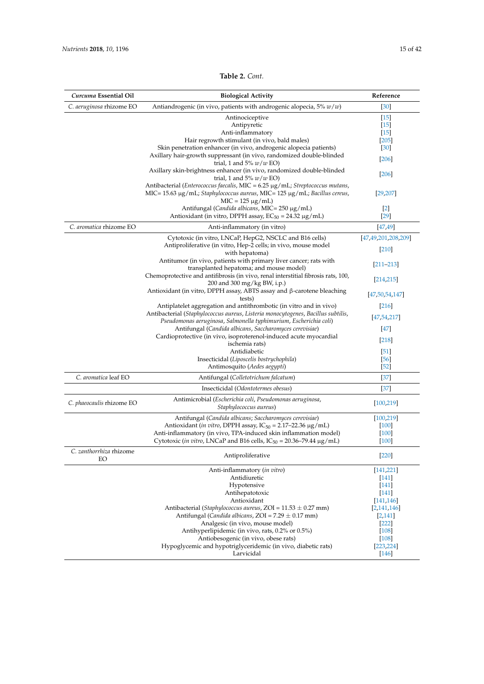| Curcuma Essential Oil         | <b>Biological Activity</b>                                                                                                                                                                                              | Reference           |
|-------------------------------|-------------------------------------------------------------------------------------------------------------------------------------------------------------------------------------------------------------------------|---------------------|
| C. aeruginosa rhizome EO      | Antiandrogenic (in vivo, patients with androgenic alopecia, $5\% w/w$ )                                                                                                                                                 | $[30]$              |
|                               | Antinociceptive                                                                                                                                                                                                         | $[15]$              |
|                               | Antipyretic                                                                                                                                                                                                             | $\vert 15 \vert$    |
|                               | Anti-inflammatory                                                                                                                                                                                                       | $[15]$              |
|                               | Hair regrowth stimulant (in vivo, bald males)                                                                                                                                                                           | $[205]$             |
|                               | Skin penetration enhancer (in vivo, androgenic alopecia patients)                                                                                                                                                       | $\left[30\right]$   |
|                               | Axillary hair-growth suppressant (in vivo, randomized double-blinded<br>trial, 1 and 5% $w/w$ EO)                                                                                                                       | $[206]$             |
|                               | Axillary skin-brightness enhancer (in vivo, randomized double-blinded<br>trial, 1 and 5% $w/w$ EO)                                                                                                                      | $[206]$             |
|                               | Antibacterial ( <i>Enterococcus faecalis</i> , $MIC = 6.25 \mu g/mL$ ; <i>Streptococcus mutans</i> ,<br>MIC = $15.63 \mu g/mL$ ; Staphylococcus aureus, MIC = $125 \mu g/mL$ ; Bacillus cereus,<br>$MIC = 125 \mu g/mL$ | [29, 207]           |
|                               | Antifungal (Candida albicans, MIC= 250 µg/mL)<br>Antioxidant (in vitro, DPPH assay, $EC_{50} = 24.32 \mu g/mL$ )                                                                                                        | $[2]$<br>$[29]$     |
| C. aromatica rhizome EO       | Anti-inflammatory (in vitro)                                                                                                                                                                                            | [47, 49]            |
|                               | Cytotoxic (in vitro, LNCaP, HepG2, NSCLC and B16 cells)                                                                                                                                                                 | [47,49,201,208,209] |
|                               | Antiproliferative (in vitro, Hep-2 cells; in vivo, mouse model<br>with hepatoma)                                                                                                                                        | [210]               |
|                               | Antitumor (in vivo, patients with primary liver cancer; rats with<br>transplanted hepatoma; and mouse model)                                                                                                            | $[211 - 213]$       |
|                               | Chemoprotective and antifibrosis (in vivo, renal interstitial fibrosis rats, 100,<br>200 and 300 mg/kg BW, i.p.)                                                                                                        | [214, 215]          |
|                               | Antioxidant (in vitro, DPPH assay, ABTS assay and $\beta$ -carotene bleaching<br>tests)                                                                                                                                 | [47, 50, 54, 147]   |
|                               | Antiplatelet aggregation and antithrombotic (in vitro and in vivo)                                                                                                                                                      | $[216]$             |
|                               | Antibacterial (Staphylococcus aureus, Listeria monocytogenes, Bacillus subtilis,                                                                                                                                        | [47, 54, 217]       |
|                               | Pseudomonas aeruginosa, Salmonella typhimurium, Escherichia coli)                                                                                                                                                       |                     |
|                               | Antifungal (Candida albicans, Saccharomyces cerevisiae)                                                                                                                                                                 | $[47]$              |
|                               | Cardioprotective (in vivo, isoproterenol-induced acute myocardial                                                                                                                                                       | [218]               |
|                               | ischemia rats)                                                                                                                                                                                                          |                     |
|                               | Antidiabetic                                                                                                                                                                                                            | $\vert 51 \vert$    |
|                               | Insecticidal (Liposcelis bostrychophila)                                                                                                                                                                                | [56]                |
|                               | Antimosquito (Aedes aegypti)                                                                                                                                                                                            | $[52]$              |
| C. aromatica leaf EO          | Antifungal (Colletotrichum falcatum)                                                                                                                                                                                    | $[37]$              |
|                               | Insecticidal (Odontotermes obesus)                                                                                                                                                                                      | $[37]$              |
| C. phaeocaulis rhizome EO     | Antimicrobial (Escherichia coli, Pseudomonas aeruginosa,<br>Staphylococcus aureus)                                                                                                                                      | [100, 219]          |
|                               | Antifungal (Candida albicans; Saccharomyces cerevisiae)                                                                                                                                                                 | [100, 219]          |
|                               | Antioxidant ( <i>in vitro</i> , DPPH assay, $IC_{50} = 2.17 - 22.36 \mu g/mL$ )                                                                                                                                         | $[100]$             |
|                               | Anti-inflammatory (in vivo, TPA-induced skin inflammation model)                                                                                                                                                        | $[100]$             |
|                               | Cytotoxic (in vitro, LNCaP and B16 cells, $IC_{50} = 20.36 - 79.44 \mu g/mL$ )                                                                                                                                          | $[100]$             |
| C. zanthorrhiza rhizome<br>EО | Antiproliferative                                                                                                                                                                                                       | [220]               |
|                               | Anti-inflammatory (in vitro)                                                                                                                                                                                            | [141, 221]          |
|                               | Antidiuretic                                                                                                                                                                                                            | [141]               |
|                               | Hypotensive                                                                                                                                                                                                             | $[141]$             |
|                               | Antihepatotoxic                                                                                                                                                                                                         | [141]               |
|                               | Antioxidant                                                                                                                                                                                                             | [141, 146]          |
|                               | Antibacterial (Staphylococcus aureus, ZOI = $11.53 \pm 0.27$ mm)                                                                                                                                                        | [2,141,146]         |
|                               | Antifungal (Candida albicans, ZOI = $7.29 \pm 0.17$ mm)                                                                                                                                                                 | [2,141]             |
|                               | Analgesic (in vivo, mouse model)                                                                                                                                                                                        | $[222]$             |
|                               | Antihyperlipidemic (in vivo, rats, 0.2% or 0.5%)                                                                                                                                                                        | $[108]$             |
|                               | Antiobesogenic (in vivo, obese rats)                                                                                                                                                                                    | $[108]$             |
|                               | Hypoglycemic and hypotriglyceridemic (in vivo, diabetic rats)                                                                                                                                                           | [223, 224]          |
|                               |                                                                                                                                                                                                                         |                     |

Larvicidal [\[146\]](#page-34-3)

### **Table 2.** *Cont.*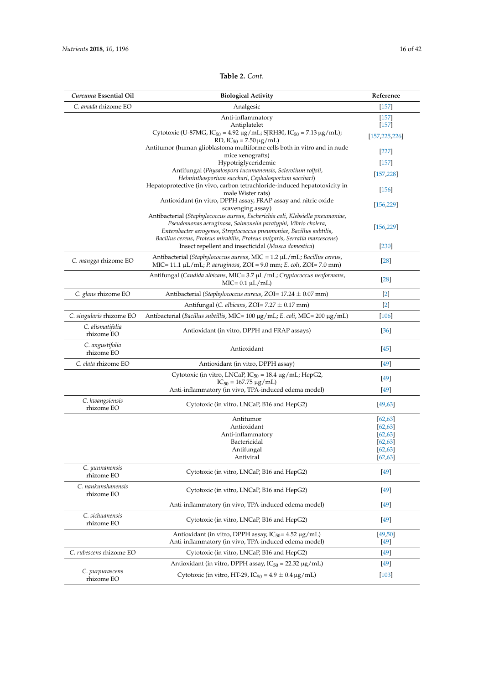### **Table 2.** *Cont.*

<span id="page-15-0"></span>

| Curcuma Essential Oil            | <b>Biological Activity</b>                                                                                                                                  | Reference                  |
|----------------------------------|-------------------------------------------------------------------------------------------------------------------------------------------------------------|----------------------------|
| C. amada rhizome EO              | Analgesic                                                                                                                                                   | $[157]$                    |
|                                  | Anti-inflammatory                                                                                                                                           | $[157]$                    |
|                                  | Antiplatelet<br>Cytotoxic (U-87MG, IC <sub>50</sub> = 4.92 µg/mL; SJRH30, IC <sub>50</sub> = 7.13 µg/mL);                                                   | $[157]$<br>[157, 225, 226] |
|                                  | RD, $IC_{50} = 7.50 \mu g/mL$<br>Antitumor (human glioblastoma multiforme cells both in vitro and in nude                                                   |                            |
|                                  | mice xenografts)                                                                                                                                            | $[227]$                    |
|                                  | Hypotriglyceridemic<br>Antifungal (Physalospora tucumanensis, Sclerotium rolfsii,                                                                           | $[157]$                    |
|                                  | Helminthosporium sacchari, Cephalosporium sacchari)                                                                                                         | [157, 228]                 |
|                                  | Hepatoprotective (in vivo, carbon tetrachloride-induced hepatotoxicity in<br>male Wister rats)                                                              | $[156]$                    |
|                                  | Antioxidant (in vitro, DPPH assay, FRAP assay and nitric oxide<br>scavenging assay)                                                                         | [156, 229]                 |
|                                  | Antibacterial (Staphylococcus aureus, Escherichia coli, Klebsiella pneumoniae,<br>Pseudomonas aeruginosa, Salmonella paratyphi, Vibrio cholera,             |                            |
|                                  | Enterobacter aerogenes, Streptococcus pneumoniae, Bacillus subtilis,                                                                                        | [156, 229]                 |
|                                  | Bacillus cereus, Proteus mirabilis, Proteus vulgaris, Serratia marcescens)<br>Insect repellent and insecticidal (Musca domestica)                           | $[230]$                    |
| C. mangga rhizome EO             | Antibacterial (Staphylococcus aureus, MIC = $1.2 \mu L/mL$ ; Bacillus cereus,<br>MIC = 11.1 $\mu$ L/mL; P. aeruginosa, ZOI = 9.0 mm; E. coli, ZOI = 7.0 mm) | $[28]$                     |
|                                  | Antifungal (Candida albicans, MIC= 3.7 μL/mL; Cryptococcus neoformans,<br>$MIC = 0.1 \mu L/mL)$                                                             | $[28]$                     |
| C. glans rhizome EO              | Antibacterial (Staphylococcus aureus, ZOI= 17.24 ± 0.07 mm)                                                                                                 | $[2]$                      |
|                                  | Antifungal (C. albicans, ZOI=7.27 ± 0.17 mm)                                                                                                                | $[2]$                      |
| C. singularis rhizome EO         | Antibacterial (Bacillus subtillis, MIC= 100 μg/mL; E. coli, MIC= 200 μg/mL)                                                                                 | $[106]$                    |
| C. alismatifolia<br>rhizome EO   | Antioxidant (in vitro, DPPH and FRAP assays)                                                                                                                | [36]                       |
| C. angustifolia<br>rhizome EO    | Antioxidant                                                                                                                                                 | $[45]$                     |
| C. elata rhizome EO              | Antioxidant (in vitro, DPPH assay)                                                                                                                          | $[49]$                     |
|                                  | Cytotoxic (in vitro, LNCaP, $IC_{50} = 18.4 \mu g/mL$ ; HepG2,                                                                                              | $[49]$                     |
|                                  | $IC_{50} = 167.75 \mu g/mL$<br>Anti-inflammatory (in vivo, TPA-induced edema model)                                                                         | $[49]$                     |
| C. kwangsiensis<br>rhizome EO    | Cytotoxic (in vitro, LNCaP, B16 and HepG2)                                                                                                                  | [49, 63]                   |
|                                  | Antitumor                                                                                                                                                   | [62, 63]                   |
|                                  | Antioxidant                                                                                                                                                 | [62, 63]                   |
|                                  | Anti-inflammatory<br>Bactericidal                                                                                                                           | [62, 63]                   |
|                                  | Antifungal                                                                                                                                                  | [62, 63]<br>[62, 63]       |
|                                  | Antiviral                                                                                                                                                   | [62, 63]                   |
| C. yunnanensis<br>rhizome EO     | Cytotoxic (in vitro, LNCaP, B16 and HepG2)                                                                                                                  | $[49]$                     |
| C. nankunshanensis<br>rhizome EO | Cytotoxic (in vitro, LNCaP, B16 and HepG2)                                                                                                                  | $[49]$                     |
|                                  | Anti-inflammatory (in vivo, TPA-induced edema model)                                                                                                        | $[49]$                     |
| C. sichuanensis<br>rhizome EO    | Cytotoxic (in vitro, LNCaP, B16 and HepG2)                                                                                                                  | $[49]$                     |
|                                  | Antioxidant (in vitro, DPPH assay, $IC_{50} = 4.52 \mu g/mL$ )<br>Anti-inflammatory (in vivo, TPA-induced edema model)                                      | [49, 50]<br>$[49]$         |
| C. rubescens rhizome EO          | Cytotoxic (in vitro, LNCaP, B16 and HepG2)                                                                                                                  | $[49]$                     |
|                                  | Antioxidant (in vitro, DPPH assay, $IC_{50} = 22.32 \mu g/mL$ )                                                                                             | $[49]$                     |
| C. purpurascens<br>rhizome EO    | Cytotoxic (in vitro, HT-29, IC <sub>50</sub> = $4.9 \pm 0.4 \,\mu$ g/mL)                                                                                    | $[103]$                    |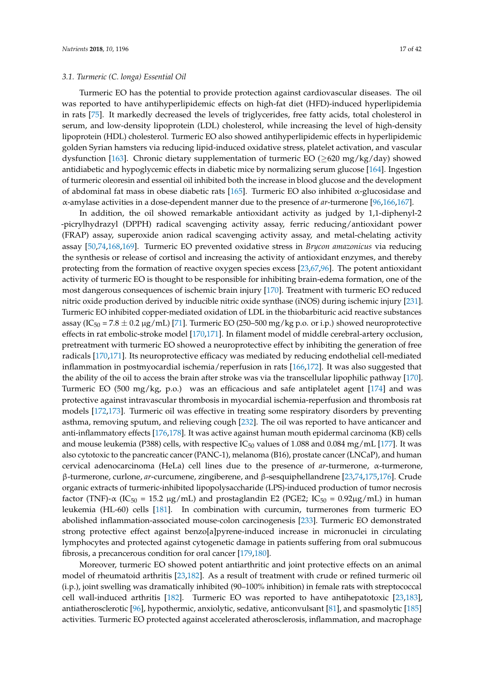Turmeric EO has the potential to provide protection against cardiovascular diseases. The oil was reported to have antihyperlipidemic effects on high-fat diet (HFD)-induced hyperlipidemia in rats [\[75\]](#page-30-31). It markedly decreased the levels of triglycerides, free fatty acids, total cholesterol in serum, and low-density lipoprotein (LDL) cholesterol, while increasing the level of high-density lipoprotein (HDL) cholesterol. Turmeric EO also showed antihyperlipidemic effects in hyperlipidemic golden Syrian hamsters via reducing lipid-induced oxidative stress, platelet activation, and vascular dysfunction [\[163\]](#page-34-19). Chronic dietary supplementation of turmeric EO ( $\geq$ 620 mg/kg/day) showed antidiabetic and hypoglycemic effects in diabetic mice by normalizing serum glucose [\[164\]](#page-34-20). Ingestion of turmeric oleoresin and essential oil inhibited both the increase in blood glucose and the development of abdominal fat mass in obese diabetic rats [\[165\]](#page-34-21). Turmeric EO also inhibited  $\alpha$ -glucosidase and α-amylase activities in a dose-dependent manner due to the presence of *ar*-turmerone [\[96,](#page-31-27)[166,](#page-35-0)[167\]](#page-35-1).

In addition, the oil showed remarkable antioxidant activity as judged by 1,1-diphenyl-2 -picrylhydrazyl (DPPH) radical scavenging activity assay, ferric reducing/antioxidant power (FRAP) assay, superoxide anion radical scavenging activity assay, and metal-chelating activity assay [\[50](#page-29-30)[,74](#page-30-32)[,168](#page-35-2)[,169\]](#page-35-3). Turmeric EO prevented oxidative stress in *Brycon amazonicus* via reducing the synthesis or release of cortisol and increasing the activity of antioxidant enzymes, and thereby protecting from the formation of reactive oxygen species excess [\[23](#page-28-6)[,67](#page-30-17)[,96\]](#page-31-27). The potent antioxidant activity of turmeric EO is thought to be responsible for inhibiting brain-edema formation, one of the most dangerous consequences of ischemic brain injury [\[170\]](#page-35-4). Treatment with turmeric EO reduced nitric oxide production derived by inducible nitric oxide synthase (iNOS) during ischemic injury [\[231\]](#page-38-2). Turmeric EO inhibited copper-mediated oxidation of LDL in the thiobarbituric acid reactive substances assay (IC<sub>50</sub> = 7.8  $\pm$  0.2 µg/mL) [\[71\]](#page-30-27). Turmeric EO (250–500 mg/kg p.o. or i.p.) showed neuroprotective effects in rat embolic-stroke model [\[170,](#page-35-4)[171\]](#page-35-16). In filament model of middle cerebral-artery occlusion, pretreatment with turmeric EO showed a neuroprotective effect by inhibiting the generation of free radicals [\[170](#page-35-4)[,171\]](#page-35-16). Its neuroprotective efficacy was mediated by reducing endothelial cell-mediated inflammation in postmyocardial ischemia/reperfusion in rats [\[166,](#page-35-0)[172\]](#page-35-5). It was also suggested that the ability of the oil to access the brain after stroke was via the transcellular lipophilic pathway [\[170\]](#page-35-4). Turmeric EO (500 mg/kg, p.o.) was an efficacious and safe antiplatelet agent [\[174\]](#page-35-6) and was protective against intravascular thrombosis in myocardial ischemia-reperfusion and thrombosis rat models [\[172](#page-35-5)[,173\]](#page-35-17). Turmeric oil was effective in treating some respiratory disorders by preventing asthma, removing sputum, and relieving cough [\[232\]](#page-38-3). The oil was reported to have anticancer and anti-inflammatory effects [\[176,](#page-35-9)[178\]](#page-35-8). It was active against human mouth epidermal carcinoma (KB) cells and mouse leukemia (P388) cells, with respective  $IC_{50}$  values of 1.088 and 0.084 mg/mL [\[177\]](#page-35-18). It was also cytotoxic to the pancreatic cancer (PANC-1), melanoma (B16), prostate cancer (LNCaP), and human cervical adenocarcinoma (HeLa) cell lines due to the presence of *ar*-turmerone, α-turmerone, β-turmerone, curlone, *ar*-curcumene, zingiberene, and β-sesquiphellandrene [\[23,](#page-28-6)[74,](#page-30-32)[175,](#page-35-7)[176\]](#page-35-9). Crude organic extracts of turmeric-inhibited lipopolysaccharide (LPS)-induced production of tumor necrosis factor (TNF)- $\alpha$  (IC<sub>50</sub> = 15.2 µg/mL) and prostaglandin E2 (PGE2; IC<sub>50</sub> = 0.92µg/mL) in human leukemia (HL-60) cells [\[181\]](#page-35-10). In combination with curcumin, turmerones from turmeric EO abolished inflammation-associated mouse-colon carcinogenesis [\[233\]](#page-38-4). Turmeric EO demonstrated strong protective effect against benzo[a]pyrene-induced increase in micronuclei in circulating lymphocytes and protected against cytogenetic damage in patients suffering from oral submucous fibrosis, a precancerous condition for oral cancer [\[179](#page-35-19)[,180\]](#page-35-20).

Moreover, turmeric EO showed potent antiarthritic and joint protective effects on an animal model of rheumatoid arthritis [\[23,](#page-28-6)[182\]](#page-35-11). As a result of treatment with crude or refined turmeric oil (i.p.), joint swelling was dramatically inhibited (90–100% inhibition) in female rats with streptococcal cell wall-induced arthritis [\[182\]](#page-35-11). Turmeric EO was reported to have antihepatotoxic [\[23,](#page-28-6)[183\]](#page-35-12), antiatherosclerotic [\[96\]](#page-31-27), hypothermic, anxiolytic, sedative, anticonvulsant [\[81\]](#page-31-32), and spasmolytic [\[185\]](#page-35-14) activities. Turmeric EO protected against accelerated atherosclerosis, inflammation, and macrophage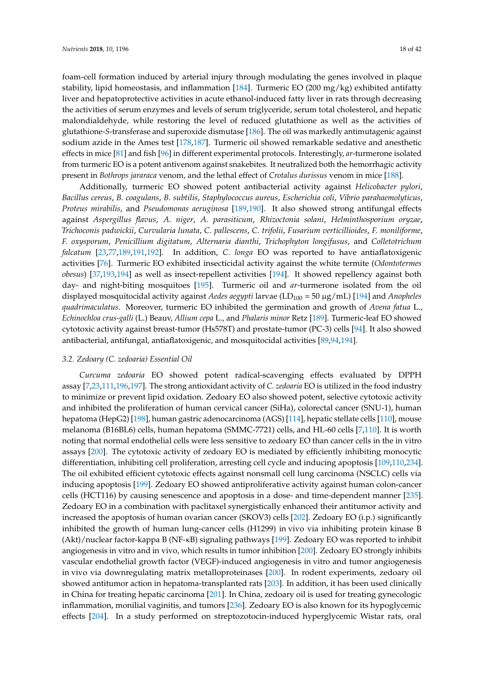foam-cell formation induced by arterial injury through modulating the genes involved in plaque stability, lipid homeostasis, and inflammation [\[184\]](#page-35-13). Turmeric EO (200 mg/kg) exhibited antifatty liver and hepatoprotective activities in acute ethanol-induced fatty liver in rats through decreasing the activities of serum enzymes and levels of serum triglyceride, serum total cholesterol, and hepatic malondialdehyde, while restoring the level of reduced glutathione as well as the activities of glutathione-*S*-transferase and superoxide dismutase [\[186\]](#page-35-15). The oil was markedly antimutagenic against sodium azide in the Ames test [\[178](#page-35-8)[,187\]](#page-36-0). Turmeric oil showed remarkable sedative and anesthetic effects in mice [\[81\]](#page-31-32) and fish [\[96\]](#page-31-27) in different experimental protocols. Interestingly, *ar*-turmerone isolated from turmeric EO is a potent antivenom against snakebites. It neutralized both the hemorrhagic activity present in *Bothrops jararaca* venom, and the lethal effect of *Crotalus durissus* venom in mice [\[188\]](#page-36-1).

Additionally, turmeric EO showed potent antibacterial activity against *Helicobacter pylori*, *Bacillus cereus*, *B. coagulans*, *B. subtilis*, *Staphylococcus aureus*, *Escherichia coli*, *Vibrio parahaemolyticus*, *Proteus mirabilis*, and *Pseudomonas aeruginosa* [\[189](#page-36-2)[,190\]](#page-36-3). It also showed strong antifungal effects against *Aspergillus flavus*, *A. niger*, *A. parasiticum*, *Rhizoctonia solani*, *Helminthosporium oryzae*, *Trichoconis padwickii*, *Curvularia lunata*, *C. pallescens*, *C. trifolii*, *Fusarium verticillioides*, *F. moniliforme*, *F. oxysporum*, *Penicillium digitatum*, *Alternaria dianthi*, *Trichophyton longifusus*, and *Colletotrichum falcatum* [\[23](#page-28-6)[,77](#page-30-33)[,189,](#page-36-2)[191,](#page-36-4)[192\]](#page-36-5). In addition, *C. longa* EO was reported to have antiaflatoxigenic activities [\[76\]](#page-30-21). Turmeric EO exhibited insecticidal activity against the white termite (*Odontotermes obesus*) [\[37,](#page-29-22)[193,](#page-36-6)[194\]](#page-36-7) as well as insect-repellent activities [\[194\]](#page-36-7). It showed repellency against both day- and night-biting mosquitoes [\[195\]](#page-36-8). Turmeric oil and *ar*-turmerone isolated from the oil displayed mosquitocidal activity against *Aedes aegypti* larvae (LD<sub>100</sub> = 50 μg/mL) [\[194\]](#page-36-7) and *Anopheles quadrimaculatus*. Moreover, turmeric EO inhibited the germination and growth of *Avena fatua* L., *Echinochloa crus-galli* (L.) Beauv, *Allium cepa* L., and *Phalaris minor* Retz [\[189\]](#page-36-2). Turmeric-leaf EO showed cytotoxic activity against breast-tumor (Hs578T) and prostate-tumor (PC-3) cells [\[94\]](#page-31-20). It also showed antibacterial, antifungal, antiaflatoxigenic, and mosquitocidal activities [\[89](#page-31-25)[,94](#page-31-20)[,194\]](#page-36-7).

### *3.2. Zedoary (C. zedoaria) Essential Oil*

*Curcuma zedoaria* EO showed potent radical-scavenging effects evaluated by DPPH assay [\[7](#page-27-8)[,23](#page-28-6)[,111](#page-32-24)[,196,](#page-36-9)[197\]](#page-36-10). The strong antioxidant activity of *C. zedoaria* EO is utilized in the food industry to minimize or prevent lipid oxidation. Zedoary EO also showed potent, selective cytotoxic activity and inhibited the proliferation of human cervical cancer (SiHa), colorectal cancer (SNU-1), human hepatoma (HepG2) [\[198\]](#page-36-11), human gastric adenocarcinoma (AGS) [\[114\]](#page-32-35), hepatic stellate cells [\[110\]](#page-32-23), mouse melanoma (B16BL6) cells, human hepatoma (SMMC-7721) cells, and HL-60 cells [\[7,](#page-27-8)[110\]](#page-32-23). It is worth noting that normal endothelial cells were less sensitive to zedoary EO than cancer cells in the in vitro assays [\[200\]](#page-36-13). The cytotoxic activity of zedoary EO is mediated by efficiently inhibiting monocytic differentiation, inhibiting cell proliferation, arresting cell cycle and inducing apoptosis [\[109,](#page-32-22)[110,](#page-32-23)[234\]](#page-38-5). The oil exhibited efficient cytotoxic effects against nonsmall cell lung carcinoma (NSCLC) cells via inducing apoptosis [\[199\]](#page-36-12). Zedoary EO showed antiproliferative activity against human colon-cancer cells (HCT116) by causing senescence and apoptosis in a dose- and time-dependent manner [\[235\]](#page-38-6). Zedoary EO in a combination with paclitaxel synergistically enhanced their antitumor activity and increased the apoptosis of human ovarian cancer (SKOV3) cells [\[202\]](#page-36-20). Zedoary EO (i.p.) significantly inhibited the growth of human lung-cancer cells (H1299) in vivo via inhibiting protein kinase B (Akt)/nuclear factor-kappa B (NF-κB) signaling pathways [\[199\]](#page-36-12). Zedoary EO was reported to inhibit angiogenesis in vitro and in vivo, which results in tumor inhibition [\[200\]](#page-36-13). Zedoary EO strongly inhibits vascular endothelial growth factor (VEGF)-induced angiogenesis in vitro and tumor angiogenesis in vivo via downregulating matrix metalloproteinases [\[200\]](#page-36-13). In rodent experiments, zedoary oil showed antitumor action in hepatoma-transplanted rats [\[203\]](#page-36-15). In addition, it has been used clinically in China for treating hepatic carcinoma [\[201\]](#page-36-14). In China, zedoary oil is used for treating gynecologic inflammation, monilial vaginitis, and tumors [\[236\]](#page-38-7). Zedoary EO is also known for its hypoglycemic effects [\[204\]](#page-36-16). In a study performed on streptozotocin-induced hyperglycemic Wistar rats, oral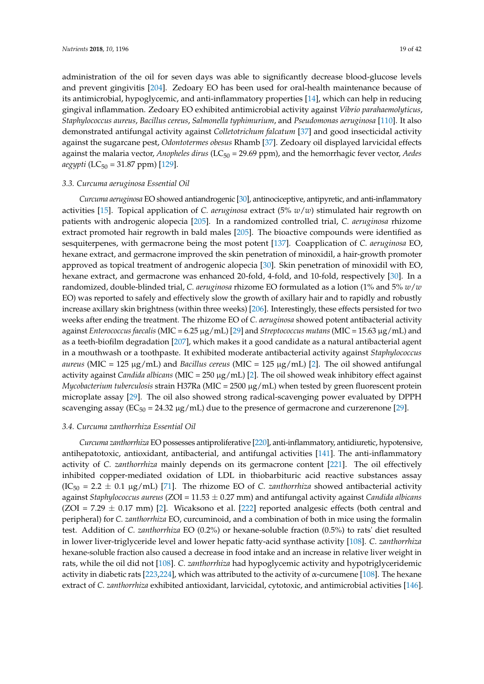administration of the oil for seven days was able to significantly decrease blood-glucose levels and prevent gingivitis [\[204\]](#page-36-16). Zedoary EO has been used for oral-health maintenance because of its antimicrobial, hypoglycemic, and anti-inflammatory properties [\[14\]](#page-28-29), which can help in reducing gingival inflammation. Zedoary EO exhibited antimicrobial activity against *Vibrio parahaemolyticus*, *Staphylococcus aureus*, *Bacillus cereus*, *Salmonella typhimurium*, and *Pseudomonas aeruginosa* [\[110\]](#page-32-23). It also demonstrated antifungal activity against *Colletotrichum falcatum* [\[37\]](#page-29-22) and good insecticidal activity against the sugarcane pest, *Odontotermes obesus* Rhamb [\[37\]](#page-29-22). Zedoary oil displayed larvicidal effects against the malaria vector, *Anopheles dirus* (LC<sub>50</sub> = 29.69 ppm), and the hemorrhagic fever vector, *Aedes aegypti* (LC<sub>50</sub> = 31.87 ppm) [\[129\]](#page-33-9).

#### *3.3. Curcuma aeruginosa Essential Oil*

*Curcuma aeruginosa* EO showed antiandrogenic [\[30\]](#page-28-25), antinociceptive, antipyretic, and anti-inflammatory activities [\[15\]](#page-28-30). Topical application of *C. aeruginosa* extract (5% *w*/*w*) stimulated hair regrowth on patients with androgenic alopecia [\[205\]](#page-36-17). In a randomized controlled trial, *C. aeruginosa* rhizome extract promoted hair regrowth in bald males [\[205\]](#page-36-17). The bioactive compounds were identified as sesquiterpenes, with germacrone being the most potent [\[137\]](#page-33-20). Coapplication of *C. aeruginosa* EO, hexane extract, and germacrone improved the skin penetration of minoxidil, a hair-growth promoter approved as topical treatment of androgenic alopecia [\[30\]](#page-28-25). Skin penetration of minoxidil with EO, hexane extract, and germacrone was enhanced 20-fold, 4-fold, and 10-fold, respectively [\[30\]](#page-28-25). In a randomized, double-blinded trial, *C. aeruginosa* rhizome EO formulated as a lotion (1% and 5% *w*/*w* EO) was reported to safely and effectively slow the growth of axillary hair and to rapidly and robustly increase axillary skin brightness (within three weeks) [\[206\]](#page-36-18). Interestingly, these effects persisted for two weeks after ending the treatment. The rhizome EO of *C. aeruginosa* showed potent antibacterial activity against *Enterococcus faecalis* (MIC = 6.25 µg/mL) [\[29\]](#page-28-23) and *Streptococcus mutans* (MIC = 15.63 µg/mL) and as a teeth-biofilm degradation [\[207\]](#page-36-19), which makes it a good candidate as a natural antibacterial agent in a mouthwash or a toothpaste. It exhibited moderate antibacterial activity against *Staphylococcus aureus* (MIC = 125  $\mu$ g/mL) and *Bacillus cereus* (MIC = 125  $\mu$ g/mL) [\[2\]](#page-27-1). The oil showed antifungal activity against *Candida albicans* (MIC = 250 µg/mL) [\[2\]](#page-27-1). The oil showed weak inhibitory effect against *Mycobacterium tuberculosis* strain H37Ra (MIC = 2500 µg/mL) when tested by green fluorescent protein microplate assay [\[29\]](#page-28-23). The oil also showed strong radical-scavenging power evaluated by DPPH scavenging assay ( $EC_{50} = 24.32 \mu g/mL$ ) due to the presence of germacrone and curzerenone [\[29\]](#page-28-23).

### *3.4. Curcuma zanthorrhiza Essential Oil*

*Curcuma zanthorrhiza* EO possesses antiproliferative [\[220\]](#page-37-11), anti-inflammatory, antidiuretic, hypotensive, antihepatotoxic, antioxidant, antibacterial, and antifungal activities [\[141\]](#page-33-19). The anti-inflammatory activity of *C. zanthorrhiza* mainly depends on its germacrone content [\[221\]](#page-37-12). The oil effectively inhibited copper-mediated oxidation of LDL in thiobarbituric acid reactive substances assay  $(IC<sub>50</sub> = 2.2 ± 0.1 \mu g/mL)$  [\[71\]](#page-30-27). The rhizome EO of *C. zanthorrhiza* showed antibacterial activity against *Staphylococcus aureus* (ZOI = 11.53 ± 0.27 mm) and antifungal activity against *Candida albicans*  $(ZOI = 7.29 \pm 0.17$  mm) [\[2\]](#page-27-1). Wicaksono et al. [\[222\]](#page-37-13) reported analgesic effects (both central and peripheral) for *C. zanthorrhiza* EO, curcuminoid, and a combination of both in mice using the formalin test. Addition of *C. zanthorrhiza* EO (0.2%) or hexane-soluble fraction (0.5%) to rats' diet resulted in lower liver-triglyceride level and lower hepatic fatty-acid synthase activity [\[108\]](#page-32-26). *C. zanthorrhiza* hexane-soluble fraction also caused a decrease in food intake and an increase in relative liver weight in rats, while the oil did not [\[108\]](#page-32-26). *C. zanthorrhiza* had hypoglycemic activity and hypotriglyceridemic activity in diabetic rats [\[223](#page-37-14)[,224\]](#page-37-15), which was attributed to the activity of  $\alpha$ -curcumene [\[108\]](#page-32-26). The hexane extract of *C. zanthorrhiza* exhibited antioxidant, larvicidal, cytotoxic, and antimicrobial activities [\[146\]](#page-34-3).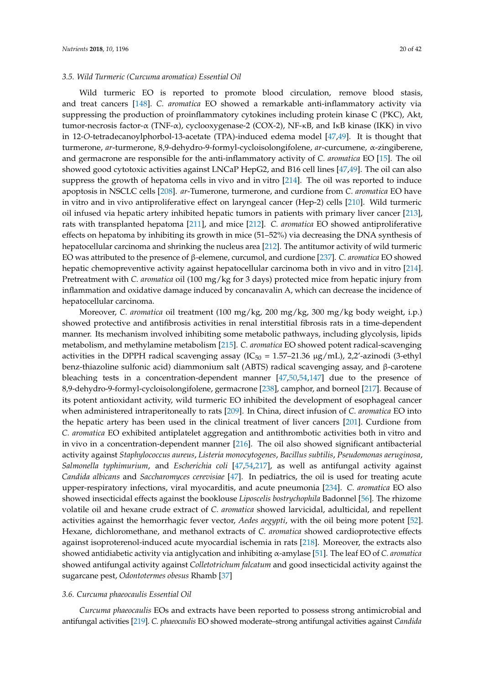### *3.5. Wild Turmeric (Curcuma aromatica) Essential Oil*

Wild turmeric EO is reported to promote blood circulation, remove blood stasis, and treat cancers [\[148\]](#page-34-5). *C. aromatica* EO showed a remarkable anti-inflammatory activity via suppressing the production of proinflammatory cytokines including protein kinase C (PKC), Akt, tumor-necrosis factor-α (TNF-α), cyclooxygenase-2 (COX-2), NF-κB, and IκB kinase (IKK) in vivo in 12-*O*-tetradecanoylphorbol-13-acetate (TPA)-induced edema model [\[47](#page-29-24)[,49\]](#page-29-26). It is thought that turmerone, *ar*-turmerone, 8,9-dehydro-9-formyl-cycloisolongifolene, *ar*-curcumene, α-zingiberene, and germacrone are responsible for the anti-inflammatory activity of *C. aromatica* EO [\[15\]](#page-28-30). The oil showed good cytotoxic activities against LNCaP HepG2, and B16 cell lines [\[47](#page-29-24)[,49\]](#page-29-26). The oil can also suppress the growth of hepatoma cells in vivo and in vitro [\[214\]](#page-37-5). The oil was reported to induce apoptosis in NSCLC cells [\[208\]](#page-37-0). *ar*-Tumerone, turmerone, and curdione from *C. aromatica* EO have in vitro and in vivo antiproliferative effect on laryngeal cancer (Hep-2) cells [\[210\]](#page-37-2). Wild turmeric oil infused via hepatic artery inhibited hepatic tumors in patients with primary liver cancer [\[213\]](#page-37-4), rats with transplanted hepatoma [\[211\]](#page-37-3), and mice [\[212\]](#page-37-20). *C. aromatica* EO showed antiproliferative effects on hepatoma by inhibiting its growth in mice (51–52%) via decreasing the DNA synthesis of hepatocellular carcinoma and shrinking the nucleus area [\[212\]](#page-37-20). The antitumor activity of wild turmeric EO was attributed to the presence of β-elemene, curcumol, and curdione [\[237\]](#page-38-8). *C. aromatica* EO showed hepatic chemopreventive activity against hepatocellular carcinoma both in vivo and in vitro [\[214\]](#page-37-5). Pretreatment with *C. aromatica* oil (100 mg/kg for 3 days) protected mice from hepatic injury from inflammation and oxidative damage induced by concanavalin A, which can decrease the incidence of hepatocellular carcinoma.

Moreover, *C. aromatica* oil treatment (100 mg/kg, 200 mg/kg, 300 mg/kg body weight, i.p.) showed protective and antifibrosis activities in renal interstitial fibrosis rats in a time-dependent manner. Its mechanism involved inhibiting some metabolic pathways, including glycolysis, lipids metabolism, and methylamine metabolism [\[215\]](#page-37-6). *C. aromatica* EO showed potent radical-scavenging activities in the DPPH radical scavenging assay ( $IC_{50} = 1.57-21.36 \mu g/mL$ ), 2,2'-azinodi (3-ethyl benz-thiazoline sulfonic acid) diammonium salt (ABTS) radical scavenging assay, and β-carotene bleaching tests in a concentration-dependent manner  $[47,50,54,147]$  $[47,50,54,147]$  $[47,50,54,147]$  $[47,50,54,147]$  due to the presence of 8,9-dehydro-9-formyl-cycloisolongifolene, germacrone [\[238\]](#page-38-9), camphor, and borneol [\[217\]](#page-37-8). Because of its potent antioxidant activity, wild turmeric EO inhibited the development of esophageal cancer when administered intraperitoneally to rats [\[209\]](#page-37-1). In China, direct infusion of *C. aromatica* EO into the hepatic artery has been used in the clinical treatment of liver cancers [\[201\]](#page-36-14). Curdione from *C. aromatica* EO exhibited antiplatelet aggregation and antithrombotic activities both in vitro and in vivo in a concentration-dependent manner [\[216\]](#page-37-7). The oil also showed significant antibacterial activity against *Staphylococcus aureus*, *Listeria monocytogenes*, *Bacillus subtilis*, *Pseudomonas aeruginosa*, *Salmonella typhimurium*, and *Escherichia coli* [\[47,](#page-29-24)[54](#page-29-25)[,217\]](#page-37-8), as well as antifungal activity against *Candida albicans* and *Saccharomyces cerevisiae* [\[47\]](#page-29-24). In pediatrics, the oil is used for treating acute upper-respiratory infections, viral myocarditis, and acute pneumonia [\[234\]](#page-38-5). *C. aromatica* EO also showed insecticidal effects against the booklouse *Liposcelis bostrychophila* Badonnel [\[56\]](#page-29-41). The rhizome volatile oil and hexane crude extract of *C. aromatica* showed larvicidal, adulticidal, and repellent activities against the hemorrhagic fever vector, *Aedes aegypti*, with the oil being more potent [\[52\]](#page-29-42). Hexane, dichloromethane, and methanol extracts of *C. aromatica* showed cardioprotective effects against isoproterenol-induced acute myocardial ischemia in rats [\[218\]](#page-37-9). Moreover, the extracts also showed antidiabetic activity via antiglycation and inhibiting α-amylase [\[51\]](#page-29-29). The leaf EO of *C. aromatica* showed antifungal activity against *Colletotrichum falcatum* and good insecticidal activity against the sugarcane pest, *Odontotermes obesus* Rhamb [\[37\]](#page-29-22)

#### *3.6. Curcuma phaeocaulis Essential Oil*

*Curcuma phaeocaulis* EOs and extracts have been reported to possess strong antimicrobial and antifungal activities [\[219\]](#page-37-10). *C. phaeocaulis* EO showed moderate–strong antifungal activities against *Candida*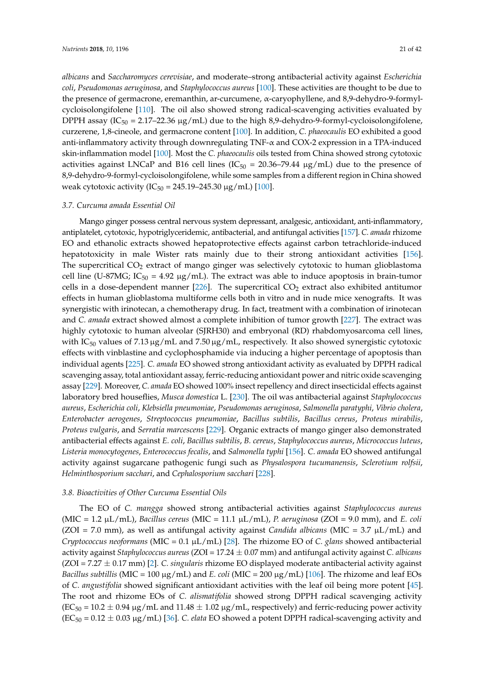*albicans* and *Saccharomyces cerevisiae*, and moderate–strong antibacterial activity against *Escherichia coli*, *Pseudomonas aeruginosa*, and *Staphylococcus aureus* [\[100\]](#page-32-27). These activities are thought to be due to the presence of germacrone, eremanthin, ar-curcumene, α-caryophyllene, and 8,9-dehydro-9-formylcycloisolongifolene [\[110\]](#page-32-23). The oil also showed strong radical-scavenging activities evaluated by DPPH assay (IC<sub>50</sub> = 2.17–22.36  $\mu$ g/mL) due to the high 8,9-dehydro-9-formyl-cycloisolongifolene, curzerene, 1,8-cineole, and germacrone content [\[100\]](#page-32-27). In addition, *C. phaeocaulis* EO exhibited a good anti-inflammatory activity through downregulating TNF- $\alpha$  and COX-2 expression in a TPA-induced skin-inflammation model [\[100\]](#page-32-27). Most the *C. phaeocaulis* oils tested from China showed strong cytotoxic activities against LNCaP and B16 cell lines ( $IC_{50} = 20.36-79.44 \text{ µg/mL}$ ) due to the presence of 8,9-dehydro-9-formyl-cycloisolongifolene, while some samples from a different region in China showed weak cytotoxic activity ( $IC_{50} = 245.19 - 245.30 \mu g/mL$ ) [\[100\]](#page-32-27).

### *3.7. Curcuma amada Essential Oil*

Mango ginger possess central nervous system depressant, analgesic, antioxidant, anti-inflammatory, antiplatelet, cytotoxic, hypotriglyceridemic, antibacterial, and antifungal activities [\[157\]](#page-34-14). *C. amada* rhizome EO and ethanolic extracts showed hepatoprotective effects against carbon tetrachloride-induced hepatotoxicity in male Wister rats mainly due to their strong antioxidant activities [\[156\]](#page-34-13). The supercritical  $CO<sub>2</sub>$  extract of mango ginger was selectively cytotoxic to human glioblastoma cell line (U-87MG;  $IC_{50} = 4.92 \mu g/mL$ ). The extract was able to induce apoptosis in brain-tumor cells in a dose-dependent manner [\[226\]](#page-37-17). The supercritical  $CO<sub>2</sub>$  extract also exhibited antitumor effects in human glioblastoma multiforme cells both in vitro and in nude mice xenografts. It was synergistic with irinotecan, a chemotherapy drug. In fact, treatment with a combination of irinotecan and *C. amada* extract showed almost a complete inhibition of tumor growth [\[227\]](#page-37-18). The extract was highly cytotoxic to human alveolar (SJRH30) and embryonal (RD) rhabdomyosarcoma cell lines, with  $IC_{50}$  values of 7.13  $\mu$ g/mL and 7.50  $\mu$ g/mL, respectively. It also showed synergistic cytotoxic effects with vinblastine and cyclophosphamide via inducing a higher percentage of apoptosis than individual agents [\[225\]](#page-37-16). *C. amada* EO showed strong antioxidant activity as evaluated by DPPH radical scavenging assay, total antioxidant assay, ferric-reducing antioxidant power and nitric oxide scavenging assay [\[229\]](#page-38-0). Moreover, *C. amada* EO showed 100% insect repellency and direct insecticidal effects against laboratory bred houseflies, *Musca domestica* L. [\[230\]](#page-38-1). The oil was antibacterial against *Staphylococcus aureus*, *Escherichia coli*, *Klebsiella pneumoniae*, *Pseudomonas aeruginosa*, *Salmonella paratyphi*, *Vibrio cholera*, *Enterobacter aerogenes*, *Streptococcus pneumoniae*, *Bacillus subtilis*, *Bacillus cereus*, *Proteus mirabilis*, *Proteus vulgaris*, and *Serratia marcescens* [\[229\]](#page-38-0). Organic extracts of mango ginger also demonstrated antibacterial effects against *E. coli*, *Bacillus subtilis*, *B. cereus*, *Staphylococcus aureus*, *Micrococcus luteus*, *Listeria monocytogenes*, *Enterococcus fecalis*, and *Salmonella typhi* [\[156\]](#page-34-13). *C. amada* EO showed antifungal activity against sugarcane pathogenic fungi such as *Physalospora tucumanensis*, *Sclerotium rolfsii*, *Helminthosporium sacchari*, and *Cephalosporium sacchari* [\[228\]](#page-37-19).

### *3.8. Bioactivities of Other Curcuma Essential Oils*

The EO of *C. mangga* showed strong antibacterial activities against *Staphylococcus aureus* (MIC = 1.2 µL/mL), *Bacillus cereus* (MIC = 11.1 µL/mL), *P. aeruginosa* (ZOI = 9.0 mm), and *E. coli* ( $ZOI = 7.0$  mm), as well as antifungal activity against *Candida albicans* ( $MIC = 3.7 \mu L/mL$ ) and *Cryptococcus neoformans* (MIC = 0.1 µL/mL) [\[28\]](#page-28-24). The rhizome EO of *C. glans* showed antibacterial activity against *Staphylococcus aureus* (ZOI = 17.24 ± 0.07 mm) and antifungal activity against *C. albicans* (ZOI = 7.27 ± 0.17 mm) [\[2\]](#page-27-1). *C. singularis* rhizome EO displayed moderate antibacterial activity against *Bacillus subtillis* (MIC = 100  $\mu$ g/mL) and *E. coli* (MIC = 200  $\mu$ g/mL) [\[106\]](#page-32-33). The rhizome and leaf EOs of *C. angustifolia* showed significant antioxidant activities with the leaf oil being more potent [\[45\]](#page-29-39). The root and rhizome EOs of *C. alismatifolia* showed strong DPPH radical scavenging activity  $(EC_{50} = 10.2 \pm 0.94 \,\mu g/mL$  and  $11.48 \pm 1.02 \,\mu g/mL$ , respectively) and ferric-reducing power activity (EC<sup>50</sup> = 0.12 ± 0.03 µg/mL) [\[36\]](#page-29-37). *C. elata* EO showed a potent DPPH radical-scavenging activity and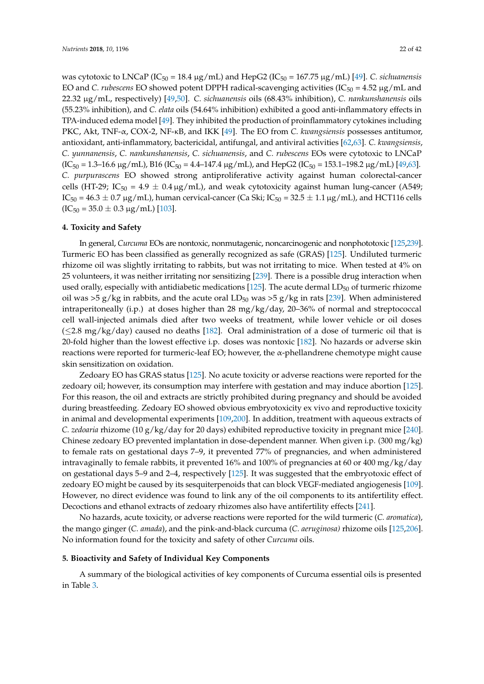was cytotoxic to LNCaP (IC<sub>50</sub> = 18.4 µg/mL) and HepG2 (IC<sub>50</sub> = 167.75 µg/mL) [\[49\]](#page-29-26). *C. sichuanensis* EO and *C. rubescens* EO showed potent DPPH radical-scavenging activities  $(IC_{50} = 4.52 \mu g/mL)$  and 22.32 µg/mL, respectively) [\[49,](#page-29-26)[50\]](#page-29-30). *C. sichuanensis* oils (68.43% inhibition), *C. nankunshanensis* oils (55.23% inhibition), and *C. elata* oils (54.64% inhibition) exhibited a good anti-inflammatory effects in TPA-induced edema model [\[49\]](#page-29-26). They inhibited the production of proinflammatory cytokines including PKC, Akt, TNF-α, COX-2, NF-κB, and IKK [\[49\]](#page-29-26). The EO from *C. kwangsiensis* possesses antitumor, antioxidant, anti-inflammatory, bactericidal, antifungal, and antiviral activities [\[62](#page-30-12)[,63\]](#page-30-34). *C. kwangsiensis*, *C. yunnanensis*, *C. nankunshanensis*, *C. sichuanensis*, and *C. rubescens* EOs were cytotoxic to LNCaP  $(IC_{50} = 1.3-16.6 \,\mu g/mL)$ , B16  $(IC_{50} = 4.4-147.4 \,\mu g/mL)$ , and HepG2  $(IC_{50} = 153.1-198.2 \,\mu g/mL)$  [\[49](#page-29-26)[,63\]](#page-30-34). *C. purpurascens* EO showed strong antiproliferative activity against human colorectal-cancer cells (HT-29; IC<sub>50</sub> = 4.9  $\pm$  0.4 µg/mL), and weak cytotoxicity against human lung-cancer (A549;  $IC_{50} = 46.3 \pm 0.7 \,\mu g/mL$ , human cervical-cancer (Ca Ski;  $IC_{50} = 32.5 \pm 1.1 \,\mu g/mL$ ), and HCT116 cells  $(IC_{50} = 35.0 \pm 0.3 \,\mu g/mL)$  [\[103\]](#page-32-30).

### **4. Toxicity and Safety**

In general, *Curcuma* EOs are nontoxic, nonmutagenic, noncarcinogenic and nonphototoxic [\[125](#page-33-5)[,239\]](#page-38-10). Turmeric EO has been classified as generally recognized as safe (GRAS) [\[125\]](#page-33-5). Undiluted turmeric rhizome oil was slightly irritating to rabbits, but was not irritating to mice. When tested at 4% on 25 volunteers, it was neither irritating nor sensitizing [\[239\]](#page-38-10). There is a possible drug interaction when used orally, especially with antidiabetic medications [\[125\]](#page-33-5). The acute dermal  $LD_{50}$  of turmeric rhizome oil was >5 g/kg in rabbits, and the acute oral  $LD_{50}$  was >5 g/kg in rats [\[239\]](#page-38-10). When administered intraperitoneally (i.p.) at doses higher than 28 mg/kg/day, 20–36% of normal and streptococcal cell wall-injected animals died after two weeks of treatment, while lower vehicle or oil doses  $(\leq$ 2.8 mg/kg/day) caused no deaths [\[182\]](#page-35-11). Oral administration of a dose of turmeric oil that is 20-fold higher than the lowest effective i.p. doses was nontoxic [\[182\]](#page-35-11). No hazards or adverse skin reactions were reported for turmeric-leaf EO; however, the α-phellandrene chemotype might cause skin sensitization on oxidation.

Zedoary EO has GRAS status [\[125\]](#page-33-5). No acute toxicity or adverse reactions were reported for the zedoary oil; however, its consumption may interfere with gestation and may induce abortion [\[125\]](#page-33-5). For this reason, the oil and extracts are strictly prohibited during pregnancy and should be avoided during breastfeeding. Zedoary EO showed obvious embryotoxicity ex vivo and reproductive toxicity in animal and developmental experiments [\[109,](#page-32-22)[200\]](#page-36-13). In addition, treatment with aqueous extracts of *C. zedoaria* rhizome (10 g/kg/day for 20 days) exhibited reproductive toxicity in pregnant mice [\[240\]](#page-38-11). Chinese zedoary EO prevented implantation in dose-dependent manner. When given i.p. (300 mg/kg) to female rats on gestational days 7–9, it prevented 77% of pregnancies, and when administered intravaginally to female rabbits, it prevented 16% and 100% of pregnancies at 60 or 400 mg/kg/day on gestational days 5–9 and 2–4, respectively [\[125\]](#page-33-5). It was suggested that the embryotoxic effect of zedoary EO might be caused by its sesquiterpenoids that can block VEGF-mediated angiogenesis [\[109\]](#page-32-22). However, no direct evidence was found to link any of the oil components to its antifertility effect. Decoctions and ethanol extracts of zedoary rhizomes also have antifertility effects [\[241\]](#page-38-12).

No hazards, acute toxicity, or adverse reactions were reported for the wild turmeric (*C. aromatica*), the mango ginger (*C. amada*), and the pink-and-black curcuma (*C. aeruginosa)* rhizome oils [\[125,](#page-33-5)[206\]](#page-36-18). No information found for the toxicity and safety of other *Curcuma* oils.

### **5. Bioactivity and Safety of Individual Key Components**

A summary of the biological activities of key components of Curcuma essential oils is presented in Table [3.](#page-23-0)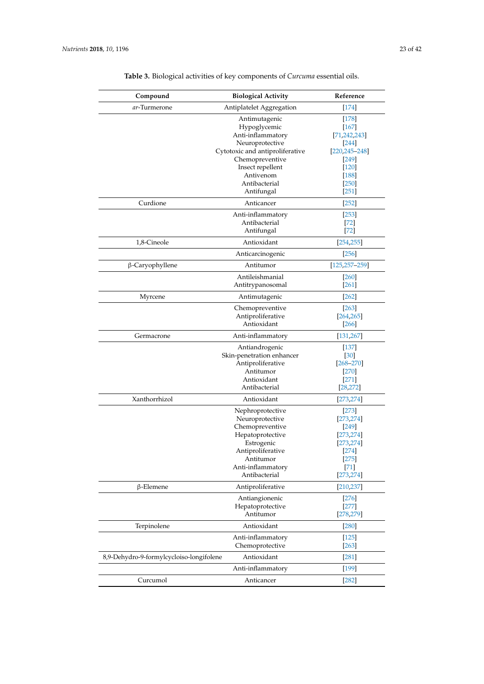| Compound                                 | <b>Biological Activity</b>      | Reference          |
|------------------------------------------|---------------------------------|--------------------|
| ar-Turmerone                             | Antiplatelet Aggregation        | $[174]$            |
|                                          | Antimutagenic                   | $[178]$            |
|                                          | Hypoglycemic                    | $[167]$            |
|                                          | Anti-inflammatory               | [71, 242, 243]     |
|                                          | Neuroprotective                 | 244                |
|                                          | Cytotoxic and antiproliferative | $[220, 245 - 248]$ |
|                                          | Chemopreventive                 | $[249]$            |
|                                          | Insect repellent                | $[120]$            |
|                                          | Antivenom                       | $[188]$            |
|                                          | Antibacterial                   | $[250]$            |
|                                          | Antifungal                      | $[251]$            |
| Curdione                                 | Anticancer                      | $[252]$            |
|                                          | Anti-inflammatory               | $[253]$            |
|                                          | Antibacterial                   | $[72]$             |
|                                          | Antifungal                      | $[72]$             |
| 1,8-Cineole                              | Antioxidant                     | [254, 255]         |
|                                          | Anticarcinogenic                | $[256]$            |
| $\beta$ -Caryophyllene                   | Antitumor                       | $[125, 257 - 259]$ |
|                                          | Antileishmanial                 | [260]              |
|                                          | Antitrypanosomal                | $[261]$            |
| Myrcene                                  | Antimutagenic                   | $[262]$            |
|                                          | Chemopreventive                 | $[263]$            |
|                                          | Antiproliferative               | [264, 265]         |
|                                          | Antioxidant                     | $[266]$            |
| Germacrone                               | Anti-inflammatory               | [131, 267]         |
|                                          | Antiandrogenic                  | $[137]$            |
|                                          | Skin-penetration enhancer       | $[30]$             |
|                                          | Antiproliferative               | $[268 - 270]$      |
|                                          | Antitumor                       | $[270]$            |
|                                          | Antioxidant                     | $[271]$            |
|                                          | Antibacterial                   | [28, 272]          |
| Xanthorrhizol                            | Antioxidant                     | [273, 274]         |
|                                          | Nephroprotective                | 273                |
|                                          | Neuroprotective                 | [273, 274]         |
|                                          | Chemopreventive                 | $[249]$            |
|                                          | Hepatoprotective                | [273, 274]         |
|                                          | Estrogenic                      | [273, 274]         |
|                                          | Antiproliterative               | $[274]$            |
|                                          | Antitumor<br>Anti-inflammatory  | [275]<br>$[71]$    |
|                                          | Antibacterial                   | [273, 274]         |
| $\beta$ -Elemene                         | Antiproliferative               | [210, 237]         |
|                                          | Antiangionenic                  | $[276]$            |
|                                          | Hepatoprotective                | $[277]$            |
|                                          | Antitumor                       | [278, 279]         |
| Terpinolene                              | Antioxidant                     | $[280]$            |
|                                          | Anti-inflammatory               | $[125]$            |
|                                          | Chemoprotective                 | $[263]$            |
| 8,9-Dehydro-9-formylcycloiso-longifolene | Antioxidant                     | $[281]$            |
|                                          | Anti-inflammatory               | $[199]$            |
| Curcumol                                 | Anticancer                      | $[282]$            |
|                                          |                                 |                    |

**Table 3.** Biological activities of key components of *Curcuma* essential oils.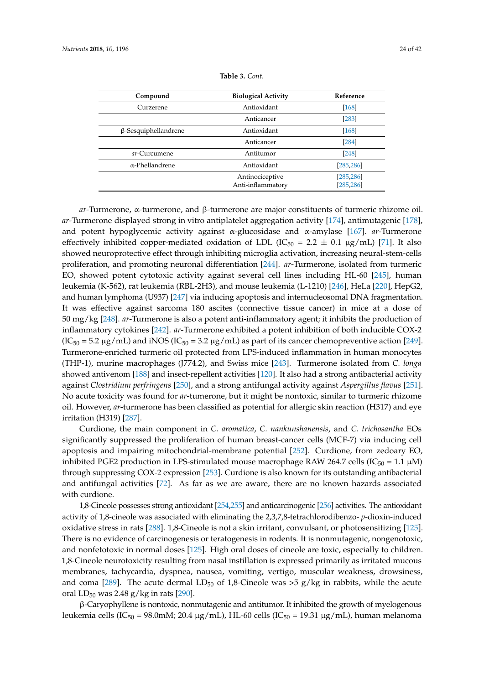<span id="page-23-0"></span>

| Compound                    | <b>Biological Activity</b>           | Reference                |
|-----------------------------|--------------------------------------|--------------------------|
| Curzerene                   | Antioxidant<br>$[168]$               |                          |
|                             | Anticancer                           | $[283]$                  |
| $\beta$ -Sesquiphellandrene | Antioxidant                          | $[168]$                  |
|                             | Anticancer                           | $[284]$                  |
| ar-Curcumene                | Antitumor                            | $[248]$                  |
| $\alpha$ -Phellandrene      | Antioxidant                          | [285, 286]               |
|                             | Antinociceptive<br>Anti-inflammatory | [285, 286]<br>[285, 286] |

| Table 3. Cont. |  |  |
|----------------|--|--|
|----------------|--|--|

*ar*-Turmerone, α-turmerone, and β-turmerone are major constituents of turmeric rhizome oil. *ar*-Turmerone displayed strong in vitro antiplatelet aggregation activity [\[174\]](#page-35-6), antimutagenic [\[178\]](#page-35-8), and potent hypoglycemic activity against α-glucosidase and α-amylase [\[167\]](#page-35-1). *ar*-Turmerone effectively inhibited copper-mediated oxidation of LDL (IC<sub>50</sub> = 2.2  $\pm$  0.1 µg/mL) [\[71\]](#page-30-27). It also showed neuroprotective effect through inhibiting microglia activation, increasing neural-stem-cells proliferation, and promoting neuronal differentiation [\[244\]](#page-38-15). *ar*-Turmerone, isolated from turmeric EO, showed potent cytotoxic activity against several cell lines including HL-60 [\[245\]](#page-38-16), human leukemia (K-562), rat leukemia (RBL-2H3), and mouse leukemia (L-1210) [\[246\]](#page-38-20), HeLa [\[220\]](#page-37-11), HepG2, and human lymphoma (U937) [\[247\]](#page-38-21) via inducing apoptosis and internucleosomal DNA fragmentation. It was effective against sarcoma 180 ascites (connective tissue cancer) in mice at a dose of 50 mg/kg [\[248\]](#page-38-17). *ar*-Turmerone is also a potent anti-inflammatory agent; it inhibits the production of inflammatory cytokines [\[242\]](#page-38-13). *ar*-Turmerone exhibited a potent inhibition of both inducible COX-2  $(IC_{50} = 5.2 \,\mu g/mL)$  and iNOS  $(IC_{50} = 3.2 \,\mu g/mL)$  as part of its cancer chemopreventive action [\[249\]](#page-38-18). Turmerone-enriched turmeric oil protected from LPS-induced inflammation in human monocytes (THP-1), murine macrophages (J774.2), and Swiss mice [\[243\]](#page-38-14). Turmerone isolated from *C. longa* showed antivenom [\[188\]](#page-36-1) and insect-repellent activities [\[120\]](#page-33-0). It also had a strong antibacterial activity against *Clostridium perfringens* [\[250\]](#page-38-19), and a strong antifungal activity against *Aspergillus flavus* [\[251\]](#page-39-0). No acute toxicity was found for *ar*-tumerone, but it might be nontoxic, similar to turmeric rhizome oil. However, *ar*-turmerone has been classified as potential for allergic skin reaction (H317) and eye irritation (H319) [\[287\]](#page-40-16).

Curdione, the main component in *C. aromatica*, *C. nankunshanensis*, and *C. trichosantha* EOs significantly suppressed the proliferation of human breast-cancer cells (MCF-7) via inducing cell apoptosis and impairing mitochondrial-membrane potential [\[252\]](#page-39-1). Curdione, from zedoary EO, inhibited PGE2 production in LPS-stimulated mouse macrophage RAW 264.7 cells ( $IC_{50} = 1.1 \mu M$ ) through suppressing COX-2 expression [\[253\]](#page-39-2). Curdione is also known for its outstanding antibacterial and antifungal activities [\[72\]](#page-30-35). As far as we are aware, there are no known hazards associated with curdione.

1,8-Cineole possesses strong antioxidant [\[254,](#page-39-3)[255\]](#page-39-4) and anticarcinogenic [\[256\]](#page-39-5) activities. The antioxidant activity of 1,8-cineole was associated with eliminating the 2,3,7,8-tetrachlorodibenzo- *p*-dioxin-induced oxidative stress in rats [\[288\]](#page-40-17). 1,8-Cineole is not a skin irritant, convulsant, or photosensitizing [\[125\]](#page-33-5). There is no evidence of carcinogenesis or teratogenesis in rodents. It is nonmutagenic, nongenotoxic, and nonfetotoxic in normal doses [\[125\]](#page-33-5). High oral doses of cineole are toxic, especially to children. 1,8-Cineole neurotoxicity resulting from nasal instillation is expressed primarily as irritated mucous membranes, tachycardia, dyspnea, nausea, vomiting, vertigo, muscular weakness, drowsiness, and coma [\[289\]](#page-40-18). The acute dermal  $LD_{50}$  of 1,8-Cineole was >5 g/kg in rabbits, while the acute oral  $LD_{50}$  was 2.48 g/kg in rats [\[290\]](#page-40-19).

β-Caryophyllene is nontoxic, nonmutagenic and antitumor. It inhibited the growth of myelogenous leukemia cells (IC<sub>50</sub> = 98.0mM; 20.4 µg/mL), HL-60 cells (IC<sub>50</sub> = 19.31 µg/mL), human melanoma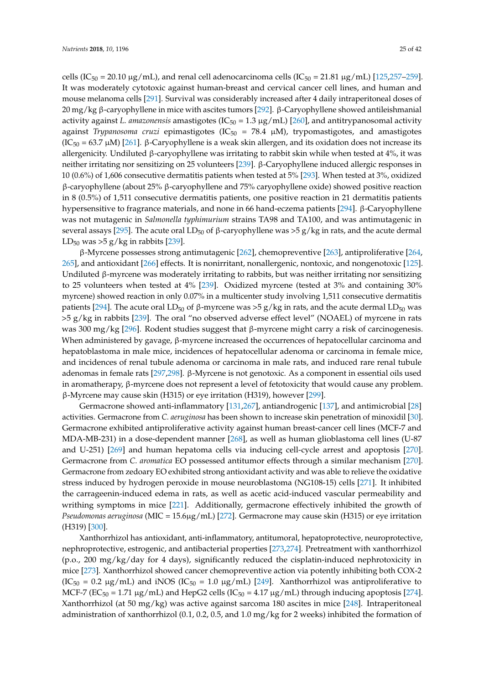cells (IC<sub>50</sub> = 20.10  $\mu$ g/mL), and renal cell adenocarcinoma cells (IC<sub>50</sub> = 21.81  $\mu$ g/mL) [\[125,](#page-33-5)[257–](#page-39-6)[259\]](#page-39-7). It was moderately cytotoxic against human-breast and cervical cancer cell lines, and human and mouse melanoma cells [\[291\]](#page-40-20). Survival was considerably increased after 4 daily intraperitoneal doses of 20 mg/kg β-caryophyllene in mice with ascites tumors [\[292\]](#page-41-0). β-Caryophyllene showed antileishmanial activity against *L. amazonensis* amastigotes ( $IC_{50} = 1.3 \mu g/mL$ ) [\[260\]](#page-39-8), and antitrypanosomal activity against *Trypanosoma cruzi* epimastigotes (IC $_{50}$  = 78.4  $\mu$ M), trypomastigotes, and amastigotes  $(IC<sub>50</sub> = 63.7 μM)$  [\[261\]](#page-39-9). β-Caryophyllene is a weak skin allergen, and its oxidation does not increase its allergenicity. Undiluted β-caryophyllene was irritating to rabbit skin while when tested at 4%, it was neither irritating nor sensitizing on 25 volunteers [\[239\]](#page-38-10). β-Caryophyllene induced allergic responses in 10 (0.6%) of 1,606 consecutive dermatitis patients when tested at 5% [\[293\]](#page-41-1). When tested at 3%, oxidized β-caryophyllene (about 25% β-caryophyllene and 75% caryophyllene oxide) showed positive reaction in 8 (0.5%) of 1,511 consecutive dermatitis patients, one positive reaction in 21 dermatitis patients hypersensitive to fragrance materials, and none in 66 hand-eczema patients [\[294\]](#page-41-2). β-Caryophyllene was not mutagenic in *Salmonella typhimurium* strains TA98 and TA100, and was antimutagenic in several assays [\[295\]](#page-41-3). The acute oral LD<sub>50</sub> of  $\beta$ -caryophyllene was >5 g/kg in rats, and the acute dermal LD<sub>50</sub> was  $>5$  g/kg in rabbits [\[239\]](#page-38-10).

β-Myrcene possesses strong antimutagenic [\[262\]](#page-39-10), chemopreventive [\[263\]](#page-39-11), antiproliferative [\[264,](#page-39-12) [265\]](#page-39-13), and antioxidant [\[266\]](#page-39-14) effects. It is nonirritant, nonallergenic, nontoxic, and nongenotoxic [\[125\]](#page-33-5). Undiluted β-myrcene was moderately irritating to rabbits, but was neither irritating nor sensitizing to 25 volunteers when tested at 4% [\[239\]](#page-38-10). Oxidized myrcene (tested at 3% and containing 30% myrcene) showed reaction in only 0.07% in a multicenter study involving 1,511 consecutive dermatitis patients [\[294\]](#page-41-2). The acute oral LD<sub>50</sub> of β-myrcene was >5 g/kg in rats, and the acute dermal LD<sub>50</sub> was >5 g/kg in rabbits [\[239\]](#page-38-10). The oral "no observed adverse effect level" (NOAEL) of myrcene in rats was 300 mg/kg [\[296\]](#page-41-4). Rodent studies suggest that β-myrcene might carry a risk of carcinogenesis. When administered by gavage, β-myrcene increased the occurrences of hepatocellular carcinoma and hepatoblastoma in male mice, incidences of hepatocellular adenoma or carcinoma in female mice, and incidences of renal tubule adenoma or carcinoma in male rats, and induced rare renal tubule adenomas in female rats [\[297](#page-41-5)[,298\]](#page-41-6). β-Myrcene is not genotoxic. As a component in essential oils used in aromatherapy, β-myrcene does not represent a level of fetotoxicity that would cause any problem. β-Myrcene may cause skin (H315) or eye irritation (H319), however [\[299\]](#page-41-7).

Germacrone showed anti-inflammatory [\[131](#page-33-11)[,267\]](#page-39-15), antiandrogenic [\[137\]](#page-33-20), and antimicrobial [\[28\]](#page-28-24) activities. Germacrone from *C. aeruginosa* has been shown to increase skin penetration of minoxidil [\[30\]](#page-28-25). Germacrone exhibited antiproliferative activity against human breast-cancer cell lines (MCF-7 and MDA-MB-231) in a dose-dependent manner [\[268\]](#page-39-16), as well as human glioblastoma cell lines (U-87 and U-251) [\[269\]](#page-39-18) and human hepatoma cells via inducing cell-cycle arrest and apoptosis [\[270\]](#page-39-17). Germacrone from *C. aromatica* EO possessed antitumor effects through a similar mechanism [\[270\]](#page-39-17). Germacrone from zedoary EO exhibited strong antioxidant activity and was able to relieve the oxidative stress induced by hydrogen peroxide in mouse neuroblastoma (NG108-15) cells [\[271\]](#page-40-0). It inhibited the carrageenin-induced edema in rats, as well as acetic acid-induced vascular permeability and writhing symptoms in mice [\[221\]](#page-37-12). Additionally, germacrone effectively inhibited the growth of *Pseudomonas aeruginosa* (MIC = 15.6µg/mL) [\[272\]](#page-40-1). Germacrone may cause skin (H315) or eye irritation (H319) [\[300\]](#page-41-8).

Xanthorrhizol has antioxidant, anti-inflammatory, antitumoral, hepatoprotective, neuroprotective, nephroprotective, estrogenic, and antibacterial properties [\[273,](#page-40-2)[274\]](#page-40-3). Pretreatment with xanthorrhizol (p.o., 200 mg/kg/day for 4 days), significantly reduced the cisplatin-induced nephrotoxicity in mice [\[273\]](#page-40-2). Xanthorrhizol showed cancer chemopreventive action via potently inhibiting both COX-2  $(IC_{50} = 0.2 \mu g/mL)$  and iNOS  $(IC_{50} = 1.0 \mu g/mL)$  [\[249\]](#page-38-18). Xanthorrhizol was antiproliferative to MCF-7 (EC<sub>50</sub> = 1.71  $\mu$ g/mL) and HepG2 cells (IC<sub>50</sub> = 4.17  $\mu$ g/mL) through inducing apoptosis [\[274\]](#page-40-3). Xanthorrhizol (at 50 mg/kg) was active against sarcoma 180 ascites in mice [\[248\]](#page-38-17). Intraperitoneal administration of xanthorrhizol (0.1, 0.2, 0.5, and 1.0 mg/kg for 2 weeks) inhibited the formation of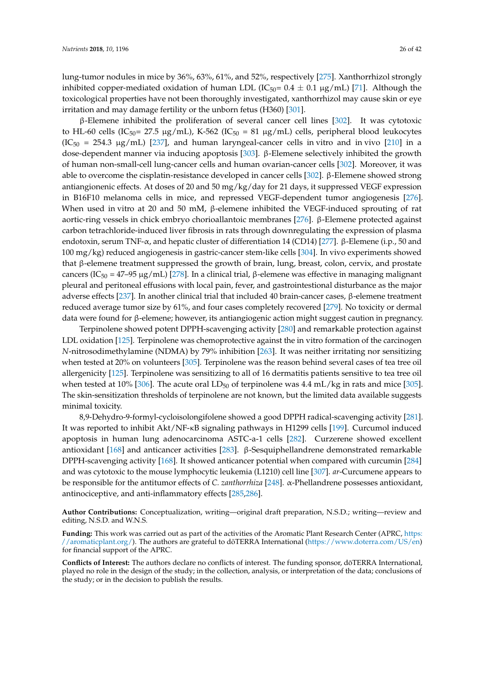lung-tumor nodules in mice by 36%, 63%, 61%, and 52%, respectively [\[275\]](#page-40-4). Xanthorrhizol strongly inhibited copper-mediated oxidation of human LDL ( $IC_{50}= 0.4 \pm 0.1 \,\mu g/mL$ ) [\[71\]](#page-30-27). Although the toxicological properties have not been thoroughly investigated, xanthorrhizol may cause skin or eye irritation and may damage fertility or the unborn fetus (H360) [\[301\]](#page-41-9).

β-Elemene inhibited the proliferation of several cancer cell lines [\[302\]](#page-41-10). It was cytotoxic to HL-60 cells (IC<sub>50</sub> = 27.5 µg/mL), K-562 (IC<sub>50</sub> = 81 µg/mL) cells, peripheral blood leukocytes  $(IC<sub>50</sub> = 254.3 \mu g/mL)$  [\[237\]](#page-38-8), and human laryngeal-cancer cells in vitro and in vivo [\[210\]](#page-37-2) in a dose-dependent manner via inducing apoptosis [\[303\]](#page-41-11). β-Elemene selectively inhibited the growth of human non-small-cell lung-cancer cells and human ovarian-cancer cells [\[302\]](#page-41-10). Moreover, it was able to overcome the cisplatin-resistance developed in cancer cells [\[302\]](#page-41-10). β-Elemene showed strong antiangionenic effects. At doses of 20 and 50 mg/kg/day for 21 days, it suppressed VEGF expression in B16F10 melanoma cells in mice, and repressed VEGF-dependent tumor angiogenesis [\[276\]](#page-40-5). When used in vitro at 20 and 50 mM, β-elemene inhibited the VEGF-induced sprouting of rat aortic-ring vessels in chick embryo chorioallantoic membranes [\[276\]](#page-40-5). β-Elemene protected against carbon tetrachloride-induced liver fibrosis in rats through downregulating the expression of plasma endotoxin, serum TNF- $\alpha$ , and hepatic cluster of differentiation 14 (CD14) [\[277\]](#page-40-6). β-Elemene (i.p., 50 and 100 mg/kg) reduced angiogenesis in gastric-cancer stem-like cells [\[304\]](#page-41-12). In vivo experiments showed that β-elemene treatment suppressed the growth of brain, lung, breast, colon, cervix, and prostate cancers (IC<sub>50</sub> = 47–95 μg/mL) [\[278\]](#page-40-7). In a clinical trial, β-elemene was effective in managing malignant pleural and peritoneal effusions with local pain, fever, and gastrointestional disturbance as the major adverse effects [\[237\]](#page-38-8). In another clinical trial that included 40 brain-cancer cases, β-elemene treatment reduced average tumor size by 61%, and four cases completely recovered [\[279\]](#page-40-8). No toxicity or dermal data were found for β-elemene; however, its antiangiogenic action might suggest caution in pregnancy.

Terpinolene showed potent DPPH-scavenging activity [\[280\]](#page-40-9) and remarkable protection against LDL oxidation [\[125\]](#page-33-5). Terpinolene was chemoprotective against the in vitro formation of the carcinogen *N*-nitrosodimethylamine (NDMA) by 79% inhibition [\[263\]](#page-39-11). It was neither irritating nor sensitizing when tested at 20% on volunteers [\[305\]](#page-41-13). Terpinolene was the reason behind several cases of tea tree oil allergenicity [\[125\]](#page-33-5). Terpinolene was sensitizing to all of 16 dermatitis patients sensitive to tea tree oil when tested at 10% [\[306\]](#page-41-14). The acute oral  $LD_{50}$  of terpinolene was 4.4 mL/kg in rats and mice [\[305\]](#page-41-13). The skin-sensitization thresholds of terpinolene are not known, but the limited data available suggests minimal toxicity.

8,9-Dehydro-9-formyl-cycloisolongifolene showed a good DPPH radical-scavenging activity [\[281\]](#page-40-10). It was reported to inhibit Akt/NF-κB signaling pathways in H1299 cells [\[199\]](#page-36-12). Curcumol induced apoptosis in human lung adenocarcinoma ASTC-a-1 cells [\[282\]](#page-40-11). Curzerene showed excellent antioxidant [\[168\]](#page-35-2) and anticancer activities [\[283\]](#page-40-12). β-Sesquiphellandrene demonstrated remarkable DPPH-scavenging activity [\[168\]](#page-35-2). It showed anticancer potential when compared with curcumin [\[284\]](#page-40-13) and was cytotoxic to the mouse lymphocytic leukemia (L1210) cell line [\[307\]](#page-41-15). *ar*-Curcumene appears to be responsible for the antitumor effects of *C. zanthorrhiza* [\[248\]](#page-38-17). α-Phellandrene possesses antioxidant, antinociceptive, and anti-inflammatory effects [\[285](#page-40-14)[,286\]](#page-40-15).

**Author Contributions:** Conceptualization, writing—original draft preparation, N.S.D.; writing—review and editing, N.S.D. and W.N.S.

**Funding:** This work was carried out as part of the activities of the Aromatic Plant Research Center (APRC, [https:](https://aromaticplant.org/) [//aromaticplant.org/\)](https://aromaticplant.org/). The authors are grateful to doTERRA International ([https://www.doterra.com/US/en\)](https://www.doterra.com/US/en) for financial support of the APRC.

Conflicts of Interest: The authors declare no conflicts of interest. The funding sponsor, dōTERRA International, played no role in the design of the study; in the collection, analysis, or interpretation of the data; conclusions of the study; or in the decision to publish the results.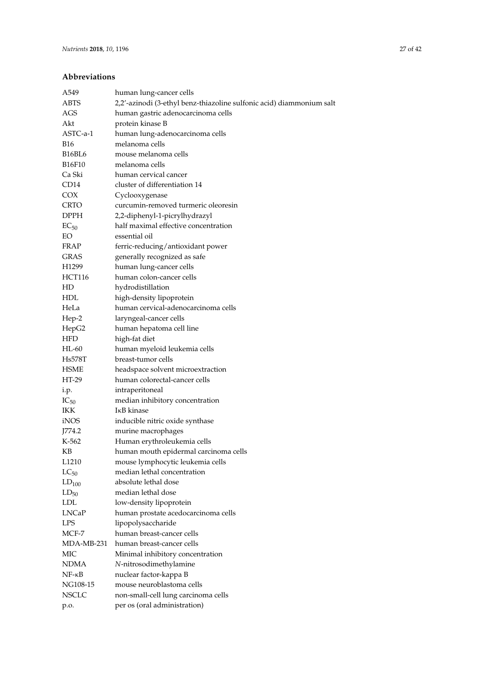### **Abbreviations**

| A549                | human lung-cancer cells                                              |
|---------------------|----------------------------------------------------------------------|
| <b>ABTS</b>         | 2,2'-azinodi (3-ethyl benz-thiazoline sulfonic acid) diammonium salt |
| AGS                 | human gastric adenocarcinoma cells                                   |
| Akt                 | protein kinase B                                                     |
| ASTC-a-1            | human lung-adenocarcinoma cells                                      |
| <b>B16</b>          | melanoma cells                                                       |
| B16BL6              | mouse melanoma cells                                                 |
| B16F10              | melanoma cells                                                       |
| Ca Ski              | human cervical cancer                                                |
| CD14                | cluster of differentiation 14                                        |
| <b>COX</b>          | Cyclooxygenase                                                       |
| CRTO                | curcumin-removed turmeric oleoresin                                  |
| DPPH                | 2,2-diphenyl-1-picrylhydrazyl                                        |
| $EC_{50}$           | half maximal effective concentration                                 |
| EO                  | essential oil                                                        |
| <b>FRAP</b>         | ferric-reducing/antioxidant power                                    |
| GRAS                | generally recognized as safe                                         |
| H <sub>1299</sub>   | human lung-cancer cells                                              |
| <b>HCT116</b>       | human colon-cancer cells                                             |
| HD                  | hydrodistillation                                                    |
| HDL                 |                                                                      |
| HeLa                | high-density lipoprotein<br>human cervical-adenocarcinoma cells      |
|                     |                                                                      |
| Hep-2               | laryngeal-cancer cells                                               |
| HepG2<br><b>HFD</b> | human hepatoma cell line                                             |
|                     | high-fat diet                                                        |
| HL-60               | human myeloid leukemia cells                                         |
| Hs578T              | breast-tumor cells                                                   |
| HSME<br>HT-29       | headspace solvent microextraction                                    |
|                     | human colorectal-cancer cells                                        |
| i.p.                | intraperitoneal                                                      |
| $IC_{50}$           | median inhibitory concentration                                      |
| IKK                 | IĸB kinase                                                           |
| iNOS                | inducible nitric oxide synthase                                      |
| J774.2              | murine macrophages                                                   |
| K-562               | Human erythroleukemia cells                                          |
| KB                  | human mouth epidermal carcinoma cells                                |
| L <sub>1210</sub>   | mouse lymphocytic leukemia cells                                     |
| $LC_{50}$           | median lethal concentration                                          |
| $LD_{100}$          | absolute lethal dose                                                 |
| $LD_{50}$           | median lethal dose                                                   |
| <b>LDL</b>          | low-density lipoprotein                                              |
| <b>LNCaP</b>        | human prostate acedocarcinoma cells                                  |
| <b>LPS</b>          | lipopolysaccharide                                                   |
| MCF-7               | human breast-cancer cells                                            |
| MDA-MB-231          | human breast-cancer cells                                            |
| МIС                 | Minimal inhibitory concentration                                     |
| NDMA                | N-nitrosodimethylamine                                               |
| $NF - \kappa B$     | nuclear factor-kappa B                                               |
| NG108-15            | mouse neuroblastoma cells                                            |
| <b>NSCLC</b>        | non-small-cell lung carcinoma cells                                  |
| p.o.                | per os (oral administration)                                         |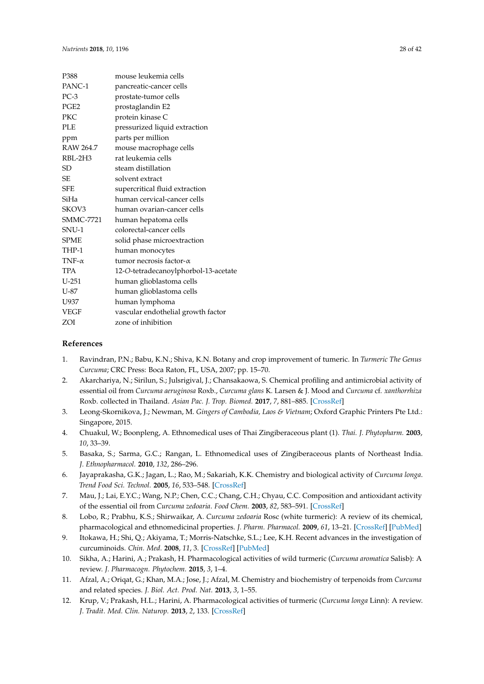<span id="page-27-10"></span>

| P388             | mouse leukemia cells                 |
|------------------|--------------------------------------|
| PANC-1           | pancreatic-cancer cells              |
| $PC-3$           | prostate-tumor cells                 |
| PGE <sub>2</sub> | prostaglandin E2                     |
| <b>PKC</b>       | protein kinase C                     |
| <b>PLE</b>       | pressurized liquid extraction        |
| ppm              | parts per million                    |
| RAW 264.7        | mouse macrophage cells               |
| RBL-2H3          | rat leukemia cells                   |
| SD               | steam distillation                   |
| SE.              | solvent extract                      |
| <b>SFE</b>       | supercritical fluid extraction       |
| SiHa             | human cervical-cancer cells          |
| SKOV3            | human ovarian-cancer cells           |
| <b>SMMC-7721</b> | human hepatoma cells                 |
| SNU-1            | colorectal-cancer cells              |
| <b>SPME</b>      | solid phase microextraction          |
| THP-1            | human monocytes                      |
| TNF- $\alpha$    | tumor necrosis factor- $\alpha$      |
| <b>TPA</b>       | 12-O-tetradecanoylphorbol-13-acetate |
| $U-251$          | human glioblastoma cells             |
| $U-87$           | human glioblastoma cells             |
| U937             | human lymphoma                       |
| <b>VEGF</b>      | vascular endothelial growth factor   |
| ZOI              | zone of inhibition                   |

### <span id="page-27-11"></span>**References**

- <span id="page-27-0"></span>1. Ravindran, P.N.; Babu, K.N.; Shiva, K.N. Botany and crop improvement of tumeric. In *Turmeric The Genus Curcuma*; CRC Press: Boca Raton, FL, USA, 2007; pp. 15–70.
- <span id="page-27-1"></span>2. Akarchariya, N.; Sirilun, S.; Julsrigival, J.; Chansakaowa, S. Chemical profiling and antimicrobial activity of essential oil from *Curcuma aeruginosa* Roxb., *Curcuma glans* K. Larsen & J. Mood and *Curcuma* cf. *xanthorrhiza* Roxb. collected in Thailand. *Asian Pac. J. Trop. Biomed.* **2017**, *7*, 881–885. [\[CrossRef\]](http://dx.doi.org/10.1016/j.apjtb.2017.09.009)
- <span id="page-27-2"></span>3. Leong-Skornikova, J.; Newman, M. *Gingers of Cambodia, Laos & Vietnam*; Oxford Graphic Printers Pte Ltd.: Singapore, 2015.
- <span id="page-27-3"></span>4. Chuakul, W.; Boonpleng, A. Ethnomedical uses of Thai Zingiberaceous plant (1). *Thai. J. Phytopharm.* **2003**, *10*, 33–39.
- <span id="page-27-4"></span>5. Basaka, S.; Sarma, G.C.; Rangan, L. Ethnomedical uses of Zingiberaceous plants of Northeast India. *J. Ethnopharmacol.* **2010**, *132*, 286–296.
- <span id="page-27-5"></span>6. Jayaprakasha, G.K.; Jagan, L.; Rao, M.; Sakariah, K.K. Chemistry and biological activity of *Curcuma longa*. *Trend Food Sci. Technol.* **2005**, *16*, 533–548. [\[CrossRef\]](http://dx.doi.org/10.1016/j.tifs.2005.08.006)
- <span id="page-27-8"></span>7. Mau, J.; Lai, E.Y.C.; Wang, N.P.; Chen, C.C.; Chang, C.H.; Chyau, C.C. Composition and antioxidant activity of the essential oil from *Curcuma zedoaria*. *Food Chem.* **2003**, *82*, 583–591. [\[CrossRef\]](http://dx.doi.org/10.1016/S0308-8146(03)00014-1)
- <span id="page-27-6"></span>8. Lobo, R.; Prabhu, K.S.; Shirwaikar, A. *Curcuma zedoaria* Rosc (white turmeric): A review of its chemical, pharmacological and ethnomedicinal properties. *J. Pharm. Pharmacol.* **2009**, *61*, 13–21. [\[CrossRef\]](http://dx.doi.org/10.1211/jpp.61.01.0003) [\[PubMed\]](http://www.ncbi.nlm.nih.gov/pubmed/19126292)
- <span id="page-27-7"></span>9. Itokawa, H.; Shi, Q.; Akiyama, T.; Morris-Natschke, S.L.; Lee, K.H. Recent advances in the investigation of curcuminoids. *Chin. Med.* **2008**, *11*, 3. [\[CrossRef\]](http://dx.doi.org/10.1186/1749-8546-3-11) [\[PubMed\]](http://www.ncbi.nlm.nih.gov/pubmed/18798984)
- <span id="page-27-9"></span>10. Sikha, A.; Harini, A.; Prakash, H. Pharmacological activities of wild turmeric (*Curcuma aromatica* Salisb): A review. *J. Pharmacogn. Phytochem.* **2015**, *3*, 1–4.
- 11. Afzal, A.; Oriqat, G.; Khan, M.A.; Jose, J.; Afzal, M. Chemistry and biochemistry of terpenoids from *Curcuma* and related species. *J. Biol. Act. Prod. Nat.* **2013**, *3*, 1–55.
- 12. Krup, V.; Prakash, H.L.; Harini, A. Pharmacological activities of turmeric (*Curcuma longa* Linn): A review. *J. Tradit. Med. Clin. Naturop.* **2013**, *2*, 133. [\[CrossRef\]](http://dx.doi.org/10.4172/2167-1206.1000133)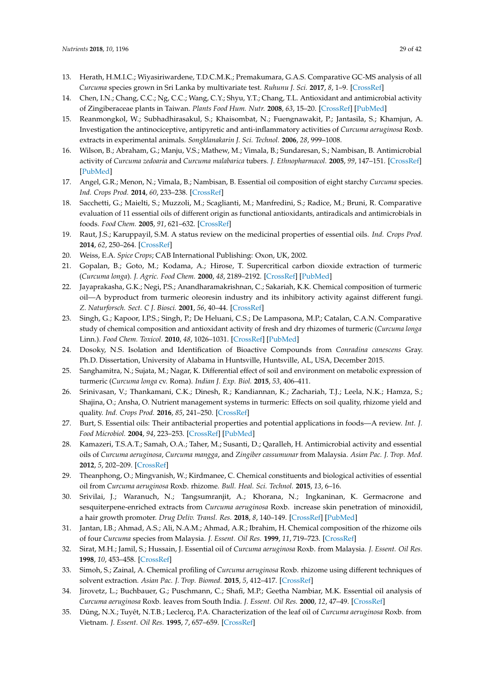- <span id="page-28-21"></span><span id="page-28-20"></span><span id="page-28-18"></span><span id="page-28-14"></span>13. Herath, H.M.I.C.; Wiyasiriwardene, T.D.C.M.K.; Premakumara, G.A.S. Comparative GC-MS analysis of all *Curcuma* species grown in Sri Lanka by multivariate test. *Ruhunu J. Sci.* **2017**, *8*, 1–9. [\[CrossRef\]](http://dx.doi.org/10.4038/rjs.v8i2.29)
- <span id="page-28-29"></span>14. Chen, I.N.; Chang, C.C.; Ng, C.C.; Wang, C.Y.; Shyu, Y.T.; Chang, T.L. Antioxidant and antimicrobial activity of Zingiberaceae plants in Taiwan. *Plants Food Hum. Nutr.* **2008**, *63*, 15–20. [\[CrossRef\]](http://dx.doi.org/10.1007/s11130-007-0063-7) [\[PubMed\]](http://www.ncbi.nlm.nih.gov/pubmed/18157743)
- <span id="page-28-30"></span><span id="page-28-19"></span>15. Reanmongkol, W.; Subhadhirasakul, S.; Khaisombat, N.; Fuengnawakit, P.; Jantasila, S.; Khamjun, A. Investigation the antinociceptive, antipyretic and anti-inflammatory activities of *Curcuma aeruginosa* Roxb. extracts in experimental animals. *Songklanakarin J. Sci. Technol.* **2006**, *28*, 999–1008.
- <span id="page-28-22"></span>16. Wilson, B.; Abraham, G.; Manju, V.S.; Mathew, M.; Vimala, B.; Sundaresan, S.; Nambisan, B. Antimicrobial activity of *Curcuma zedoaria* and *Curcuma malabarica* tubers. *J. Ethnopharmacol.* **2005**, *99*, 147–151. [\[CrossRef\]](http://dx.doi.org/10.1016/j.jep.2005.02.004) [\[PubMed\]](http://www.ncbi.nlm.nih.gov/pubmed/15848035)
- <span id="page-28-0"></span>17. Angel, G.R.; Menon, N.; Vimala, B.; Nambisan, B. Essential oil composition of eight starchy *Curcuma* species. *Ind. Crops Prod.* **2014**, *60*, 233–238. [\[CrossRef\]](http://dx.doi.org/10.1016/j.indcrop.2014.06.028)
- <span id="page-28-1"></span>18. Sacchetti, G.; Maielti, S.; Muzzoli, M.; Scaglianti, M.; Manfredini, S.; Radice, M.; Bruni, R. Comparative evaluation of 11 essential oils of different origin as functional antioxidants, antiradicals and antimicrobials in foods. *Food Chem.* **2005**, *91*, 621–632. [\[CrossRef\]](http://dx.doi.org/10.1016/j.foodchem.2004.06.031)
- <span id="page-28-9"></span><span id="page-28-2"></span>19. Raut, J.S.; Karuppayil, S.M. A status review on the medicinal properties of essential oils. *Ind. Crops Prod.* **2014**, *62*, 250–264. [\[CrossRef\]](http://dx.doi.org/10.1016/j.indcrop.2014.05.055)
- <span id="page-28-4"></span><span id="page-28-3"></span>20. Weiss, E.A. *Spice Crops*; CAB International Publishing: Oxon, UK, 2002.
- <span id="page-28-10"></span>21. Gopalan, B.; Goto, M.; Kodama, A.; Hirose, T. Supercritical carbon dioxide extraction of turmeric (*Curcuma longa*). *J. Agric. Food Chem.* **2000**, *48*, 2189–2192. [\[CrossRef\]](http://dx.doi.org/10.1021/jf9908594) [\[PubMed\]](http://www.ncbi.nlm.nih.gov/pubmed/10888520)
- <span id="page-28-11"></span><span id="page-28-5"></span>22. Jayaprakasha, G.K.; Negi, P.S.; Anandharamakrishnan, C.; Sakariah, K.K. Chemical composition of turmeric oil—A byproduct from turmeric oleoresin industry and its inhibitory activity against different fungi. *Z. Naturforsch. Sect. C J. Biosci.* **2001**, *56*, 40–44. [\[CrossRef\]](http://dx.doi.org/10.1515/znc-2001-1-207)
- <span id="page-28-12"></span><span id="page-28-6"></span>23. Singh, G.; Kapoor, I.P.S.; Singh, P.; De Heluani, C.S.; De Lampasona, M.P.; Catalan, C.A.N. Comparative study of chemical composition and antioxidant activity of fresh and dry rhizomes of turmeric (*Curcuma longa* Linn.). *Food Chem. Toxicol.* **2010**, *48*, 1026–1031. [\[CrossRef\]](http://dx.doi.org/10.1016/j.fct.2010.01.015) [\[PubMed\]](http://www.ncbi.nlm.nih.gov/pubmed/20096323)
- <span id="page-28-13"></span><span id="page-28-7"></span>24. Dosoky, N.S. Isolation and Identification of Bioactive Compounds from *Conradina canescens* Gray. Ph.D. Dissertation, University of Alabama in Huntsville, Huntsville, AL, USA, December 2015.
- <span id="page-28-15"></span>25. Sanghamitra, N.; Sujata, M.; Nagar, K. Differential effect of soil and environment on metabolic expression of turmeric (*Curcuma longa* cv. Roma). *Indian J. Exp. Biol.* **2015**, *53*, 406–411.
- <span id="page-28-16"></span>26. Srinivasan, V.; Thankamani, C.K.; Dinesh, R.; Kandiannan, K.; Zachariah, T.J.; Leela, N.K.; Hamza, S.; Shajina, O.; Ansha, O. Nutrient management systems in turmeric: Effects on soil quality, rhizome yield and quality. *Ind. Crops Prod.* **2016**, *85*, 241–250. [\[CrossRef\]](http://dx.doi.org/10.1016/j.indcrop.2016.03.027)
- <span id="page-28-17"></span><span id="page-28-8"></span>27. Burt, S. Essential oils: Their antibacterial properties and potential applications in foods—A review. *Int. J. Food Microbiol.* **2004**, *94*, 223–253. [\[CrossRef\]](http://dx.doi.org/10.1016/j.ijfoodmicro.2004.03.022) [\[PubMed\]](http://www.ncbi.nlm.nih.gov/pubmed/15246235)
- <span id="page-28-24"></span>28. Kamazeri, T.S.A.T.; Samah, O.A.; Taher, M.; Susanti, D.; Qaralleh, H. Antimicrobial activity and essential oils of *Curcuma aeruginosa*, *Curcuma mangga*, and *Zingiber cassumunar* from Malaysia. *Asian Pac. J. Trop. Med.* **2012**, *5*, 202–209. [\[CrossRef\]](http://dx.doi.org/10.1016/S1995-7645(12)60025-X)
- <span id="page-28-23"></span>29. Theanphong, O.; Mingvanish, W.; Kirdmanee, C. Chemical constituents and biological activities of essential oil from *Curcuma aeruginosa* Roxb. rhizome. *Bull. Heal. Sci. Technol.* **2015**, *13*, 6–16.
- <span id="page-28-25"></span>30. Srivilai, J.; Waranuch, N.; Tangsumranjit, A.; Khorana, N.; Ingkaninan, K. Germacrone and sesquiterpene-enriched extracts from *Curcuma aeruginosa* Roxb. increase skin penetration of minoxidil, a hair growth promoter. *Drug Deliv. Transl. Res.* **2018**, *8*, 140–149. [\[CrossRef\]](http://dx.doi.org/10.1007/s13346-017-0447-7) [\[PubMed\]](http://www.ncbi.nlm.nih.gov/pubmed/29159692)
- <span id="page-28-28"></span>31. Jantan, I.B.; Ahmad, A.S.; Ali, N.A.M.; Ahmad, A.R.; Ibrahim, H. Chemical composition of the rhizome oils of four *Curcuma* species from Malaysia. *J. Essent. Oil Res.* **1999**, *11*, 719–723. [\[CrossRef\]](http://dx.doi.org/10.1080/10412905.1999.9712004)
- 32. Sirat, M.H.; Jamil, S.; Hussain, J. Essential oil of *Curcuma aeruginosa* Roxb. from Malaysia. *J. Essent. Oil Res.* **1998**, *10*, 453–458. [\[CrossRef\]](http://dx.doi.org/10.1080/10412905.1998.9700942)
- 33. Simoh, S.; Zainal, A. Chemical profiling of *Curcuma aeruginosa* Roxb. rhizome using different techniques of solvent extraction. *Asian Pac. J. Trop. Biomed.* **2015**, *5*, 412–417. [\[CrossRef\]](http://dx.doi.org/10.1016/S2221-1691(15)30378-6)
- <span id="page-28-26"></span>34. Jirovetz, L.; Buchbauer, G.; Puschmann, C.; Shafi, M.P.; Geetha Nambiar, M.K. Essential oil analysis of *Curcuma aeruginosa* Roxb. leaves from South India. *J. Essent. Oil Res.* **2000**, *12*, 47–49. [\[CrossRef\]](http://dx.doi.org/10.1080/10412905.2000.9712039)
- <span id="page-28-27"></span>35. Dũng, N.X.; Tuyêt, N.T.B.; Leclercq, P.A. Characterization of the leaf oil of *Curcuma aeruginosa* Roxb. from Vietnam. *J. Essent. Oil Res.* **1995**, *7*, 657–659. [\[CrossRef\]](http://dx.doi.org/10.1080/10412905.1995.9700522)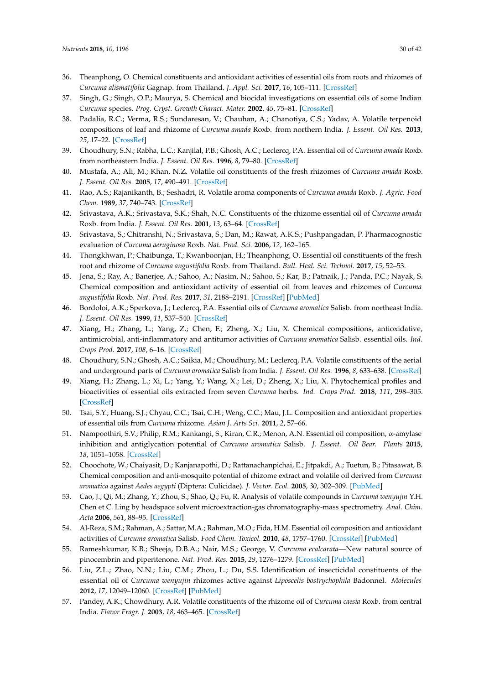- <span id="page-29-37"></span><span id="page-29-9"></span><span id="page-29-8"></span><span id="page-29-7"></span><span id="page-29-6"></span><span id="page-29-5"></span><span id="page-29-4"></span><span id="page-29-3"></span><span id="page-29-2"></span><span id="page-29-1"></span><span id="page-29-0"></span>36. Theanphong, O. Chemical constituents and antioxidant activities of essential oils from roots and rhizomes of *Curcuma alismatifolia* Gagnap. from Thailand. *J. Appl. Sci.* **2017**, *16*, 105–111. [\[CrossRef\]](http://dx.doi.org/10.14416/j.appsci.2017.10.S16)
- <span id="page-29-22"></span><span id="page-29-10"></span>37. Singh, G.; Singh, O.P.; Maurya, S. Chemical and biocidal investigations on essential oils of some Indian *Curcuma* species. *Prog. Cryst. Growth Charact. Mater.* **2002**, *45*, 75–81. [\[CrossRef\]](http://dx.doi.org/10.1016/S0960-8974(02)00030-X)
- <span id="page-29-35"></span><span id="page-29-11"></span>38. Padalia, R.C.; Verma, R.S.; Sundaresan, V.; Chauhan, A.; Chanotiya, C.S.; Yadav, A. Volatile terpenoid compositions of leaf and rhizome of *Curcuma amada* Roxb. from northern India. *J. Essent. Oil Res.* **2013**, *25*, 17–22. [\[CrossRef\]](http://dx.doi.org/10.1080/10412905.2012.747271)
- <span id="page-29-31"></span><span id="page-29-12"></span>39. Choudhury, S.N.; Rabha, L.C.; Kanjilal, P.B.; Ghosh, A.C.; Leclercq, P.A. Essential oil of *Curcuma amada* Roxb. from northeastern India. *J. Essent. Oil Res.* **1996**, *8*, 79–80. [\[CrossRef\]](http://dx.doi.org/10.1080/10412905.1996.9700560)
- <span id="page-29-32"></span><span id="page-29-13"></span>40. Mustafa, A.; Ali, M.; Khan, N.Z. Volatile oil constituents of the fresh rhizomes of *Curcuma amada* Roxb. *J. Essent. Oil Res.* **2005**, *17*, 490–491. [\[CrossRef\]](http://dx.doi.org/10.1080/10412905.2005.9698974)
- <span id="page-29-33"></span>41. Rao, A.S.; Rajanikanth, B.; Seshadri, R. Volatile aroma components of *Curcuma amada* Roxb. *J. Agric. Food Chem.* **1989**, *37*, 740–743. [\[CrossRef\]](http://dx.doi.org/10.1021/jf00087a036)
- <span id="page-29-34"></span><span id="page-29-14"></span>42. Srivastava, A.K.; Srivastava, S.K.; Shah, N.C. Constituents of the rhizome essential oil of *Curcuma amada* Roxb. from India. *J. Essent. Oil Res.* **2001**, *13*, 63–64. [\[CrossRef\]](http://dx.doi.org/10.1080/10412905.2001.9699608)
- <span id="page-29-23"></span><span id="page-29-15"></span>43. Srivastava, S.; Chitranshi, N.; Srivastava, S.; Dan, M.; Rawat, A.K.S.; Pushpangadan, P. Pharmacognostic evaluation of *Curcuma aeruginosa* Roxb. *Nat. Prod. Sci.* **2006**, *12*, 162–165.
- <span id="page-29-38"></span><span id="page-29-16"></span>44. Thongkhwan, P.; Chaibunga, T.; Kwanboonjan, H.; Theanphong, O. Essential oil constituents of the fresh root and rhizome of *Curcuma angustifolia* Roxb. from Thailand. *Bull. Heal. Sci. Technol.* **2017**, *15*, 52–53.
- <span id="page-29-39"></span>45. Jena, S.; Ray, A.; Banerjee, A.; Sahoo, A.; Nasim, N.; Sahoo, S.; Kar, B.; Patnaik, J.; Panda, P.C.; Nayak, S. Chemical composition and antioxidant activity of essential oil from leaves and rhizomes of *Curcuma angustifolia* Roxb. *Nat. Prod. Res.* **2017**, *31*, 2188–2191. [\[CrossRef\]](http://dx.doi.org/10.1080/14786419.2017.1278600) [\[PubMed\]](http://www.ncbi.nlm.nih.gov/pubmed/28067055)
- <span id="page-29-27"></span><span id="page-29-17"></span>46. Bordoloi, A.K.; Sperkova, J.; Leclercq, P.A. Essential oils of *Curcuma aromatica* Salisb. from northeast India. *J. Essent. Oil Res.* **1999**, *11*, 537–540. [\[CrossRef\]](http://dx.doi.org/10.1080/10412905.1999.9701209)
- <span id="page-29-24"></span><span id="page-29-19"></span><span id="page-29-18"></span>47. Xiang, H.; Zhang, L.; Yang, Z.; Chen, F.; Zheng, X.; Liu, X. Chemical compositions, antioxidative, antimicrobial, anti-inflammatory and antitumor activities of *Curcuma aromatica* Salisb. essential oils. *Ind. Crops Prod.* **2017**, *108*, 6–16. [\[CrossRef\]](http://dx.doi.org/10.1016/j.indcrop.2017.05.058)
- <span id="page-29-28"></span><span id="page-29-20"></span>48. Choudhury, S.N.; Ghosh, A.C.; Saikia, M.; Choudhury, M.; Leclercq, P.A. Volatile constituents of the aerial and underground parts of *Curcuma aromatica* Salisb from India. *J. Essent. Oil Res.* **1996**, *8*, 633–638. [\[CrossRef\]](http://dx.doi.org/10.1080/10412905.1996.9701031)
- <span id="page-29-26"></span>49. Xiang, H.; Zhang, L.; Xi, L.; Yang, Y.; Wang, X.; Lei, D.; Zheng, X.; Liu, X. Phytochemical profiles and bioactivities of essential oils extracted from seven *Curcuma* herbs. *Ind. Crops Prod.* **2018**, *111*, 298–305. [\[CrossRef\]](http://dx.doi.org/10.1016/j.indcrop.2017.10.035)
- <span id="page-29-30"></span><span id="page-29-21"></span>50. Tsai, S.Y.; Huang, S.J.; Chyau, C.C.; Tsai, C.H.; Weng, C.C.; Mau, J.L. Composition and antioxidant properties of essential oils from *Curcuma* rhizome. *Asian J. Arts Sci.* **2011**, *2*, 57–66.
- <span id="page-29-29"></span>51. Nampoothiri, S.V.; Philip, R.M.; Kankangi, S.; Kiran, C.R.; Menon, A.N. Essential oil composition, α-amylase inhibition and antiglycation potential of *Curcuma aromatica* Salisb. *J. Essent. Oil Bear. Plants* **2015**, *18*, 1051–1058. [\[CrossRef\]](http://dx.doi.org/10.1080/0972060X.2014.908746)
- <span id="page-29-42"></span>52. Choochote, W.; Chaiyasit, D.; Kanjanapothi, D.; Rattanachanpichai, E.; Jitpakdi, A.; Tuetun, B.; Pitasawat, B. Chemical composition and anti-mosquito potential of rhizome extract and volatile oil derived from *Curcuma aromatica* against *Aedes aegypti* (Diptera: Culicidae). *J. Vector. Ecol.* **2005**, *30*, 302–309. [\[PubMed\]](http://www.ncbi.nlm.nih.gov/pubmed/16599168)
- 53. Cao, J.; Qi, M.; Zhang, Y.; Zhou, S.; Shao, Q.; Fu, R. Analysis of volatile compounds in *Curcuma wenyujin* Y.H. Chen et C. Ling by headspace solvent microextraction-gas chromatography-mass spectrometry. *Anal. Chim. Acta* **2006**, *561*, 88–95. [\[CrossRef\]](http://dx.doi.org/10.1016/j.aca.2006.01.040)
- <span id="page-29-25"></span>54. Al-Reza, S.M.; Rahman, A.; Sattar, M.A.; Rahman, M.O.; Fida, H.M. Essential oil composition and antioxidant activities of *Curcuma aromatica* Salisb. *Food Chem. Toxicol.* **2010**, *48*, 1757–1760. [\[CrossRef\]](http://dx.doi.org/10.1016/j.fct.2010.04.008) [\[PubMed\]](http://www.ncbi.nlm.nih.gov/pubmed/20385198)
- <span id="page-29-40"></span>55. Rameshkumar, K.B.; Sheeja, D.B.A.; Nair, M.S.; George, V. *Curcuma ecalcarata*—New natural source of pinocembrin and piperitenone. *Nat. Prod. Res.* **2015**, *29*, 1276–1279. [\[CrossRef\]](http://dx.doi.org/10.1080/14786419.2014.994210) [\[PubMed\]](http://www.ncbi.nlm.nih.gov/pubmed/25553726)
- <span id="page-29-41"></span>56. Liu, Z.L.; Zhao, N.N.; Liu, C.M.; Zhou, L.; Du, S.S. Identification of insecticidal constituents of the essential oil of *Curcuma wenyujin* rhizomes active against *Liposcelis bostrychophila* Badonnel. *Molecules* **2012**, *17*, 12049–12060. [\[CrossRef\]](http://dx.doi.org/10.3390/molecules171012049) [\[PubMed\]](http://www.ncbi.nlm.nih.gov/pubmed/23085655)
- <span id="page-29-36"></span>57. Pandey, A.K.; Chowdhury, A.R. Volatile constituents of the rhizome oil of *Curcuma caesia* Roxb. from central India. *Flavor Fragr. J.* **2003**, *18*, 463–465. [\[CrossRef\]](http://dx.doi.org/10.1002/ffj.1255)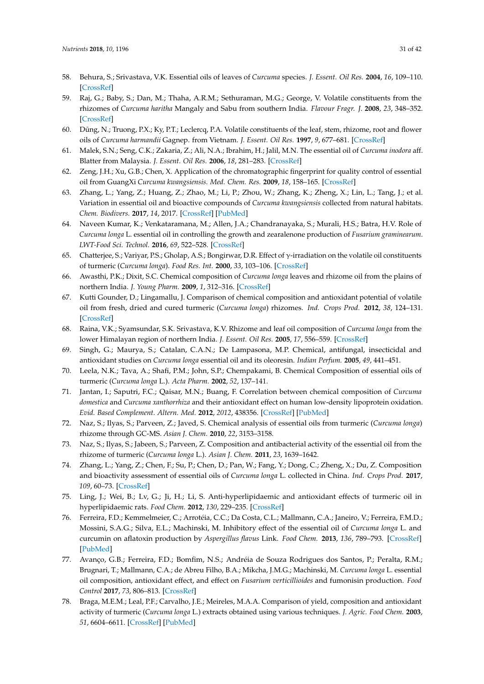- <span id="page-30-28"></span><span id="page-30-8"></span><span id="page-30-7"></span><span id="page-30-6"></span><span id="page-30-5"></span><span id="page-30-4"></span><span id="page-30-3"></span><span id="page-30-2"></span><span id="page-30-1"></span><span id="page-30-0"></span>58. Behura, S.; Srivastava, V.K. Essential oils of leaves of *Curcuma* species. *J. Essent. Oil Res.* **2004**, *16*, 109–110. [\[CrossRef\]](http://dx.doi.org/10.1080/10412905.2004.9698664)
- <span id="page-30-29"></span><span id="page-30-9"></span>59. Raj, G.; Baby, S.; Dan, M.; Thaha, A.R.M.; Sethuraman, M.G.; George, V. Volatile constituents from the rhizomes of *Curcuma haritha* Mangaly and Sabu from southern India. *Flavour Fragr. J.* **2008**, *23*, 348–352. [\[CrossRef\]](http://dx.doi.org/10.1002/ffj.1891)
- <span id="page-30-30"></span><span id="page-30-10"></span>60. Dũng, N.; Truong, P.X.; Ky, P.T.; Leclercq, P.A. Volatile constituents of the leaf, stem, rhizome, root and flower oils of *Curcuma harmandii* Gagnep. from Vietnam. *J. Essent. Oil Res.* **1997**, *9*, 677–681. [\[CrossRef\]](http://dx.doi.org/10.1080/10412905.1997.9700810)
- <span id="page-30-11"></span>61. Malek, S.N.; Seng, C.K.; Zakaria, Z.; Ali, N.A.; Ibrahim, H.; Jalil, M.N. The essential oil of *Curcuma inodora* aff. Blatter from Malaysia. *J. Essent. Oil Res.* **2006**, *18*, 281–283. [\[CrossRef\]](http://dx.doi.org/10.1080/10412905.2006.9699088)
- <span id="page-30-12"></span>62. Zeng, J.H.; Xu, G.B.; Chen, X. Application of the chromatographic fingerprint for quality control of essential oil from GuangXi *Curcuma kwangsiensis*. *Med. Chem. Res.* **2009**, *18*, 158–165. [\[CrossRef\]](http://dx.doi.org/10.1007/s00044-008-9115-2)
- <span id="page-30-34"></span><span id="page-30-13"></span>63. Zhang, L.; Yang, Z.; Huang, Z.; Zhao, M.; Li, P.; Zhou, W.; Zhang, K.; Zheng, X.; Lin, L.; Tang, J.; et al. Variation in essential oil and bioactive compounds of *Curcuma kwangsiensis* collected from natural habitats. *Chem. Biodivers.* **2017**, *14*, 2017. [\[CrossRef\]](http://dx.doi.org/10.1002/cbdv.201700020) [\[PubMed\]](http://www.ncbi.nlm.nih.gov/pubmed/28398606)
- <span id="page-30-15"></span><span id="page-30-14"></span>64. Naveen Kumar, K.; Venkataramana, M.; Allen, J.A.; Chandranayaka, S.; Murali, H.S.; Batra, H.V. Role of *Curcuma longa* L. essential oil in controlling the growth and zearalenone production of *Fusarium graminearum*. *LWT-Food Sci. Technol.* **2016**, *69*, 522–528. [\[CrossRef\]](http://dx.doi.org/10.1016/j.lwt.2016.02.005)
- <span id="page-30-23"></span><span id="page-30-16"></span>65. Chatterjee, S.; Variyar, P.S.; Gholap, A.S.; Bongirwar, D.R. Effect of γ-irradiation on the volatile oil constituents of turmeric (*Curcuma longa*). *Food Res. Int.* **2000**, *33*, 103–106. [\[CrossRef\]](http://dx.doi.org/10.1016/S0963-9969(00)00012-0)
- <span id="page-30-22"></span>66. Awasthi, P.K.; Dixit, S.C. Chemical composition of *Curcuma longa* leaves and rhizome oil from the plains of northern India. *J. Young Pharm.* **2009**, *1*, 312–316. [\[CrossRef\]](http://dx.doi.org/10.4103/0975-1483.59319)
- <span id="page-30-17"></span>67. Kutti Gounder, D.; Lingamallu, J. Comparison of chemical composition and antioxidant potential of volatile oil from fresh, dried and cured turmeric (*Curcuma longa*) rhizomes. *Ind. Crops Prod.* **2012**, *38*, 124–131. [\[CrossRef\]](http://dx.doi.org/10.1016/j.indcrop.2012.01.014)
- <span id="page-30-26"></span><span id="page-30-18"></span>68. Raina, V.K.; Syamsundar, S.K. Srivastava, K.V. Rhizome and leaf oil composition of *Curcuma longa* from the lower Himalayan region of northern India. *J. Essent. Oil Res.* **2005**, *17*, 556–559. [\[CrossRef\]](http://dx.doi.org/10.1080/10412905.2005.9698993)
- <span id="page-30-19"></span>69. Singh, G.; Maurya, S.; Catalan, C.A.N.; De Lampasona, M.P. Chemical, antifungal, insecticidal and antioxidant studies on *Curcuma longa* essential oil and its oleoresin. *Indian Perfum.* **2005**, *49*, 441–451.
- <span id="page-30-25"></span>70. Leela, N.K.; Tava, A.; Shafi, P.M.; John, S.P.; Chempakami, B. Chemical Composition of essential oils of turmeric (*Curcuma longa* L.). *Acta Pharm.* **2002**, *52*, 137–141.
- <span id="page-30-27"></span><span id="page-30-20"></span>71. Jantan, I.; Saputri, F.C.; Qaisar, M.N.; Buang, F. Correlation between chemical composition of *Curcuma domestica* and *Curcuma xanthorrhiza* and their antioxidant effect on human low-density lipoprotein oxidation. *Evid. Based Complement. Altern. Med.* **2012**, *2012*, 438356. [\[CrossRef\]](http://dx.doi.org/10.1155/2012/438356) [\[PubMed\]](http://www.ncbi.nlm.nih.gov/pubmed/23243446)
- <span id="page-30-35"></span>72. Naz, S.; Ilyas, S.; Parveen, Z.; Javed, S. Chemical analysis of essential oils from turmeric (*Curcuma longa*) rhizome through GC-MS. *Asian J. Chem.* **2010**, *22*, 3153–3158.
- 73. Naz, S.; Ilyas, S.; Jabeen, S.; Parveen, Z. Composition and antibacterial activity of the essential oil from the rhizome of turmeric (*Curcuma longa* L.). *Asian J. Chem.* **2011**, *23*, 1639–1642.
- <span id="page-30-32"></span>74. Zhang, L.; Yang, Z.; Chen, F.; Su, P.; Chen, D.; Pan, W.; Fang, Y.; Dong, C.; Zheng, X.; Du, Z. Composition and bioactivity assessment of essential oils of *Curcuma longa* L. collected in China. *Ind. Crops Prod.* **2017**, *109*, 60–73. [\[CrossRef\]](http://dx.doi.org/10.1016/j.indcrop.2017.08.009)
- <span id="page-30-31"></span>75. Ling, J.; Wei, B.; Lv, G.; Ji, H.; Li, S. Anti-hyperlipidaemic and antioxidant effects of turmeric oil in hyperlipidaemic rats. *Food Chem.* **2012**, *130*, 229–235. [\[CrossRef\]](http://dx.doi.org/10.1016/j.foodchem.2011.07.039)
- <span id="page-30-21"></span>76. Ferreira, F.D.; Kemmelmeier, C.; Arrotéia, C.C.; Da Costa, C.L.; Mallmann, C.A.; Janeiro, V.; Ferreira, F.M.D.; Mossini, S.A.G.; Silva, E.L.; Machinski, M. Inhibitory effect of the essential oil of *Curcuma longa* L. and curcumin on aflatoxin production by *Aspergillus flavus* Link. *Food Chem.* **2013**, *136*, 789–793. [\[CrossRef\]](http://dx.doi.org/10.1016/j.foodchem.2012.08.003) [\[PubMed\]](http://www.ncbi.nlm.nih.gov/pubmed/23122128)
- <span id="page-30-33"></span>77. Avanço, G.B.; Ferreira, F.D.; Bomfim, N.S.; Andréia de Souza Rodrigues dos Santos, P.; Peralta, R.M.; Brugnari, T.; Mallmann, C.A.; de Abreu Filho, B.A.; Mikcha, J.M.G.; Machinski, M. *Curcuma longa* L. essential oil composition, antioxidant effect, and effect on *Fusarium verticillioides* and fumonisin production. *Food Control* **2017**, *73*, 806–813. [\[CrossRef\]](http://dx.doi.org/10.1016/j.foodcont.2016.09.032)
- <span id="page-30-24"></span>78. Braga, M.E.M.; Leal, P.F.; Carvalho, J.E.; Meireles, M.A.A. Comparison of yield, composition and antioxidant activity of turmeric (*Curcuma longa* L.) extracts obtained using various techniques. *J. Agric. Food Chem.* **2003**, *51*, 6604–6611. [\[CrossRef\]](http://dx.doi.org/10.1021/jf0345550) [\[PubMed\]](http://www.ncbi.nlm.nih.gov/pubmed/14558784)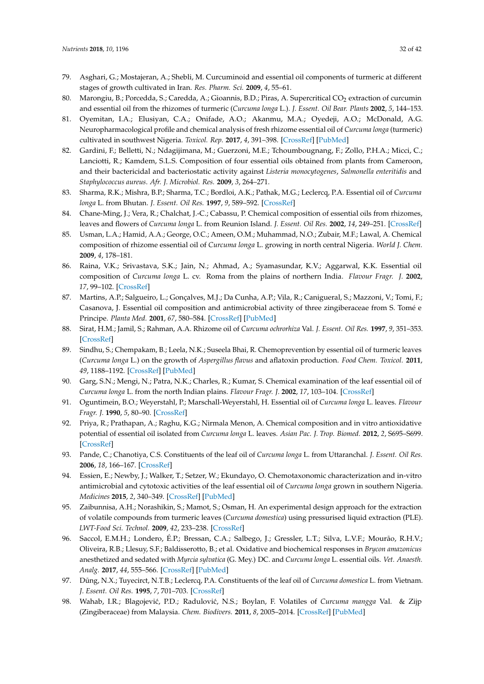- <span id="page-31-7"></span><span id="page-31-6"></span><span id="page-31-5"></span><span id="page-31-4"></span><span id="page-31-3"></span><span id="page-31-2"></span><span id="page-31-1"></span><span id="page-31-0"></span>79. Asghari, G.; Mostajeran, A.; Shebli, M. Curcuminoid and essential oil components of turmeric at different stages of growth cultivated in Iran. *Res. Pharm. Sci.* **2009**, *4*, 55–61.
- <span id="page-31-8"></span>80. Marongiu, B.; Porcedda, S.; Caredda, A.; Gioannis, B.D.; Piras, A. Supercritical CO<sub>2</sub> extraction of curcumin and essential oil from the rhizomes of turmeric (*Curcuma longa* L.). *J. Essent. Oil Bear. Plants* **2002**, *5*, 144–153.
- <span id="page-31-32"></span><span id="page-31-9"></span>81. Oyemitan, I.A.; Elusiyan, C.A.; Onifade, A.O.; Akanmu, M.A.; Oyedeji, A.O.; McDonald, A.G. Neuropharmacological profile and chemical analysis of fresh rhizome essential oil of *Curcuma longa* (turmeric) cultivated in southwest Nigeria. *Toxicol. Rep.* **2017**, *4*, 391–398. [\[CrossRef\]](http://dx.doi.org/10.1016/j.toxrep.2017.07.001) [\[PubMed\]](http://www.ncbi.nlm.nih.gov/pubmed/28959664)
- <span id="page-31-10"></span>82. Gardini, F.; Belletti, N.; Ndagijimana, M.; Guerzoni, M.E.; Tchoumbougnang, F.; Zollo, P.H.A.; Micci, C.; Lanciotti, R.; Kamdem, S.L.S. Composition of four essential oils obtained from plants from Cameroon, and their bactericidal and bacteriostatic activity against *Listeria monocytogenes*, *Salmonella enteritidis* and *Staphylococcus aureus*. *Afr. J. Microbiol. Res.* **2009**, *3*, 264–271.
- <span id="page-31-24"></span><span id="page-31-12"></span><span id="page-31-11"></span>83. Sharma, R.K.; Mishra, B.P.; Sharma, T.C.; Bordloi, A.K.; Pathak, M.G.; Leclercq, P.A. Essential oil of *Curcuma longa* L. from Bhutan. *J. Essent. Oil Res.* **1997**, *9*, 589–592. [\[CrossRef\]](http://dx.doi.org/10.1080/10412905.1997.9700783)
- <span id="page-31-28"></span><span id="page-31-13"></span>84. Chane-Ming, J.; Vera, R.; Chalchat, J.-C.; Cabassu, P. Chemical composition of essential oils from rhizomes, leaves and flowers of *Curcuma longa* L. from Reunion Island. *J. Essent. Oil Res.* **2002**, *14*, 249–251. [\[CrossRef\]](http://dx.doi.org/10.1080/10412905.2002.9699843)
- <span id="page-31-21"></span><span id="page-31-14"></span>85. Usman, L.A.; Hamid, A.A.; George, O.C.; Ameen, O.M.; Muhammad, N.O.; Zubair, M.F.; Lawal, A. Chemical composition of rhizome essential oil of *Curcuma longa* L. growing in north central Nigeria. *World J. Chem.* **2009**, *4*, 178–181.
- <span id="page-31-23"></span><span id="page-31-15"></span>86. Raina, V.K.; Srivastava, S.K.; Jain, N.; Ahmad, A.; Syamasundar, K.V.; Aggarwal, K.K. Essential oil composition of *Curcuma longa* L. cv. Roma from the plains of northern India. *Flavour Fragr. J.* **2002**, *17*, 99–102. [\[CrossRef\]](http://dx.doi.org/10.1002/ffj.1053)
- <span id="page-31-22"></span><span id="page-31-16"></span>87. Martins, A.P.; Salgueiro, L.; Gonçalves, M.J.; Da Cunha, A.P.; Vila, R.; Canigueral, S.; Mazzoni, V.; Tomi, F.; Casanova, J. Essential oil composition and antimicrobial activity of three zingiberaceae from S. Tomé e Principe. *Planta Med.* **2001**, *67*, 580–584. [\[CrossRef\]](http://dx.doi.org/10.1055/s-2001-16494) [\[PubMed\]](http://www.ncbi.nlm.nih.gov/pubmed/11509990)
- <span id="page-31-17"></span>88. Sirat, H.M.; Jamil, S.; Rahman, A.A. Rhizome oil of *Curcuma ochrorhiza* Val. *J. Essent. Oil Res.* **1997**, *9*, 351–353. [\[CrossRef\]](http://dx.doi.org/10.1080/10412905.1997.10554259)
- <span id="page-31-25"></span>89. Sindhu, S.; Chempakam, B.; Leela, N.K.; Suseela Bhai, R. Chemoprevention by essential oil of turmeric leaves (*Curcuma longa* L.) on the growth of *Aspergillus flavus* and aflatoxin production. *Food Chem. Toxicol.* **2011**, *49*, 1188–1192. [\[CrossRef\]](http://dx.doi.org/10.1016/j.fct.2011.02.014) [\[PubMed\]](http://www.ncbi.nlm.nih.gov/pubmed/21354246)
- <span id="page-31-18"></span>90. Garg, S.N.; Mengi, N.; Patra, N.K.; Charles, R.; Kumar, S. Chemical examination of the leaf essential oil of *Curcuma longa* L. from the north Indian plains. *Flavour Fragr. J.* **2002**, *17*, 103–104. [\[CrossRef\]](http://dx.doi.org/10.1002/ffj.1056)
- <span id="page-31-19"></span>91. Oguntimein, B.O.; Weyerstahl, P.; Marschall-Weyerstahl, H. Essential oil of *Curcuma longa* L. leaves. *Flavour Fragr. J.* **1990**, *5*, 80–90. [\[CrossRef\]](http://dx.doi.org/10.1002/ffj.2730050206)
- <span id="page-31-30"></span>92. Priya, R.; Prathapan, A.; Raghu, K.G.; Nirmala Menon, A. Chemical composition and in vitro antioxidative potential of essential oil isolated from *Curcuma longa* L. leaves. *Asian Pac. J. Trop. Biomed.* **2012**, *2*, S695–S699. [\[CrossRef\]](http://dx.doi.org/10.1016/S2221-1691(12)60298-6)
- <span id="page-31-29"></span>93. Pande, C.; Chanotiya, C.S. Constituents of the leaf oil of *Curcuma longa* L. from Uttaranchal. *J. Essent. Oil Res.* **2006**, *18*, 166–167. [\[CrossRef\]](http://dx.doi.org/10.1080/10412905.2006.9699056)
- <span id="page-31-20"></span>94. Essien, E.; Newby, J.; Walker, T.; Setzer, W.; Ekundayo, O. Chemotaxonomic characterization and in-vitro antimicrobial and cytotoxic activities of the leaf essential oil of *Curcuma longa* grown in southern Nigeria. *Medicines* **2015**, *2*, 340–349. [\[CrossRef\]](http://dx.doi.org/10.3390/medicines2040340) [\[PubMed\]](http://www.ncbi.nlm.nih.gov/pubmed/28930216)
- <span id="page-31-26"></span>95. Zaibunnisa, A.H.; Norashikin, S.; Mamot, S.; Osman, H. An experimental design approach for the extraction of volatile compounds from turmeric leaves (*Curcuma domestica*) using pressurised liquid extraction (PLE). *LWT-Food Sci. Technol.* **2009**, *42*, 233–238. [\[CrossRef\]](http://dx.doi.org/10.1016/j.lwt.2008.03.015)
- <span id="page-31-27"></span>96. Saccol, E.M.H.; Londero, É.P.; Bressan, C.A.; Salbego, J.; Gressler, L.T.; Silva, L.V.F.; Mourão, R.H.V.; Oliveira, R.B.; Llesuy, S.F.; Baldisserotto, B.; et al. Oxidative and biochemical responses in *Brycon amazonicus* anesthetized and sedated with *Myrcia sylvatica* (G. Mey.) DC. and *Curcuma longa* L. essential oils. *Vet. Anaesth. Analg.* **2017**, *44*, 555–566. [\[CrossRef\]](http://dx.doi.org/10.1016/j.vaa.2016.08.005) [\[PubMed\]](http://www.ncbi.nlm.nih.gov/pubmed/28566223)
- 97. Dũng, N.X.; Tuyecirct, N.T.B.; Leclercq, P.A. Constituents of the leaf oil of *Curcuma domestica* L. from Vietnam. *J. Essent. Oil Res.* **1995**, *7*, 701–703. [\[CrossRef\]](http://dx.doi.org/10.1080/10412905.1995.9700537)
- <span id="page-31-31"></span>98. Wahab, I.R.; Blagojević, P.D.; Radulović, N.S.; Boylan, F. Volatiles of *Curcuma mangga* Val. & Zijp (Zingiberaceae) from Malaysia. *Chem. Biodivers.* **2011**, *8*, 2005–2014. [\[CrossRef\]](http://dx.doi.org/10.1002/cbdv.201100135) [\[PubMed\]](http://www.ncbi.nlm.nih.gov/pubmed/22083913)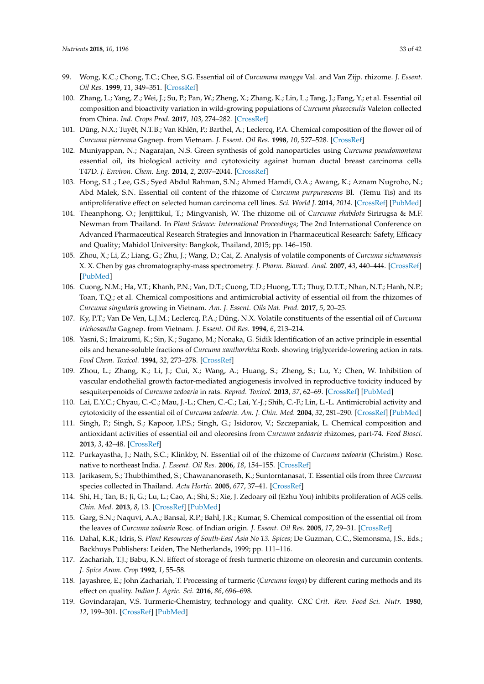- <span id="page-32-28"></span><span id="page-32-7"></span><span id="page-32-6"></span><span id="page-32-5"></span><span id="page-32-4"></span><span id="page-32-3"></span><span id="page-32-2"></span><span id="page-32-1"></span><span id="page-32-0"></span>99. Wong, K.C.; Chong, T.C.; Chee, S.G. Essential oil of *Curcumma mangga* Val. and Van Zijp. rhizome. *J. Essent. Oil Res.* **1999**, *11*, 349–351. [\[CrossRef\]](http://dx.doi.org/10.1080/10412905.1999.9701151)
- <span id="page-32-27"></span>100. Zhang, L.; Yang, Z.; Wei, J.; Su, P.; Pan, W.; Zheng, X.; Zhang, K.; Lin, L.; Tang, J.; Fang, Y.; et al. Essential oil composition and bioactivity variation in wild-growing populations of *Curcuma phaeocaulis* Valeton collected from China. *Ind. Crops Prod.* **2017**, *103*, 274–282. [\[CrossRef\]](http://dx.doi.org/10.1016/j.indcrop.2017.04.019)
- <span id="page-32-9"></span><span id="page-32-8"></span>101. Dũng, N.X.; Tuyêt, N.T.B.; Van Khlên, P.; Barthel, A.; Leclercq, P.A. Chemical composition of the flower oil of *Curcuma pierreana* Gagnep. from Vietnam. *J. Essent. Oil Res.* **1998**, *10*, 527–528. [\[CrossRef\]](http://dx.doi.org/10.1080/10412905.1998.9700960)
- <span id="page-32-29"></span>102. Muniyappan, N.; Nagarajan, N.S. Green synthesis of gold nanoparticles using *Curcuma pseudomontana* essential oil, its biological activity and cytotoxicity against human ductal breast carcinoma cells T47D. *J. Environ. Chem. Eng.* **2014**, *2*, 2037–2044. [\[CrossRef\]](http://dx.doi.org/10.1016/j.jece.2014.03.004)
- <span id="page-32-30"></span><span id="page-32-11"></span><span id="page-32-10"></span>103. Hong, S.L.; Lee, G.S.; Syed Abdul Rahman, S.N.; Ahmed Hamdi, O.A.; Awang, K.; Aznam Nugroho, N.; Abd Malek, S.N. Essential oil content of the rhizome of *Curcuma purpurascens* Bl. (Temu Tis) and its antiproliferative effect on selected human carcinoma cell lines. *Sci. World J.* **2014**, *2014*. [\[CrossRef\]](http://dx.doi.org/10.1155/2014/397430) [\[PubMed\]](http://www.ncbi.nlm.nih.gov/pubmed/25177723)
- <span id="page-32-31"></span><span id="page-32-12"></span>104. Theanphong, O.; Jenjittikul, T.; Mingvanish, W. The rhizome oil of *Curcuma rhabdota* Sirirugsa & M.F. Newman from Thailand. In *Plant Science: International Proceedings*; The 2nd International Conference on Advanced Pharmaceutical Research Strategies and Innovation in Pharmaceutical Research: Safety, Efficacy and Quality; Mahidol University: Bangkok, Thailand, 2015; pp. 146–150.
- <span id="page-32-32"></span><span id="page-32-14"></span><span id="page-32-13"></span>105. Zhou, X.; Li, Z.; Liang, G.; Zhu, J.; Wang, D.; Cai, Z. Analysis of volatile components of *Curcuma sichuanensis* X. X. Chen by gas chromatography-mass spectrometry. *J. Pharm. Biomed. Anal.* **2007**, *43*, 440–444. [\[CrossRef\]](http://dx.doi.org/10.1016/j.jpba.2006.07.024) [\[PubMed\]](http://www.ncbi.nlm.nih.gov/pubmed/16920324)
- <span id="page-32-33"></span><span id="page-32-15"></span>106. Cuong, N.M.; Ha, V.T.; Khanh, P.N.; Van, D.T.; Cuong, T.D.; Huong, T.T.; Thuy, D.T.T.; Nhan, N.T.; Hanh, N.P.; Toan, T.Q.; et al. Chemical compositions and antimicrobial activity of essential oil from the rhizomes of *Curcuma singularis* growing in Vietnam. *Am. J. Essent. Oils Nat. Prod.* **2017**, *5*, 20–25.
- <span id="page-32-34"></span><span id="page-32-16"></span>107. Ky, P.T.; Van De Ven, L.J.M.; Leclercq, P.A.; Dũng, N.X. Volatile constituents of the essential oil of *Curcuma trichosantha* Gagnep. from Vietnam. *J. Essent. Oil Res.* **1994**, *6*, 213–214.
- <span id="page-32-26"></span>108. Yasni, S.; Imaizumi, K.; Sin, K.; Sugano, M.; Nonaka, G. Sidik Identification of an active principle in essential oils and hexane-soluble fractions of *Curcuma xanthorrhiza* Roxb. showing triglyceride-lowering action in rats. *Food Chem. Toxicol.* **1994**, *32*, 273–278. [\[CrossRef\]](http://dx.doi.org/10.1016/0278-6915(94)90200-3)
- <span id="page-32-22"></span>109. Zhou, L.; Zhang, K.; Li, J.; Cui, X.; Wang, A.; Huang, S.; Zheng, S.; Lu, Y.; Chen, W. Inhibition of vascular endothelial growth factor-mediated angiogenesis involved in reproductive toxicity induced by sesquiterpenoids of *Curcuma zedoaria* in rats. *Reprod. Toxicol.* **2013**, *37*, 62–69. [\[CrossRef\]](http://dx.doi.org/10.1016/j.reprotox.2013.02.001) [\[PubMed\]](http://www.ncbi.nlm.nih.gov/pubmed/23411112)
- <span id="page-32-23"></span>110. Lai, E.Y.C.; Chyau, C.-C.; Mau, J.-L.; Chen, C.-C.; Lai, Y.-J.; Shih, C.-F.; Lin, L.-L. Antimicrobial activity and cytotoxicity of the essential oil of *Curcuma zedoaria*. *Am. J. Chin. Med.* **2004**, *32*, 281–290. [\[CrossRef\]](http://dx.doi.org/10.1142/S0192415X0400193X) [\[PubMed\]](http://www.ncbi.nlm.nih.gov/pubmed/15315265)
- <span id="page-32-24"></span>111. Singh, P.; Singh, S.; Kapoor, I.P.S.; Singh, G.; Isidorov, V.; Szczepaniak, L. Chemical composition and antioxidant activities of essential oil and oleoresins from *Curcuma zedoaria* rhizomes, part-74. *Food Biosci.* **2013**, *3*, 42–48. [\[CrossRef\]](http://dx.doi.org/10.1016/j.fbio.2013.06.002)
- <span id="page-32-21"></span>112. Purkayastha, J.; Nath, S.C.; Klinkby, N. Essential oil of the rhizome of *Curcuma zedoaria* (Christm.) Rosc. native to northeast India. *J. Essent. Oil Res.* **2006**, *18*, 154–155. [\[CrossRef\]](http://dx.doi.org/10.1080/10412905.2006.9699050)
- 113. Jarikasem, S.; Thubthimthed, S.; Chawananoraseth, K.; Suntorntanasat, T. Essential oils from three *Curcuma* species collected in Thailand. *Acta Hortic.* **2005**, *677*, 37–41. [\[CrossRef\]](http://dx.doi.org/10.17660/ActaHortic.2005.675.4)
- <span id="page-32-35"></span>114. Shi, H.; Tan, B.; Ji, G.; Lu, L.; Cao, A.; Shi, S.; Xie, J. Zedoary oil (Ezhu You) inhibits proliferation of AGS cells. *Chin. Med.* **2013**, *8*, 13. [\[CrossRef\]](http://dx.doi.org/10.1186/1749-8546-8-13) [\[PubMed\]](http://www.ncbi.nlm.nih.gov/pubmed/23805830)
- <span id="page-32-25"></span>115. Garg, S.N.; Naquvi, A.A.; Bansal, R.P.; Bahl, J.R.; Kumar, S. Chemical composition of the essential oil from the leaves of *Curcuma zedoaria* Rosc. of Indian origin. *J. Essent. Oil Res.* **2005**, *17*, 29–31. [\[CrossRef\]](http://dx.doi.org/10.1080/10412905.2005.9698821)
- <span id="page-32-17"></span>116. Dahal, K.R.; Idris, S. *Plant Resources of South-East Asia No 13. Spices*; De Guzman, C.C., Siemonsma, J.S., Eds.; Backhuys Publishers: Leiden, The Netherlands, 1999; pp. 111–116.
- <span id="page-32-18"></span>117. Zachariah, T.J.; Babu, K.N. Effect of storage of fresh turmeric rhizome on oleoresin and curcumin contents. *J. Spice Arom. Crop* **1992**, *1*, 55–58.
- <span id="page-32-19"></span>118. Jayashree, E.; John Zachariah, T. Processing of turmeric (*Curcuma longa*) by different curing methods and its effect on quality. *Indian J. Agric. Sci.* **2016**, *86*, 696–698.
- <span id="page-32-20"></span>119. Govindarajan, V.S. Turmeric-Chemistry, technology and quality. *CRC Crit. Rev. Food Sci. Nutr.* **1980**, *12*, 199–301. [\[CrossRef\]](http://dx.doi.org/10.1080/10408398009527278) [\[PubMed\]](http://www.ncbi.nlm.nih.gov/pubmed/6993103)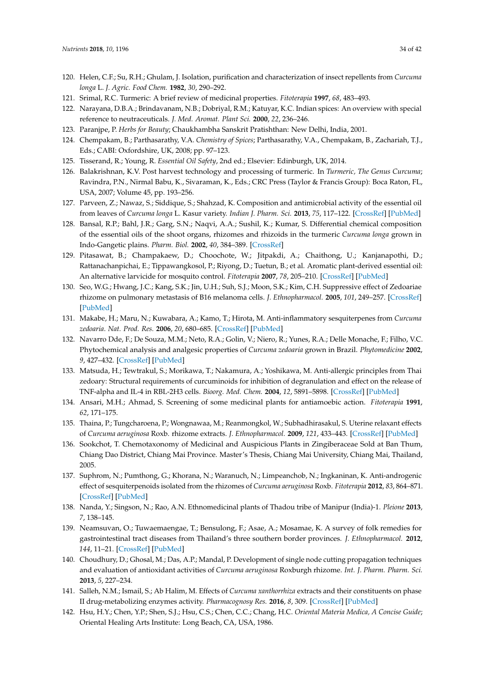- <span id="page-33-0"></span>120. Helen, C.F.; Su, R.H.; Ghulam, J. Isolation, purification and characterization of insect repellents from *Curcuma longa* L. *J. Agric. Food Chem.* **1982**, *30*, 290–292.
- <span id="page-33-1"></span>121. Srimal, R.C. Turmeric: A brief review of medicinal properties. *Fitoterapia* **1997**, *68*, 483–493.
- <span id="page-33-2"></span>122. Narayana, D.B.A.; Brindavanam, N.B.; Dobriyal, R.M.; Katuyar, K.C. Indian spices: An overview with special reference to neutraceuticals. *J. Med. Aromat. Plant Sci.* **2000**, *22*, 236–246.
- <span id="page-33-3"></span>123. Paranjpe, P. *Herbs for Beauty*; Chaukhambha Sanskrit Pratishthan: New Delhi, India, 2001.
- <span id="page-33-4"></span>124. Chempakam, B.; Parthasarathy, V.A. *Chemistry of Spices*; Parthasarathy, V.A., Chempakam, B., Zachariah, T.J., Eds.; CABI: Oxfordshire, UK, 2008; pp. 97–123.
- <span id="page-33-5"></span>125. Tisserand, R.; Young, R. *Essential Oil Safety*, 2nd ed.; Elsevier: Edinburgh, UK, 2014.
- <span id="page-33-6"></span>126. Balakrishnan, K.V. Post harvest technology and processing of turmeric. In *Turmeric, The Genus Curcuma*; Ravindra, P.N., Nirmal Babu, K., Sivaraman, K., Eds.; CRC Press (Taylor & Francis Group): Boca Raton, FL, USA, 2007; Volume 45, pp. 193–256.
- <span id="page-33-7"></span>127. Parveen, Z.; Nawaz, S.; Siddique, S.; Shahzad, K. Composition and antimicrobial activity of the essential oil from leaves of *Curcuma longa* L. Kasur variety. *Indian J. Pharm. Sci.* **2013**, *75*, 117–122. [\[CrossRef\]](http://dx.doi.org/10.4103/0250-474X.113544) [\[PubMed\]](http://www.ncbi.nlm.nih.gov/pubmed/23901173)
- <span id="page-33-8"></span>128. Bansal, R.P.; Bahl, J.R.; Garg, S.N.; Naqvi, A.A.; Sushil, K.; Kumar, S. Differential chemical composition of the essential oils of the shoot organs, rhizomes and rhizoids in the turmeric *Curcuma longa* grown in Indo-Gangetic plains. *Pharm. Biol.* **2002**, *40*, 384–389. [\[CrossRef\]](http://dx.doi.org/10.1076/phbi.40.5.384.8458)
- <span id="page-33-9"></span>129. Pitasawat, B.; Champakaew, D.; Choochote, W.; Jitpakdi, A.; Chaithong, U.; Kanjanapothi, D.; Rattanachanpichai, E.; Tippawangkosol, P.; Riyong, D.; Tuetun, B.; et al. Aromatic plant-derived essential oil: An alternative larvicide for mosquito control. *Fitoterapia* **2007**, *78*, 205–210. [\[CrossRef\]](http://dx.doi.org/10.1016/j.fitote.2007.01.003) [\[PubMed\]](http://www.ncbi.nlm.nih.gov/pubmed/17337133)
- <span id="page-33-10"></span>130. Seo, W.G.; Hwang, J.C.; Kang, S.K.; Jin, U.H.; Suh, S.J.; Moon, S.K.; Kim, C.H. Suppressive effect of Zedoariae rhizome on pulmonary metastasis of B16 melanoma cells. *J. Ethnopharmacol.* **2005**, *101*, 249–257. [\[CrossRef\]](http://dx.doi.org/10.1016/j.jep.2005.04.037) [\[PubMed\]](http://www.ncbi.nlm.nih.gov/pubmed/16023317)
- <span id="page-33-11"></span>131. Makabe, H.; Maru, N.; Kuwabara, A.; Kamo, T.; Hirota, M. Anti-inflammatory sesquiterpenes from *Curcuma zedoaria*. *Nat. Prod. Res.* **2006**, *20*, 680–685. [\[CrossRef\]](http://dx.doi.org/10.1080/14786410500462900) [\[PubMed\]](http://www.ncbi.nlm.nih.gov/pubmed/16901812)
- <span id="page-33-12"></span>132. Navarro Dde, F.; De Souza, M.M.; Neto, R.A.; Golin, V.; Niero, R.; Yunes, R.A.; Delle Monache, F.; Filho, V.C. Phytochemical analysis and analgesic properties of *Curcuma zedoaria* grown in Brazil. *Phytomedicine* **2002**, *9*, 427–432. [\[CrossRef\]](http://dx.doi.org/10.1078/09447110260571670) [\[PubMed\]](http://www.ncbi.nlm.nih.gov/pubmed/12222663)
- <span id="page-33-13"></span>133. Matsuda, H.; Tewtrakul, S.; Morikawa, T.; Nakamura, A.; Yoshikawa, M. Anti-allergic principles from Thai zedoary: Structural requirements of curcuminoids for inhibition of degranulation and effect on the release of TNF-alpha and IL-4 in RBL-2H3 cells. *Bioorg. Med. Chem.* **2004**, *12*, 5891–5898. [\[CrossRef\]](http://dx.doi.org/10.1016/j.bmc.2004.08.027) [\[PubMed\]](http://www.ncbi.nlm.nih.gov/pubmed/15498665)
- <span id="page-33-14"></span>134. Ansari, M.H.; Ahmad, S. Screening of some medicinal plants for antiamoebic action. *Fitoterapia* **1991**, *62*, 171–175.
- <span id="page-33-15"></span>135. Thaina, P.; Tungcharoena, P.; Wongnawaa, M.; Reanmongkol, W.; Subhadhirasakul, S. Uterine relaxant effects of *Curcuma aeruginosa* Roxb. rhizome extracts. *J. Ethnopharmacol.* **2009**, *121*, 433–443. [\[CrossRef\]](http://dx.doi.org/10.1016/j.jep.2008.10.022) [\[PubMed\]](http://www.ncbi.nlm.nih.gov/pubmed/19026735)
- <span id="page-33-16"></span>136. Sookchot, T. Chemotaxonomy of Medicinal and Auspicious Plants in Zingiberaceae Sold at Ban Thum, Chiang Dao District, Chiang Mai Province. Master's Thesis, Chiang Mai University, Chiang Mai, Thailand, 2005.
- <span id="page-33-20"></span>137. Suphrom, N.; Pumthong, G.; Khorana, N.; Waranuch, N.; Limpeanchob, N.; Ingkaninan, K. Anti-androgenic effect of sesquiterpenoids isolated from the rhizomes of *Curcuma aeruginosa* Roxb. *Fitoterapia* **2012**, *83*, 864–871. [\[CrossRef\]](http://dx.doi.org/10.1016/j.fitote.2012.03.017) [\[PubMed\]](http://www.ncbi.nlm.nih.gov/pubmed/22465508)
- 138. Nanda, Y.; Singson, N.; Rao, A.N. Ethnomedicinal plants of Thadou tribe of Manipur (India)-1. *Pleione* **2013**, *7*, 138–145.
- <span id="page-33-17"></span>139. Neamsuvan, O.; Tuwaemaengae, T.; Bensulong, F.; Asae, A.; Mosamae, K. A survey of folk remedies for gastrointestinal tract diseases from Thailand's three southern border provinces. *J. Ethnopharmacol.* **2012**, *144*, 11–21. [\[CrossRef\]](http://dx.doi.org/10.1016/j.jep.2012.07.043) [\[PubMed\]](http://www.ncbi.nlm.nih.gov/pubmed/22940242)
- <span id="page-33-18"></span>140. Choudhury, D.; Ghosal, M.; Das, A.P.; Mandal, P. Development of single node cutting propagation techniques and evaluation of antioxidant activities of *Curcuma aeruginosa* Roxburgh rhizome. *Int. J. Pharm. Pharm. Sci.* **2013**, *5*, 227–234.
- <span id="page-33-19"></span>141. Salleh, N.M.; Ismail, S.; Ab Halim, M. Effects of *Curcuma xanthorrhiza* extracts and their constituents on phase II drug-metabolizing enzymes activity. *Pharmacognosy Res.* **2016**, *8*, 309. [\[CrossRef\]](http://dx.doi.org/10.4103/0974-8490.188873) [\[PubMed\]](http://www.ncbi.nlm.nih.gov/pubmed/27695274)
- 142. Hsu, H.Y.; Chen, Y.P.; Shen, S.J.; Hsu, C.S.; Chen, C.C.; Chang, H.C. *Oriental Materia Medica, A Concise Guide*; Oriental Healing Arts Institute: Long Beach, CA, USA, 1986.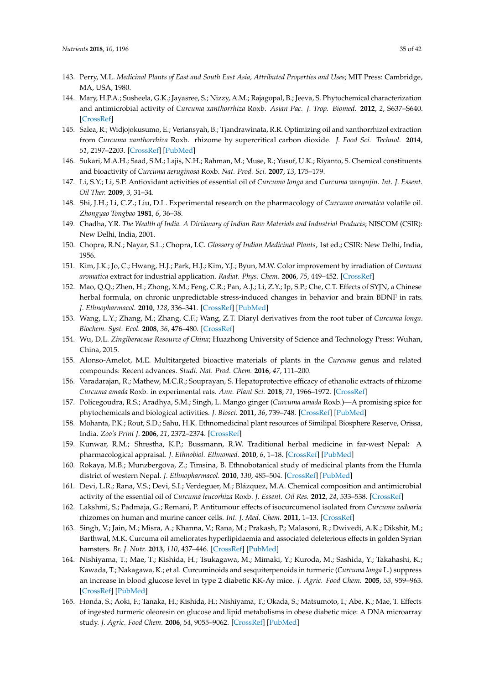- <span id="page-34-0"></span>143. Perry, M.L. *Medicinal Plants of East and South East Asia, Attributed Properties and Uses*; MIT Press: Cambridge, MA, USA, 1980.
- <span id="page-34-1"></span>144. Mary, H.P.A.; Susheela, G.K.; Jayasree, S.; Nizzy, A.M.; Rajagopal, B.; Jeeva, S. Phytochemical characterization and antimicrobial activity of *Curcuma xanthorrhiza* Roxb. *Asian Pac. J. Trop. Biomed.* **2012**, *2*, S637–S640. [\[CrossRef\]](http://dx.doi.org/10.1016/S2221-1691(12)60288-3)
- <span id="page-34-2"></span>145. Salea, R.; Widjojokusumo, E.; Veriansyah, B.; Tjandrawinata, R.R. Optimizing oil and xanthorrhizol extraction from *Curcuma xanthorrhiza* Roxb. rhizome by supercritical carbon dioxide. *J. Food Sci. Technol.* **2014**, *51*, 2197–2203. [\[CrossRef\]](http://dx.doi.org/10.1007/s13197-014-1272-3) [\[PubMed\]](http://www.ncbi.nlm.nih.gov/pubmed/25190883)
- <span id="page-34-3"></span>146. Sukari, M.A.H.; Saad, S.M.; Lajis, N.H.; Rahman, M.; Muse, R.; Yusuf, U.K.; Riyanto, S. Chemical constituents and bioactivity of *Curcuma aeruginosa* Roxb. *Nat. Prod. Sci.* **2007**, *13*, 175–179.
- <span id="page-34-4"></span>147. Li, S.Y.; Li, S.P. Antioxidant activities of essential oil of *Curcuma longa* and *Curcuma wenyujin*. *Int. J. Essent. Oil Ther.* **2009**, *3*, 31–34.
- <span id="page-34-5"></span>148. Shi, J.H.; Li, C.Z.; Liu, D.L. Experimental research on the pharmacology of *Curcuma aromatica* volatile oil. *Zhongyao Tongbao* **1981**, *6*, 36–38.
- <span id="page-34-6"></span>149. Chadha, Y.R. *The Wealth of India. A Dictionary of Indian Raw Materials and Industrial Products*; NISCOM (CSIR): New Delhi, India, 2001.
- <span id="page-34-7"></span>150. Chopra, R.N.; Nayar, S.L.; Chopra, I.C. *Glossary of Indian Medicinal Plants*, 1st ed.; CSIR: New Delhi, India, 1956.
- <span id="page-34-8"></span>151. Kim, J.K.; Jo, C.; Hwang, H.J.; Park, H.J.; Kim, Y.J.; Byun, M.W. Color improvement by irradiation of *Curcuma aromatica* extract for industrial application. *Radiat. Phys. Chem.* **2006**, *75*, 449–452. [\[CrossRef\]](http://dx.doi.org/10.1016/j.radphyschem.2005.10.019)
- <span id="page-34-9"></span>152. Mao, Q.Q.; Zhen, H.; Zhong, X.M.; Feng, C.R.; Pan, A.J.; Li, Z.Y.; Ip, S.P.; Che, C.T. Effects of SYJN, a Chinese herbal formula, on chronic unpredictable stress-induced changes in behavior and brain BDNF in rats. *J. Ethnopharmacol.* **2010**, *128*, 336–341. [\[CrossRef\]](http://dx.doi.org/10.1016/j.jep.2010.01.050) [\[PubMed\]](http://www.ncbi.nlm.nih.gov/pubmed/20138132)
- <span id="page-34-10"></span>153. Wang, L.Y.; Zhang, M.; Zhang, C.F.; Wang, Z.T. Diaryl derivatives from the root tuber of *Curcuma longa*. *Biochem. Syst. Ecol.* **2008**, *36*, 476–480. [\[CrossRef\]](http://dx.doi.org/10.1016/j.bse.2007.12.005)
- <span id="page-34-11"></span>154. Wu, D.L. *Zingiberaceae Resource of China*; Huazhong University of Science and Technology Press: Wuhan, China, 2015.
- <span id="page-34-12"></span>155. Alonso-Amelot, M.E. Multitargeted bioactive materials of plants in the *Curcuma* genus and related compounds: Recent advances. *Studi. Nat. Prod. Chem.* **2016**, *47*, 111–200.
- <span id="page-34-13"></span>156. Varadarajan, R.; Mathew, M.C.R.; Souprayan, S. Hepatoprotective efficacy of ethanolic extracts of rhizome *Curcuma amada* Roxb. in experimental rats. *Ann. Plant Sci.* **2018**, *71*, 1966–1972. [\[CrossRef\]](http://dx.doi.org/10.21746/aps.2018.7.1.9)
- <span id="page-34-14"></span>157. Policegoudra, R.S.; Aradhya, S.M.; Singh, L. Mango ginger (*Curcuma amada* Roxb.)—A promising spice for phytochemicals and biological activities. *J. Biosci.* **2011**, *36*, 739–748. [\[CrossRef\]](http://dx.doi.org/10.1007/s12038-011-9106-1) [\[PubMed\]](http://www.ncbi.nlm.nih.gov/pubmed/21857121)
- <span id="page-34-15"></span>158. Mohanta, P.K.; Rout, S.D.; Sahu, H.K. Ethnomedicinal plant resources of Similipal Biosphere Reserve, Orissa, India. *Zoo's Print J.* **2006**, *21*, 2372–2374. [\[CrossRef\]](http://dx.doi.org/10.11609/JoTT.ZPJ.1435.2372-4)
- 159. Kunwar, R.M.; Shrestha, K.P.; Bussmann, R.W. Traditional herbal medicine in far-west Nepal: A pharmacological appraisal. *J. Ethnobiol. Ethnomed.* **2010**, *6*, 1–18. [\[CrossRef\]](http://dx.doi.org/10.1186/1746-4269-6-35) [\[PubMed\]](http://www.ncbi.nlm.nih.gov/pubmed/21144003)
- <span id="page-34-16"></span>160. Rokaya, M.B.; Munzbergova, Z.; Timsina, B. Ethnobotanical study of medicinal plants from the Humla district of western Nepal. *J. Ethnopharmacol.* **2010**, *130*, 485–504. [\[CrossRef\]](http://dx.doi.org/10.1016/j.jep.2010.05.036) [\[PubMed\]](http://www.ncbi.nlm.nih.gov/pubmed/20553834)
- <span id="page-34-17"></span>161. Devi, L.R.; Rana, V.S.; Devi, S.I.; Verdeguer, M.; Blázquez, M.A. Chemical composition and antimicrobial activity of the essential oil of *Curcuma leucorhiza* Roxb. *J. Essent. Oil Res.* **2012**, *24*, 533–538. [\[CrossRef\]](http://dx.doi.org/10.1080/10412905.2012.728089)
- <span id="page-34-18"></span>162. Lakshmi, S.; Padmaja, G.; Remani, P. Antitumour effects of isocurcumenol isolated from *Curcuma zedoaria* rhizomes on human and murine cancer cells. *Int. J. Med. Chem.* **2011**, 1–13. [\[CrossRef\]](http://dx.doi.org/10.1155/2011/253962)
- <span id="page-34-19"></span>163. Singh, V.; Jain, M.; Misra, A.; Khanna, V.; Rana, M.; Prakash, P.; Malasoni, R.; Dwivedi, A.K.; Dikshit, M.; Barthwal, M.K. Curcuma oil ameliorates hyperlipidaemia and associated deleterious effects in golden Syrian hamsters. *Br. J. Nutr.* **2013**, *110*, 437–446. [\[CrossRef\]](http://dx.doi.org/10.1017/S0007114512005363) [\[PubMed\]](http://www.ncbi.nlm.nih.gov/pubmed/23673139)
- <span id="page-34-20"></span>164. Nishiyama, T.; Mae, T.; Kishida, H.; Tsukagawa, M.; Mimaki, Y.; Kuroda, M.; Sashida, Y.; Takahashi, K.; Kawada, T.; Nakagawa, K.; et al. Curcuminoids and sesquiterpenoids in turmeric (*Curcuma longa* L.) suppress an increase in blood glucose level in type 2 diabetic KK-Ay mice. *J. Agric. Food Chem.* **2005**, *53*, 959–963. [\[CrossRef\]](http://dx.doi.org/10.1021/jf0483873) [\[PubMed\]](http://www.ncbi.nlm.nih.gov/pubmed/15713005)
- <span id="page-34-21"></span>165. Honda, S.; Aoki, F.; Tanaka, H.; Kishida, H.; Nishiyama, T.; Okada, S.; Matsumoto, I.; Abe, K.; Mae, T. Effects of ingested turmeric oleoresin on glucose and lipid metabolisms in obese diabetic mice: A DNA microarray study. *J. Agric. Food Chem.* **2006**, *54*, 9055–9062. [\[CrossRef\]](http://dx.doi.org/10.1021/jf061788t) [\[PubMed\]](http://www.ncbi.nlm.nih.gov/pubmed/17117790)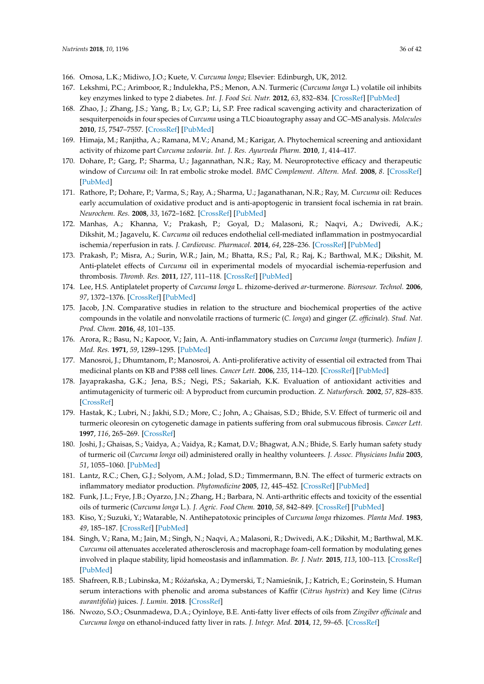- <span id="page-35-0"></span>166. Omosa, L.K.; Midiwo, J.O.; Kuete, V. *Curcuma longa*; Elsevier: Edinburgh, UK, 2012.
- <span id="page-35-1"></span>167. Lekshmi, P.C.; Arimboor, R.; Indulekha, P.S.; Menon, A.N. Turmeric (*Curcuma longa* L.) volatile oil inhibits key enzymes linked to type 2 diabetes. *Int. J. Food Sci. Nutr.* **2012**, *63*, 832–834. [\[CrossRef\]](http://dx.doi.org/10.3109/09637486.2011.607156) [\[PubMed\]](http://www.ncbi.nlm.nih.gov/pubmed/22385048)
- <span id="page-35-2"></span>168. Zhao, J.; Zhang, J.S.; Yang, B.; Lv, G.P.; Li, S.P. Free radical scavenging activity and characterization of sesquiterpenoids in four species of *Curcuma* using a TLC bioautography assay and GC–MS analysis. *Molecules* **2010**, *15*, 7547–7557. [\[CrossRef\]](http://dx.doi.org/10.3390/molecules15117547) [\[PubMed\]](http://www.ncbi.nlm.nih.gov/pubmed/21030908)
- <span id="page-35-3"></span>169. Himaja, M.; Ranjitha, A.; Ramana, M.V.; Anand, M.; Karigar, A. Phytochemical screening and antioxidant activity of rhizome part *Curcuma zedoaria*. *Int. J. Res. Ayurveda Pharm.* **2010**, *1*, 414–417.
- <span id="page-35-4"></span>170. Dohare, P.; Garg, P.; Sharma, U.; Jagannathan, N.R.; Ray, M. Neuroprotective efficacy and therapeutic window of *Curcuma* oil: In rat embolic stroke model. *BMC Complement. Altern. Med.* **2008**, *8*. [\[CrossRef\]](http://dx.doi.org/10.1186/1472-6882-8-55) [\[PubMed\]](http://www.ncbi.nlm.nih.gov/pubmed/18826584)
- <span id="page-35-16"></span>171. Rathore, P.; Dohare, P.; Varma, S.; Ray, A.; Sharma, U.; Jaganathanan, N.R.; Ray, M. *Curcuma* oil: Reduces early accumulation of oxidative product and is anti-apoptogenic in transient focal ischemia in rat brain. *Neurochem. Res.* **2008**, *33*, 1672–1682. [\[CrossRef\]](http://dx.doi.org/10.1007/s11064-007-9515-6) [\[PubMed\]](http://www.ncbi.nlm.nih.gov/pubmed/17955367)
- <span id="page-35-5"></span>172. Manhas, A.; Khanna, V.; Prakash, P.; Goyal, D.; Malasoni, R.; Naqvi, A.; Dwivedi, A.K.; Dikshit, M.; Jagavelu, K. *Curcuma* oil reduces endothelial cell-mediated inflammation in postmyocardial ischemia/reperfusion in rats. *J. Cardiovasc. Pharmacol.* **2014**, *64*, 228–236. [\[CrossRef\]](http://dx.doi.org/10.1097/FJC.0000000000000110) [\[PubMed\]](http://www.ncbi.nlm.nih.gov/pubmed/24853488)
- <span id="page-35-17"></span>173. Prakash, P.; Misra, A.; Surin, W.R.; Jain, M.; Bhatta, R.S.; Pal, R.; Raj, K.; Barthwal, M.K.; Dikshit, M. Anti-platelet effects of *Curcuma* oil in experimental models of myocardial ischemia-reperfusion and thrombosis. *Thromb. Res.* **2011**, *127*, 111–118. [\[CrossRef\]](http://dx.doi.org/10.1016/j.thromres.2010.11.007) [\[PubMed\]](http://www.ncbi.nlm.nih.gov/pubmed/21144557)
- <span id="page-35-6"></span>174. Lee, H.S. Antiplatelet property of *Curcuma longa* L. rhizome-derived *ar*-turmerone. *Bioresour. Technol.* **2006**, *97*, 1372–1376. [\[CrossRef\]](http://dx.doi.org/10.1016/j.biortech.2005.07.006) [\[PubMed\]](http://www.ncbi.nlm.nih.gov/pubmed/16112857)
- <span id="page-35-7"></span>175. Jacob, J.N. Comparative studies in relation to the structure and biochemical properties of the active compounds in the volatile and nonvolatile rractions of turmeric (*C. longa*) and ginger (*Z. officinale*). *Stud. Nat. Prod. Chem.* **2016**, *48*, 101–135.
- <span id="page-35-9"></span>176. Arora, R.; Basu, N.; Kapoor, V.; Jain, A. Anti-inflammatory studies on *Curcuma longa* (turmeric). *Indian J. Med. Res.* **1971**, *59*, 1289–1295. [\[PubMed\]](http://www.ncbi.nlm.nih.gov/pubmed/5132235)
- <span id="page-35-18"></span>177. Manosroi, J.; Dhumtanom, P.; Manosroi, A. Anti-proliferative activity of essential oil extracted from Thai medicinal plants on KB and P388 cell lines. *Cancer Lett.* **2006**, *235*, 114–120. [\[CrossRef\]](http://dx.doi.org/10.1016/j.canlet.2005.04.021) [\[PubMed\]](http://www.ncbi.nlm.nih.gov/pubmed/15979235)
- <span id="page-35-8"></span>178. Jayaprakasha, G.K.; Jena, B.S.; Negi, P.S.; Sakariah, K.K. Evaluation of antioxidant activities and antimutagenicity of turmeric oil: A byproduct from curcumin production. *Z. Naturforsch.* **2002**, *57*, 828–835. [\[CrossRef\]](http://dx.doi.org/10.1515/znc-2002-9-1013)
- <span id="page-35-19"></span>179. Hastak, K.; Lubri, N.; Jakhi, S.D.; More, C.; John, A.; Ghaisas, S.D.; Bhide, S.V. Effect of turmeric oil and turmeric oleoresin on cytogenetic damage in patients suffering from oral submucous fibrosis. *Cancer Lett.* **1997**, *116*, 265–269. [\[CrossRef\]](http://dx.doi.org/10.1016/S0304-3835(97)00205-X)
- <span id="page-35-20"></span>180. Joshi, J.; Ghaisas, S.; Vaidya, A.; Vaidya, R.; Kamat, D.V.; Bhagwat, A.N.; Bhide, S. Early human safety study of turmeric oil (*Curcuma longa* oil) administered orally in healthy volunteers. *J. Assoc. Physicians India* **2003**, *51*, 1055–1060. [\[PubMed\]](http://www.ncbi.nlm.nih.gov/pubmed/15260388)
- <span id="page-35-10"></span>181. Lantz, R.C.; Chen, G.J.; Solyom, A.M.; Jolad, S.D.; Timmermann, B.N. The effect of turmeric extracts on inflammatory mediator production. *Phytomedicine* **2005**, *12*, 445–452. [\[CrossRef\]](http://dx.doi.org/10.1016/j.phymed.2003.12.011) [\[PubMed\]](http://www.ncbi.nlm.nih.gov/pubmed/16008121)
- <span id="page-35-11"></span>182. Funk, J.L.; Frye, J.B.; Oyarzo, J.N.; Zhang, H.; Barbara, N. Anti-arthritic effects and toxicity of the essential oils of turmeric (*Curcuma longa* L.). *J. Agric. Food Chem.* **2010**, *58*, 842–849. [\[CrossRef\]](http://dx.doi.org/10.1021/jf9027206) [\[PubMed\]](http://www.ncbi.nlm.nih.gov/pubmed/20025215)
- <span id="page-35-12"></span>183. Kiso, Y.; Suzuki, Y.; Watarable, N. Antihepatotoxic principles of *Curcuma longa* rhizomes. *Planta Med.* **1983**, *49*, 185–187. [\[CrossRef\]](http://dx.doi.org/10.1055/s-2007-969845) [\[PubMed\]](http://www.ncbi.nlm.nih.gov/pubmed/6657788)
- <span id="page-35-13"></span>184. Singh, V.; Rana, M.; Jain, M.; Singh, N.; Naqvi, A.; Malasoni, R.; Dwivedi, A.K.; Dikshit, M.; Barthwal, M.K. *Curcuma* oil attenuates accelerated atherosclerosis and macrophage foam-cell formation by modulating genes involved in plaque stability, lipid homeostasis and inflammation. *Br. J. Nutr.* **2015**, *113*, 100–113. [\[CrossRef\]](http://dx.doi.org/10.1017/S0007114514003195) [\[PubMed\]](http://www.ncbi.nlm.nih.gov/pubmed/25391643)
- <span id="page-35-14"></span>185. Shafreen, R.B.; Lubinska, M.; Różańska, A.; Dymerski, T.; Namieśnik, J.; Katrich, E.; Gorinstein, S. Human serum interactions with phenolic and aroma substances of Kaffir (*Citrus hystrix*) and Key lime (*Citrus aurantifolia*) juices. *J. Lumin.* **2018**. [\[CrossRef\]](http://dx.doi.org/10.1016/j.jlumin.2018.04.010)
- <span id="page-35-15"></span>186. Nwozo, S.O.; Osunmadewa, D.A.; Oyinloye, B.E. Anti-fatty liver effects of oils from *Zingiber officinale* and *Curcuma longa* on ethanol-induced fatty liver in rats. *J. Integr. Med.* **2014**, *12*, 59–65. [\[CrossRef\]](http://dx.doi.org/10.1016/S2095-4964(14)60006-6)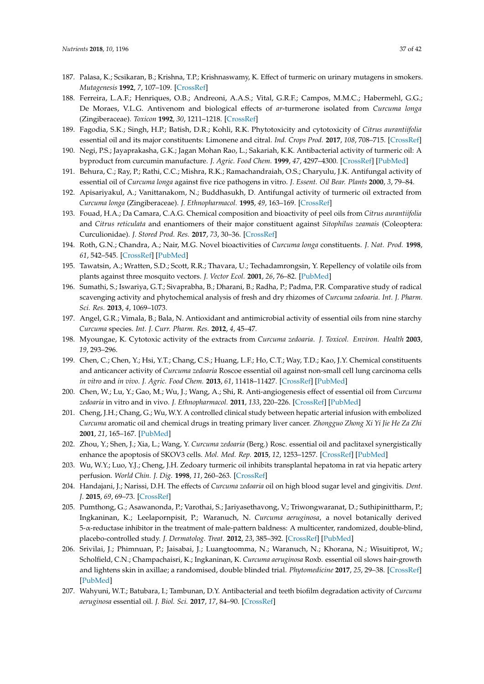- <span id="page-36-0"></span>187. Palasa, K.; Scsikaran, B.; Krishna, T.P.; Krishnaswamy, K. Effect of turmeric on urinary mutagens in smokers. *Mutagenesis* **1992**, *7*, 107–109. [\[CrossRef\]](http://dx.doi.org/10.1093/mutage/7.2.107)
- <span id="page-36-1"></span>188. Ferreira, L.A.F.; Henriques, O.B.; Andreoni, A.A.S.; Vital, G.R.F.; Campos, M.M.C.; Habermehl, G.G.; De Moraes, V.L.G. Antivenom and biological effects of *ar*-turmerone isolated from *Curcuma longa* (Zingiberaceae). *Toxicon* **1992**, *30*, 1211–1218. [\[CrossRef\]](http://dx.doi.org/10.1016/0041-0101(92)90437-A)
- <span id="page-36-2"></span>189. Fagodia, S.K.; Singh, H.P.; Batish, D.R.; Kohli, R.K. Phytotoxicity and cytotoxicity of *Citrus aurantiifolia* essential oil and its major constituents: Limonene and citral. *Ind. Crops Prod.* **2017**, *108*, 708–715. [\[CrossRef\]](http://dx.doi.org/10.1016/j.indcrop.2017.07.005)
- <span id="page-36-3"></span>190. Negi, P.S.; Jayaprakasha, G.K.; Jagan Mohan Rao, L.; Sakariah, K.K. Antibacterial activity of turmeric oil: A byproduct from curcumin manufacture. *J. Agric. Food Chem.* **1999**, *47*, 4297–4300. [\[CrossRef\]](http://dx.doi.org/10.1021/jf990308d) [\[PubMed\]](http://www.ncbi.nlm.nih.gov/pubmed/10552805)
- <span id="page-36-4"></span>191. Behura, C.; Ray, P.; Rathi, C.C.; Mishra, R.K.; Ramachandraiah, O.S.; Charyulu, J.K. Antifungal activity of essential oil of *Curcuma longa* against five rice pathogens in vitro. *J. Essent. Oil Bear. Plants* **2000**, *3*, 79–84.
- <span id="page-36-5"></span>192. Apisariyakul, A.; Vanittanakom, N.; Buddhasukh, D. Antifungal activity of turmeric oil extracted from *Curcuma longa* (Zingiberaceae). *J. Ethnopharmacol.* **1995**, *49*, 163–169. [\[CrossRef\]](http://dx.doi.org/10.1016/0378-8741(95)01320-2)
- <span id="page-36-6"></span>193. Fouad, H.A.; Da Camara, C.A.G. Chemical composition and bioactivity of peel oils from *Citrus aurantiifolia* and *Citrus reticulata* and enantiomers of their major constituent against *Sitophilus zeamais* (Coleoptera: Curculionidae). *J. Stored Prod. Res.* **2017**, *73*, 30–36. [\[CrossRef\]](http://dx.doi.org/10.1016/j.jspr.2017.06.001)
- <span id="page-36-7"></span>194. Roth, G.N.; Chandra, A.; Nair, M.G. Novel bioactivities of *Curcuma longa* constituents. *J. Nat. Prod.* **1998**, *61*, 542–545. [\[CrossRef\]](http://dx.doi.org/10.1021/np970459f) [\[PubMed\]](http://www.ncbi.nlm.nih.gov/pubmed/9584408)
- <span id="page-36-8"></span>195. Tawatsin, A.; Wratten, S.D.; Scott, R.R.; Thavara, U.; Techadamrongsin, Y. Repellency of volatile oils from plants against three mosquito vectors. *J. Vector Ecol.* **2001**, *26*, 76–82. [\[PubMed\]](http://www.ncbi.nlm.nih.gov/pubmed/11469188)
- <span id="page-36-9"></span>196. Sumathi, S.; Iswariya, G.T.; Sivaprabha, B.; Dharani, B.; Radha, P.; Padma, P.R. Comparative study of radical scavenging activity and phytochemical analysis of fresh and dry rhizomes of *Curcuma zedoaria*. *Int. J. Pharm. Sci. Res.* **2013**, *4*, 1069–1073.
- <span id="page-36-10"></span>197. Angel, G.R.; Vimala, B.; Bala, N. Antioxidant and antimicrobial activity of essential oils from nine starchy *Curcuma* species. *Int. J. Curr. Pharm. Res.* **2012**, *4*, 45–47.
- <span id="page-36-11"></span>198. Myoungae, K. Cytotoxic activity of the extracts from *Curcuma zedoaria*. *J. Toxicol. Environ. Health* **2003**, *19*, 293–296.
- <span id="page-36-12"></span>199. Chen, C.; Chen, Y.; Hsi, Y.T.; Chang, C.S.; Huang, L.F.; Ho, C.T.; Way, T.D.; Kao, J.Y. Chemical constituents and anticancer activity of *Curcuma zedoaria* Roscoe essential oil against non-small cell lung carcinoma cells *in vitro* and *in vivo*. *J. Agric. Food Chem.* **2013**, *61*, 11418–11427. [\[CrossRef\]](http://dx.doi.org/10.1021/jf4026184) [\[PubMed\]](http://www.ncbi.nlm.nih.gov/pubmed/24199734)
- <span id="page-36-13"></span>200. Chen, W.; Lu, Y.; Gao, M.; Wu, J.; Wang, A.; Shi, R. Anti-angiogenesis effect of essential oil from *Curcuma zedoaria* in vitro and in vivo. *J. Ethnopharmacol.* **2011**, *133*, 220–226. [\[CrossRef\]](http://dx.doi.org/10.1016/j.jep.2010.09.031) [\[PubMed\]](http://www.ncbi.nlm.nih.gov/pubmed/20920565)
- <span id="page-36-14"></span>201. Cheng, J.H.; Chang, G.; Wu, W.Y. A controlled clinical study between hepatic arterial infusion with embolized *Curcuma* aromatic oil and chemical drugs in treating primary liver cancer. *Zhongguo Zhong Xi Yi Jie He Za Zhi* **2001**, *21*, 165–167. [\[PubMed\]](http://www.ncbi.nlm.nih.gov/pubmed/12577327)
- <span id="page-36-20"></span>202. Zhou, Y.; Shen, J.; Xia, L.; Wang, Y. *Curcuma zedoaria* (Berg.) Rosc. essential oil and paclitaxel synergistically enhance the apoptosis of SKOV3 cells. *Mol. Med. Rep.* **2015**, *12*, 1253–1257. [\[CrossRef\]](http://dx.doi.org/10.3892/mmr.2015.3473) [\[PubMed\]](http://www.ncbi.nlm.nih.gov/pubmed/25777341)
- <span id="page-36-15"></span>203. Wu, W.Y.; Luo, Y.J.; Cheng, J.H. Zedoary turmeric oil inhibits transplantal hepatoma in rat via hepatic artery perfusion. *World Chin. J. Dig.* **1998**, *11*, 260–263. [\[CrossRef\]](http://dx.doi.org/10.11569/wcjd.v11.i3.260)
- <span id="page-36-16"></span>204. Handajani, J.; Narissi, D.H. The effects of *Curcuma zedoaria* oil on high blood sugar level and gingivitis. *Dent. J.* **2015**, *69*, 69–73. [\[CrossRef\]](http://dx.doi.org/10.20473/j.djmkg.v48.i2.p69-73)
- <span id="page-36-17"></span>205. Pumthong, G.; Asawanonda, P.; Varothai, S.; Jariyasethavong, V.; Triwongwaranat, D.; Suthipinittharm, P.; Ingkaninan, K.; Leelapornpisit, P.; Waranuch, N. *Curcuma aeruginosa*, a novel botanically derived 5-α-reductase inhibitor in the treatment of male-pattern baldness: A multicenter, randomized, double-blind, placebo-controlled study. *J. Dermatolog. Treat.* **2012**, *23*, 385–392. [\[CrossRef\]](http://dx.doi.org/10.3109/09546634.2011.568470) [\[PubMed\]](http://www.ncbi.nlm.nih.gov/pubmed/21756154)
- <span id="page-36-18"></span>206. Srivilai, J.; Phimnuan, P.; Jaisabai, J.; Luangtoomma, N.; Waranuch, N.; Khorana, N.; Wisuitiprot, W.; Scholfield, C.N.; Champachaisri, K.; Ingkaninan, K. *Curcuma aeruginosa* Roxb. essential oil slows hair-growth and lightens skin in axillae; a randomised, double blinded trial. *Phytomedicine* **2017**, *25*, 29–38. [\[CrossRef\]](http://dx.doi.org/10.1016/j.phymed.2016.12.007) [\[PubMed\]](http://www.ncbi.nlm.nih.gov/pubmed/28190468)
- <span id="page-36-19"></span>207. Wahyuni, W.T.; Batubara, I.; Tambunan, D.Y. Antibacterial and teeth biofilm degradation activity of *Curcuma aeruginosa* essential oil. *J. Biol. Sci.* **2017**, *17*, 84–90. [\[CrossRef\]](http://dx.doi.org/10.3923/jbs.2017.84.90)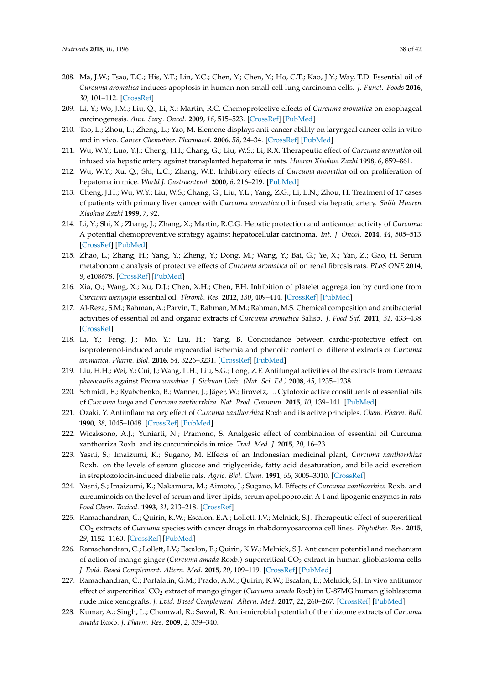- <span id="page-37-0"></span>208. Ma, J.W.; Tsao, T.C.; His, Y.T.; Lin, Y.C.; Chen, Y.; Chen, Y.; Ho, C.T.; Kao, J.Y.; Way, T.D. Essential oil of *Curcuma aromatica* induces apoptosis in human non-small-cell lung carcinoma cells. *J. Funct. Foods* **2016**, *30*, 101–112. [\[CrossRef\]](http://dx.doi.org/10.1016/j.jff.2016.01.019)
- <span id="page-37-1"></span>209. Li, Y.; Wo, J.M.; Liu, Q.; Li, X.; Martin, R.C. Chemoprotective effects of *Curcuma aromatica* on esophageal carcinogenesis. *Ann. Surg. Oncol.* **2009**, *16*, 515–523. [\[CrossRef\]](http://dx.doi.org/10.1245/s10434-008-0228-0) [\[PubMed\]](http://www.ncbi.nlm.nih.gov/pubmed/19018598)
- <span id="page-37-2"></span>210. Tao, L.; Zhou, L.; Zheng, L.; Yao, M. Elemene displays anti-cancer ability on laryngeal cancer cells in vitro and in vivo. *Cancer Chemother. Pharmacol.* **2006**, *58*, 24–34. [\[CrossRef\]](http://dx.doi.org/10.1007/s00280-005-0137-x) [\[PubMed\]](http://www.ncbi.nlm.nih.gov/pubmed/16283311)
- <span id="page-37-3"></span>211. Wu, W.Y.; Luo, Y.J.; Cheng, J.H.; Chang, G.; Liu, W.S.; Li, R.X. Therapeutic effect of *Curcuma aramatica* oil infused via hepatic artery against transplanted hepatoma in rats. *Huaren Xiaohua Zazhi* **1998**, *6*, 859–861.
- <span id="page-37-20"></span>212. Wu, W.Y.; Xu, Q.; Shi, L.C.; Zhang, W.B. Inhibitory effects of *Curcuma aromatica* oil on proliferation of hepatoma in mice. *World J. Gastroenterol.* **2000**, *6*, 216–219. [\[PubMed\]](http://www.ncbi.nlm.nih.gov/pubmed/11819559)
- <span id="page-37-4"></span>213. Cheng, J.H.; Wu, W.Y.; Liu, W.S.; Chang, G.; Liu, Y.L.; Yang, Z.G.; Li, L.N.; Zhou, H. Treatment of 17 cases of patients with primary liver cancer with *Curcuma aromatica* oil infused via hepatic artery. *Shijie Huaren Xiaohua Zazhi* **1999**, *7*, 92.
- <span id="page-37-5"></span>214. Li, Y.; Shi, X.; Zhang, J.; Zhang, X.; Martin, R.C.G. Hepatic protection and anticancer activity of *Curcuma*: A potential chemopreventive strategy against hepatocellular carcinoma. *Int. J. Oncol.* **2014**, *44*, 505–513. [\[CrossRef\]](http://dx.doi.org/10.3892/ijo.2013.2184) [\[PubMed\]](http://www.ncbi.nlm.nih.gov/pubmed/24270742)
- <span id="page-37-6"></span>215. Zhao, L.; Zhang, H.; Yang, Y.; Zheng, Y.; Dong, M.; Wang, Y.; Bai, G.; Ye, X.; Yan, Z.; Gao, H. Serum metabonomic analysis of protective effects of *Curcuma aromatica* oil on renal fibrosis rats. *PLoS ONE* **2014**, *9*, e108678. [\[CrossRef\]](http://dx.doi.org/10.1371/journal.pone.0108678) [\[PubMed\]](http://www.ncbi.nlm.nih.gov/pubmed/25265289)
- <span id="page-37-7"></span>216. Xia, Q.; Wang, X.; Xu, D.J.; Chen, X.H.; Chen, F.H. Inhibition of platelet aggregation by curdione from *Curcuma wenyujin* essential oil. *Thromb. Res.* **2012**, *130*, 409–414. [\[CrossRef\]](http://dx.doi.org/10.1016/j.thromres.2012.04.005) [\[PubMed\]](http://www.ncbi.nlm.nih.gov/pubmed/22560337)
- <span id="page-37-8"></span>217. Al-Reza, S.M.; Rahman, A.; Parvin, T.; Rahman, M.M.; Rahman, M.S. Chemical composition and antibacterial activities of essential oil and organic extracts of *Curcuma aromatica* Salisb. *J. Food Saf.* **2011**, *31*, 433–438. [\[CrossRef\]](http://dx.doi.org/10.1111/j.1745-4565.2011.00318.x)
- <span id="page-37-9"></span>218. Li, Y.; Feng, J.; Mo, Y.; Liu, H.; Yang, B. Concordance between cardio-protective effect on isoproterenol-induced acute myocardial ischemia and phenolic content of different extracts of *Curcuma aromatica*. *Pharm. Biol.* **2016**, *54*, 3226–3231. [\[CrossRef\]](http://dx.doi.org/10.1080/13880209.2016.1216134) [\[PubMed\]](http://www.ncbi.nlm.nih.gov/pubmed/27687158)
- <span id="page-37-10"></span>219. Liu, H.H.; Wei, Y.; Cui, J.; Wang, L.H.; Liu, S.G.; Long, Z.F. Antifungal activities of the extracts from *Curcuma phaeocaulis* against *Phoma wasabiae*. *J. Sichuan Univ. (Nat. Sci. Ed.)* **2008**, *45*, 1235–1238.
- <span id="page-37-11"></span>220. Schmidt, E.; Ryabchenko, B.; Wanner, J.; Jäger, W.; Jirovetz, L. Cytotoxic active constituents of essential oils of *Curcuma longa* and *Curcuma zanthorrhiza*. *Nat. Prod. Commun.* **2015**, *10*, 139–141. [\[PubMed\]](http://www.ncbi.nlm.nih.gov/pubmed/25920236)
- <span id="page-37-12"></span>221. Ozaki, Y. Antiinflammatory effect of *Curcuma xanthorrhiza* Roxb and its active principles. *Chem. Pharm. Bull.* **1990**, *38*, 1045–1048. [\[CrossRef\]](http://dx.doi.org/10.1248/cpb.38.1045) [\[PubMed\]](http://www.ncbi.nlm.nih.gov/pubmed/2379278)
- <span id="page-37-13"></span>222. Wicaksono, A.J.; Yuniarti, N.; Pramono, S. Analgesic effect of combination of essential oil Curcuma xanthorriza Roxb. and its curcuminoids in mice. *Trad. Med. J.* **2015**, *20*, 16–23.
- <span id="page-37-14"></span>223. Yasni, S.; Imaizumi, K.; Sugano, M. Effects of an Indonesian medicinal plant, *Curcuma xanthorrhiza* Roxb. on the levels of serum glucose and triglyceride, fatty acid desaturation, and bile acid excretion in streptozotocin-induced diabetic rats. *Agric. Biol. Chem.* **1991**, *55*, 3005–3010. [\[CrossRef\]](http://dx.doi.org/10.1271/bbb1961.55.3005)
- <span id="page-37-15"></span>224. Yasni, S.; Imaizumi, K.; Nakamura, M.; Aimoto, J.; Sugano, M. Effects of *Curcuma xanthorrhiza* Roxb. and curcuminoids on the level of serum and liver lipids, serum apolipoprotein A-I and lipogenic enzymes in rats. *Food Chem. Toxicol.* **1993**, *31*, 213–218. [\[CrossRef\]](http://dx.doi.org/10.1016/0278-6915(93)90096-H)
- <span id="page-37-16"></span>225. Ramachandran, C.; Quirin, K.W.; Escalon, E.A.; Lollett, I.V.; Melnick, S.J. Therapeutic effect of supercritical CO<sup>2</sup> extracts of *Curcuma* species with cancer drugs in rhabdomyosarcoma cell lines. *Phytother. Res.* **2015**, *29*, 1152–1160. [\[CrossRef\]](http://dx.doi.org/10.1002/ptr.5360) [\[PubMed\]](http://www.ncbi.nlm.nih.gov/pubmed/25939344)
- <span id="page-37-17"></span>226. Ramachandran, C.; Lollett, I.V.; Escalon, E.; Quirin, K.W.; Melnick, S.J. Anticancer potential and mechanism of action of mango ginger (*Curcuma amada* Roxb.) supercritical CO<sup>2</sup> extract in human glioblastoma cells. *J. Evid. Based Complement. Altern. Med.* **2015**, *20*, 109–119. [\[CrossRef\]](http://dx.doi.org/10.1177/2156587214563731) [\[PubMed\]](http://www.ncbi.nlm.nih.gov/pubmed/25542408)
- <span id="page-37-18"></span>227. Ramachandran, C.; Portalatin, G.M.; Prado, A.M.; Quirin, K.W.; Escalon, E.; Melnick, S.J. In vivo antitumor effect of supercritical CO<sup>2</sup> extract of mango ginger (*Curcuma amada* Roxb) in U-87MG human glioblastoma nude mice xenografts. *J. Evid. Based Complement. Altern. Med.* **2017**, *22*, 260–267. [\[CrossRef\]](http://dx.doi.org/10.1177/2156587216659390) [\[PubMed\]](http://www.ncbi.nlm.nih.gov/pubmed/27436761)
- <span id="page-37-19"></span>228. Kumar, A.; Singh, L.; Chomwal, R.; Sawal, R. Anti-microbial potential of the rhizome extracts of *Curcuma amada* Roxb. *J. Pharm. Res.* **2009**, *2*, 339–340.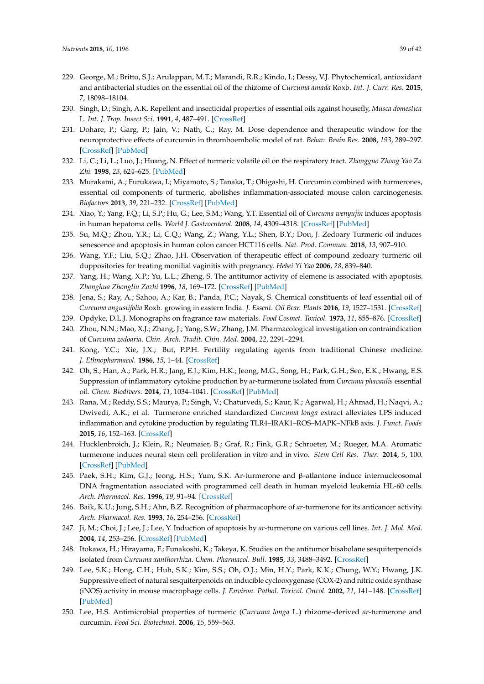- <span id="page-38-0"></span>229. George, M.; Britto, S.J.; Arulappan, M.T.; Marandi, R.R.; Kindo, I.; Dessy, V.J. Phytochemical, antioxidant and antibacterial studies on the essential oil of the rhizome of *Curcuma amada* Roxb. *Int. J. Curr. Res.* **2015**, *7*, 18098–18104.
- <span id="page-38-1"></span>230. Singh, D.; Singh, A.K. Repellent and insecticidal properties of essential oils against housefly, *Musca domestica* L. *Int. J. Trop. Insect Sci.* **1991**, *4*, 487–491. [\[CrossRef\]](http://dx.doi.org/10.1017/S1742758400011401)
- <span id="page-38-2"></span>231. Dohare, P.; Garg, P.; Jain, V.; Nath, C.; Ray, M. Dose dependence and therapeutic window for the neuroprotective effects of curcumin in thromboembolic model of rat. *Behav. Brain Res.* **2008**, *193*, 289–297. [\[CrossRef\]](http://dx.doi.org/10.1016/j.bbr.2008.06.012) [\[PubMed\]](http://www.ncbi.nlm.nih.gov/pubmed/18611416)
- <span id="page-38-3"></span>232. Li, C.; Li, L.; Luo, J.; Huang, N. Effect of turmeric volatile oil on the respiratory tract. *Zhongguo Zhong Yao Za Zhi.* **1998**, *23*, 624–625. [\[PubMed\]](http://www.ncbi.nlm.nih.gov/pubmed/11599365)
- <span id="page-38-4"></span>233. Murakami, A.; Furukawa, I.; Miyamoto, S.; Tanaka, T.; Ohigashi, H. Curcumin combined with turmerones, essential oil components of turmeric, abolishes inflammation-associated mouse colon carcinogenesis. *Biofactors* **2013**, *39*, 221–232. [\[CrossRef\]](http://dx.doi.org/10.1002/biof.1054) [\[PubMed\]](http://www.ncbi.nlm.nih.gov/pubmed/23233214)
- <span id="page-38-5"></span>234. Xiao, Y.; Yang, F.Q.; Li, S.P.; Hu, G.; Lee, S.M.; Wang, Y.T. Essential oil of *Curcuma wenyujin* induces apoptosis in human hepatoma cells. *World J. Gastroenterol.* **2008**, *14*, 4309–4318. [\[CrossRef\]](http://dx.doi.org/10.3748/wjg.14.4309) [\[PubMed\]](http://www.ncbi.nlm.nih.gov/pubmed/18666318)
- <span id="page-38-6"></span>235. Su, M.Q.; Zhou, Y.R.; Li, C.Q.; Wang, Z.; Wang, Y.L.; Shen, B.Y.; Dou, J. Zedoary Turmeric oil induces senescence and apoptosis in human colon cancer HCT116 cells. *Nat. Prod. Commun.* **2018**, *13*, 907–910.
- <span id="page-38-7"></span>236. Wang, Y.F.; Liu, S.Q.; Zhao, J.H. Observation of therapeutic effect of compound zedoary turmeric oil duppositories for treating monilial vaginitis with pregnancy. *Hebei Yi Yao* **2006**, *28*, 839–840.
- <span id="page-38-8"></span>237. Yang, H.; Wang, X.P.; Yu, L.L.; Zheng, S. The antitumor activity of elemene is associated with apoptosis. *Zhonghua Zhongliu Zazhi* **1996**, *18*, 169–172. [\[CrossRef\]](http://dx.doi.org/10.1007/BF02974669) [\[PubMed\]](http://www.ncbi.nlm.nih.gov/pubmed/9387246)
- <span id="page-38-9"></span>238. Jena, S.; Ray, A.; Sahoo, A.; Kar, B.; Panda, P.C.; Nayak, S. Chemical constituents of leaf essential oil of *Curcuma angustifolia* Roxb. growing in eastern India. *J. Essent. Oil Bear. Plants* **2016**, *19*, 1527–1531. [\[CrossRef\]](http://dx.doi.org/10.1080/0972060X.2016.1250677)
- <span id="page-38-10"></span>239. Opdyke, D.L.J. Monographs on fragrance raw materials. *Food Cosmet. Toxicol.* **1973**, *11*, 855–876. [\[CrossRef\]](http://dx.doi.org/10.1016/S0015-6264(73)80370-0)
- <span id="page-38-11"></span>240. Zhou, N.N.; Mao, X.J.; Zhang, J.; Yang, S.W.; Zhang, J.M. Pharmacological investigation on contraindication of *Curcuma zedoaria*. *Chin. Arch. Tradit. Chin. Med.* **2004**, *22*, 2291–2294.
- <span id="page-38-12"></span>241. Kong, Y.C.; Xie, J.X.; But, P.P.H. Fertility regulating agents from traditional Chinese medicine. *J. Ethnopharmacol.* **1986**, *15*, 1–44. [\[CrossRef\]](http://dx.doi.org/10.1016/0378-8741(86)90102-9)
- <span id="page-38-13"></span>242. Oh, S.; Han, A.; Park, H.R.; Jang, E.J.; Kim, H.K.; Jeong, M.G.; Song, H.; Park, G.H.; Seo, E.K.; Hwang, E.S. Suppression of inflammatory cytokine production by *ar*-turmerone isolated from *Curcuma phacaulis* essential oil. *Chem. Biodivers.* **2014**, *11*, 1034–1041. [\[CrossRef\]](http://dx.doi.org/10.1002/cbdv.201300397) [\[PubMed\]](http://www.ncbi.nlm.nih.gov/pubmed/25044589)
- <span id="page-38-14"></span>243. Rana, M.; Reddy, S.S.; Maurya, P.; Singh, V.; Chaturvedi, S.; Kaur, K.; Agarwal, H.; Ahmad, H.; Naqvi, A.; Dwivedi, A.K.; et al. Turmerone enriched standardized *Curcuma longa* extract alleviates LPS induced inflammation and cytokine production by regulating TLR4–IRAK1–ROS–MAPK–NFkB axis. *J. Funct. Foods* **2015**, *16*, 152–163. [\[CrossRef\]](http://dx.doi.org/10.1016/j.jff.2015.04.034)
- <span id="page-38-15"></span>244. Hucklenbroich, J.; Klein, R.; Neumaier, B.; Graf, R.; Fink, G.R.; Schroeter, M.; Rueger, M.A. Aromatic turmerone induces neural stem cell proliferation in vitro and in vivo. *Stem Cell Res. Ther.* **2014**, *5*, 100. [\[CrossRef\]](http://dx.doi.org/10.1186/scrt500) [\[PubMed\]](http://www.ncbi.nlm.nih.gov/pubmed/25928248)
- <span id="page-38-16"></span>245. Paek, S.H.; Kim, G.J.; Jeong, H.S.; Yum, S.K. Ar-turmerone and β-atlantone induce internucleosomal DNA fragmentation associated with programmed cell death in human myeloid leukemia HL-60 cells. *Arch. Pharmacol. Res.* **1996**, *19*, 91–94. [\[CrossRef\]](http://dx.doi.org/10.1007/BF02976840)
- <span id="page-38-20"></span>246. Baik, K.U.; Jung, S.H.; Ahn, B.Z. Recognition of pharmacophore of *ar*-turmerone for its anticancer activity. *Arch. Pharmacol. Res.* **1993**, *16*, 254–256. [\[CrossRef\]](http://dx.doi.org/10.1007/BF02974492)
- <span id="page-38-21"></span>247. Ji, M.; Choi, J.; Lee, J.; Lee, Y. Induction of apoptosis by *ar*-turmerone on various cell lines. *Int. J. Mol. Med.* **2004**, *14*, 253–256. [\[CrossRef\]](http://dx.doi.org/10.3892/ijmm.14.2.253) [\[PubMed\]](http://www.ncbi.nlm.nih.gov/pubmed/15254774)
- <span id="page-38-17"></span>248. Itokawa, H.; Hirayama, F.; Funakoshi, K.; Takeya, K. Studies on the antitumor bisabolane sesquiterpenoids isolated from *Curcuma xanthorrhiza*. *Chem. Pharmacol. Bull.* **1985**, *33*, 3488–3492. [\[CrossRef\]](http://dx.doi.org/10.1248/cpb.33.3488)
- <span id="page-38-18"></span>249. Lee, S.K.; Hong, C.H.; Huh, S.K.; Kim, S.S.; Oh, O.J.; Min, H.Y.; Park, K.K.; Chung, W.Y.; Hwang, J.K. Suppressive effect of natural sesquiterpenoids on inducible cyclooxygenase (COX-2) and nitric oxide synthase (iNOS) activity in mouse macrophage cells. *J. Environ. Pathol. Toxicol. Oncol.* **2002**, *21*, 141–148. [\[CrossRef\]](http://dx.doi.org/10.1615/JEnvironPatholToxicolOncol.v21.i2.70) [\[PubMed\]](http://www.ncbi.nlm.nih.gov/pubmed/12086400)
- <span id="page-38-19"></span>250. Lee, H.S. Antimicrobial properties of turmeric (*Curcuma longa* L.) rhizome-derived *ar*-turmerone and curcumin. *Food Sci. Biotechnol.* **2006**, *15*, 559–563.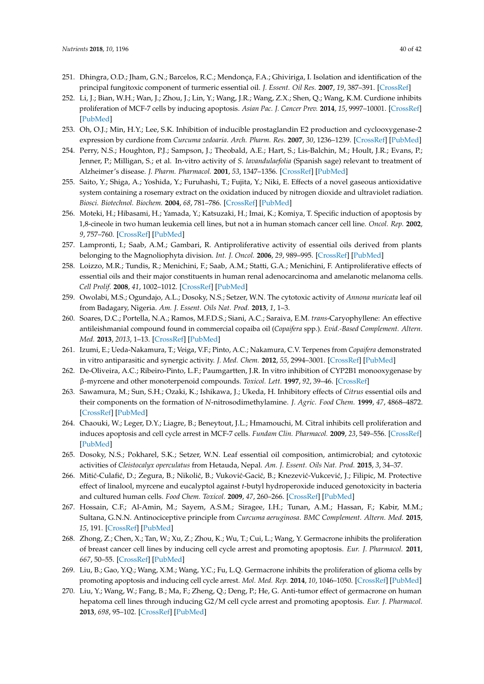- <span id="page-39-0"></span>251. Dhingra, O.D.; Jham, G.N.; Barcelos, R.C.; Mendonça, F.A.; Ghiviriga, I. Isolation and identification of the principal fungitoxic component of turmeric essential oil. *J. Essent. Oil Res.* **2007**, *19*, 387–391. [\[CrossRef\]](http://dx.doi.org/10.1080/10412905.2007.9699312)
- <span id="page-39-1"></span>252. Li, J.; Bian, W.H.; Wan, J.; Zhou, J.; Lin, Y.; Wang, J.R.; Wang, Z.X.; Shen, Q.; Wang, K.M. Curdione inhibits proliferation of MCF-7 cells by inducing apoptosis. *Asian Pac. J. Cancer Prev.* **2014**, *15*, 9997–10001. [\[CrossRef\]](http://dx.doi.org/10.7314/APJCP.2014.15.22.9997) [\[PubMed\]](http://www.ncbi.nlm.nih.gov/pubmed/25520141)
- <span id="page-39-2"></span>253. Oh, O.J.; Min, H.Y.; Lee, S.K. Inhibition of inducible prostaglandin E2 production and cyclooxygenase-2 expression by curdione from *Curcuma zedoaria*. *Arch. Pharm. Res.* **2007**, *30*, 1236–1239. [\[CrossRef\]](http://dx.doi.org/10.1007/BF02980264) [\[PubMed\]](http://www.ncbi.nlm.nih.gov/pubmed/18038902)
- <span id="page-39-3"></span>254. Perry, N.S.; Houghton, P.J.; Sampson, J.; Theobald, A.E.; Hart, S.; Lis-Balchin, M.; Hoult, J.R.; Evans, P.; Jenner, P.; Milligan, S.; et al. In-vitro activity of *S. lavandulaefolia* (Spanish sage) relevant to treatment of Alzheimer's disease. *J. Pharm. Pharmacol.* **2001**, *53*, 1347–1356. [\[CrossRef\]](http://dx.doi.org/10.1211/0022357011777846) [\[PubMed\]](http://www.ncbi.nlm.nih.gov/pubmed/11697542)
- <span id="page-39-4"></span>255. Saito, Y.; Shiga, A.; Yoshida, Y.; Furuhashi, T.; Fujita, Y.; Niki, E. Effects of a novel gaseous antioxidative system containing a rosemary extract on the oxidation induced by nitrogen dioxide and ultraviolet radiation. *Biosci. Biotechnol. Biochem.* **2004**, *68*, 781–786. [\[CrossRef\]](http://dx.doi.org/10.1271/bbb.68.781) [\[PubMed\]](http://www.ncbi.nlm.nih.gov/pubmed/15118303)
- <span id="page-39-5"></span>256. Moteki, H.; Hibasami, H.; Yamada, Y.; Katsuzaki, H.; Imai, K.; Komiya, T. Specific induction of apoptosis by 1,8-cineole in two human leukemia cell lines, but not a in human stomach cancer cell line. *Oncol. Rep.* **2002**, *9*, 757–760. [\[CrossRef\]](http://dx.doi.org/10.3892/or.9.4.757) [\[PubMed\]](http://www.ncbi.nlm.nih.gov/pubmed/12066204)
- <span id="page-39-6"></span>257. Lampronti, I.; Saab, A.M.; Gambari, R. Antiproliferative activity of essential oils derived from plants belonging to the Magnoliophyta division. *Int. J. Oncol.* **2006**, *29*, 989–995. [\[CrossRef\]](http://dx.doi.org/10.3892/ijo.29.4.989) [\[PubMed\]](http://www.ncbi.nlm.nih.gov/pubmed/16964395)
- 258. Loizzo, M.R.; Tundis, R.; Menichini, F.; Saab, A.M.; Statti, G.A.; Menichini, F. Antiproliferative effects of essential oils and their major constituents in human renal adenocarcinoma and amelanotic melanoma cells. *Cell Prolif.* **2008**, *41*, 1002–1012. [\[CrossRef\]](http://dx.doi.org/10.1111/j.1365-2184.2008.00561.x) [\[PubMed\]](http://www.ncbi.nlm.nih.gov/pubmed/19040575)
- <span id="page-39-7"></span>259. Owolabi, M.S.; Ogundajo, A.L.; Dosoky, N.S.; Setzer, W.N. The cytotoxic activity of *Annona muricata* leaf oil from Badagary, Nigeria. *Am. J. Essent. Oils Nat. Prod.* **2013**, *1*, 1–3.
- <span id="page-39-8"></span>260. Soares, D.C.; Portella, N.A.; Ramos, M.F.D.S.; Siani, A.C.; Saraiva, E.M. *trans*-Caryophyllene: An effective antileishmanial compound found in commercial copaiba oil (*Copaifera* spp.). *Evid.-Based Complement. Altern. Med.* **2013**, *2013*, 1–13. [\[CrossRef\]](http://dx.doi.org/10.1155/2013/761323) [\[PubMed\]](http://www.ncbi.nlm.nih.gov/pubmed/23864897)
- <span id="page-39-9"></span>261. Izumi, E.; Ueda-Nakamura, T.; Veiga, V.F.; Pinto, A.C.; Nakamura, C.V. Terpenes from *Copaifera* demonstrated in vitro antiparasitic and synergic activity. *J. Med. Chem.* **2012**, *55*, 2994–3001. [\[CrossRef\]](http://dx.doi.org/10.1021/jm201451h) [\[PubMed\]](http://www.ncbi.nlm.nih.gov/pubmed/22440015)
- <span id="page-39-10"></span>262. De-Oliveira, A.C.; Ribeiro-Pinto, L.F.; Paumgartten, J.R. In vitro inhibition of CYP2B1 monooxygenase by β-myrcene and other monoterpenoid compounds. *Toxicol. Lett.* **1997**, *92*, 39–46. [\[CrossRef\]](http://dx.doi.org/10.1016/S0378-4274(97)00034-9)
- <span id="page-39-11"></span>263. Sawamura, M.; Sun, S.H.; Ozaki, K.; Ishikawa, J.; Ukeda, H. Inhibitory effects of *Citrus* essential oils and their components on the formation of *N*-nitrosodimethylamine. *J. Agric. Food Chem.* **1999**, *47*, 4868–4872. [\[CrossRef\]](http://dx.doi.org/10.1021/jf9903206) [\[PubMed\]](http://www.ncbi.nlm.nih.gov/pubmed/10606544)
- <span id="page-39-12"></span>264. Chaouki, W.; Leger, D.Y.; Liagre, B.; Beneytout, J.L.; Hmamouchi, M. Citral inhibits cell proliferation and induces apoptosis and cell cycle arrest in MCF-7 cells. *Fundam Clin. Pharmacol.* **2009**, *23*, 549–556. [\[CrossRef\]](http://dx.doi.org/10.1111/j.1472-8206.2009.00738.x) [\[PubMed\]](http://www.ncbi.nlm.nih.gov/pubmed/19656204)
- <span id="page-39-13"></span>265. Dosoky, N.S.; Pokharel, S.K.; Setzer, W.N. Leaf essential oil composition, antimicrobial; and cytotoxic activities of *Cleistocalyx operculatus* from Hetauda, Nepal. *Am. J. Essent. Oils Nat. Prod.* **2015**, *3*, 34–37.
- <span id="page-39-14"></span>266. Mitić-Culafić, D.; Zegura, B.; Nikolić, B.; Vuković-Gacić, B.; Knezević-Vukcević, J.; Filipic, M. Protective effect of linalool, myrcene and eucalyptol against *t*-butyl hydroperoxide induced genotoxicity in bacteria and cultured human cells. *Food Chem. Toxicol.* **2009**, *47*, 260–266. [\[CrossRef\]](http://dx.doi.org/10.1016/j.fct.2008.11.015) [\[PubMed\]](http://www.ncbi.nlm.nih.gov/pubmed/19049815)
- <span id="page-39-15"></span>267. Hossain, C.F.; Al-Amin, M.; Sayem, A.S.M.; Siragee, I.H.; Tunan, A.M.; Hassan, F.; Kabir, M.M.; Sultana, G.N.N. Antinociceptive principle from *Curcuma aeruginosa*. *BMC Complement. Altern. Med.* **2015**, *15*, 191. [\[CrossRef\]](http://dx.doi.org/10.1186/s12906-015-0720-6) [\[PubMed\]](http://www.ncbi.nlm.nih.gov/pubmed/26092132)
- <span id="page-39-16"></span>268. Zhong, Z.; Chen, X.; Tan, W.; Xu, Z.; Zhou, K.; Wu, T.; Cui, L.; Wang, Y. Germacrone inhibits the proliferation of breast cancer cell lines by inducing cell cycle arrest and promoting apoptosis. *Eur. J. Pharmacol.* **2011**, *667*, 50–55. [\[CrossRef\]](http://dx.doi.org/10.1016/j.ejphar.2011.03.041) [\[PubMed\]](http://www.ncbi.nlm.nih.gov/pubmed/21497161)
- <span id="page-39-18"></span>269. Liu, B.; Gao, Y.Q.; Wang, X.M.; Wang, Y.C.; Fu, L.Q. Germacrone inhibits the proliferation of glioma cells by promoting apoptosis and inducing cell cycle arrest. *Mol. Med. Rep.* **2014**, *10*, 1046–1050. [\[CrossRef\]](http://dx.doi.org/10.3892/mmr.2014.2290) [\[PubMed\]](http://www.ncbi.nlm.nih.gov/pubmed/24889088)
- <span id="page-39-17"></span>270. Liu, Y.; Wang, W.; Fang, B.; Ma, F.; Zheng, Q.; Deng, P.; He, G. Anti-tumor effect of germacrone on human hepatoma cell lines through inducing G2/M cell cycle arrest and promoting apoptosis. *Eur. J. Pharmacol.* **2013**, *698*, 95–102. [\[CrossRef\]](http://dx.doi.org/10.1016/j.ejphar.2012.10.013) [\[PubMed\]](http://www.ncbi.nlm.nih.gov/pubmed/23117090)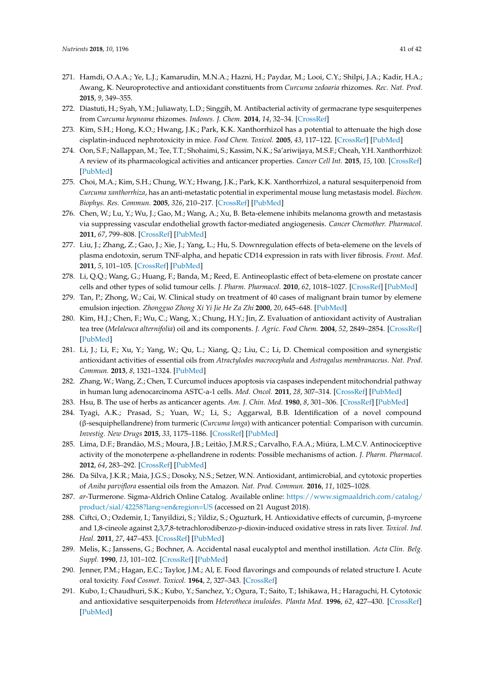- <span id="page-40-0"></span>271. Hamdi, O.A.A.; Ye, L.J.; Kamarudin, M.N.A.; Hazni, H.; Paydar, M.; Looi, C.Y.; Shilpi, J.A.; Kadir, H.A.; Awang, K. Neuroprotective and antioxidant constituents from *Curcuma zedoaria* rhizomes. *Rec. Nat. Prod.* **2015**, *9*, 349–355.
- <span id="page-40-1"></span>272. Diastuti, H.; Syah, Y.M.; Juliawaty, L.D.; Singgih, M. Antibacterial activity of germacrane type sesquiterpenes from *Curcuma heyneana* rhizomes. *Indones. J. Chem.* **2014**, *14*, 32–34. [\[CrossRef\]](http://dx.doi.org/10.22146/ijc.21264)
- <span id="page-40-2"></span>273. Kim, S.H.; Hong, K.O.; Hwang, J.K.; Park, K.K. Xanthorrhizol has a potential to attenuate the high dose cisplatin-induced nephrotoxicity in mice. *Food Chem. Toxicol.* **2005**, *43*, 117–122. [\[CrossRef\]](http://dx.doi.org/10.1016/j.fct.2004.08.018) [\[PubMed\]](http://www.ncbi.nlm.nih.gov/pubmed/15582203)
- <span id="page-40-3"></span>274. Oon, S.F.; Nallappan, M.; Tee, T.T.; Shohaimi, S.; Kassim, N.K.; Sa'ariwijaya, M.S.F.; Cheah, Y.H. Xanthorrhizol: A review of its pharmacological activities and anticancer properties. *Cancer Cell Int.* **2015**, *15*, 100. [\[CrossRef\]](http://dx.doi.org/10.1186/s12935-015-0255-4) [\[PubMed\]](http://www.ncbi.nlm.nih.gov/pubmed/26500452)
- <span id="page-40-4"></span>275. Choi, M.A.; Kim, S.H.; Chung, W.Y.; Hwang, J.K.; Park, K.K. Xanthorrhizol, a natural sesquiterpenoid from *Curcuma xanthorrhiza*, has an anti-metastatic potential in experimental mouse lung metastasis model. *Biochem. Biophys. Res. Commun.* **2005**, *326*, 210–217. [\[CrossRef\]](http://dx.doi.org/10.1016/j.bbrc.2004.11.020) [\[PubMed\]](http://www.ncbi.nlm.nih.gov/pubmed/15567173)
- <span id="page-40-5"></span>276. Chen, W.; Lu, Y.; Wu, J.; Gao, M.; Wang, A.; Xu, B. Beta-elemene inhibits melanoma growth and metastasis via suppressing vascular endothelial growth factor-mediated angiogenesis. *Cancer Chemother. Pharmacol.* **2011**, *67*, 799–808. [\[CrossRef\]](http://dx.doi.org/10.1007/s00280-010-1378-x) [\[PubMed\]](http://www.ncbi.nlm.nih.gov/pubmed/20563582)
- <span id="page-40-6"></span>277. Liu, J.; Zhang, Z.; Gao, J.; Xie, J.; Yang, L.; Hu, S. Downregulation effects of beta-elemene on the levels of plasma endotoxin, serum TNF-alpha, and hepatic CD14 expression in rats with liver fibrosis. *Front. Med.* **2011**, *5*, 101–105. [\[CrossRef\]](http://dx.doi.org/10.1007/s11684-011-0111-4) [\[PubMed\]](http://www.ncbi.nlm.nih.gov/pubmed/21681682)
- <span id="page-40-7"></span>278. Li, Q.Q.; Wang, G.; Huang, F.; Banda, M.; Reed, E. Antineoplastic effect of beta-elemene on prostate cancer cells and other types of solid tumour cells. *J. Pharm. Pharmacol.* **2010**, *62*, 1018–1027. [\[CrossRef\]](http://dx.doi.org/10.1111/j.2042-7158.2010.01135.x) [\[PubMed\]](http://www.ncbi.nlm.nih.gov/pubmed/20663036)
- <span id="page-40-8"></span>279. Tan, P.; Zhong, W.; Cai, W. Clinical study on treatment of 40 cases of malignant brain tumor by elemene emulsion injection. *Zhongguo Zhong Xi Yi Jie He Za Zhi* **2000**, *20*, 645–648. [\[PubMed\]](http://www.ncbi.nlm.nih.gov/pubmed/11789165)
- <span id="page-40-9"></span>280. Kim, H.J.; Chen, F.; Wu, C.; Wang, X.; Chung, H.Y.; Jin, Z. Evaluation of antioxidant activity of Australian tea tree (*Melaleuca alternifolia*) oil and its components. *J. Agric. Food Chem.* **2004**, *52*, 2849–2854. [\[CrossRef\]](http://dx.doi.org/10.1021/jf035377d) [\[PubMed\]](http://www.ncbi.nlm.nih.gov/pubmed/15137824)
- <span id="page-40-10"></span>281. Li, J.; Li, F.; Xu, Y.; Yang, W.; Qu, L.; Xiang, Q.; Liu, C.; Li, D. Chemical composition and synergistic antioxidant activities of essential oils from *Atractylodes macrocephala* and *Astragalus membranaceus*. *Nat. Prod. Commun.* **2013**, *8*, 1321–1324. [\[PubMed\]](http://www.ncbi.nlm.nih.gov/pubmed/24273876)
- <span id="page-40-11"></span>282. Zhang, W.; Wang, Z.; Chen, T. Curcumol induces apoptosis via caspases independent mitochondrial pathway in human lung adenocarcinoma ASTC-a-1 cells. *Med. Oncol.* **2011**, *28*, 307–314. [\[CrossRef\]](http://dx.doi.org/10.1007/s12032-010-9431-5) [\[PubMed\]](http://www.ncbi.nlm.nih.gov/pubmed/20127426)
- <span id="page-40-12"></span>283. Hsu, B. The use of herbs as anticancer agents. *Am. J. Chin. Med.* **1980**, *8*, 301–306. [\[CrossRef\]](http://dx.doi.org/10.1142/S0192415X80000281) [\[PubMed\]](http://www.ncbi.nlm.nih.gov/pubmed/7246474)
- <span id="page-40-13"></span>284. Tyagi, A.K.; Prasad, S.; Yuan, W.; Li, S.; Aggarwal, B.B. Identification of a novel compound (β-sesquiphellandrene) from turmeric (*Curcuma longa*) with anticancer potential: Comparison with curcumin. *Investig. New Drugs* **2015**, *33*, 1175–1186. [\[CrossRef\]](http://dx.doi.org/10.1007/s10637-015-0296-5) [\[PubMed\]](http://www.ncbi.nlm.nih.gov/pubmed/26521943)
- <span id="page-40-14"></span>285. Lima, D.F.; Brandão, M.S.; Moura, J.B.; Leitão, J.M.R.S.; Carvalho, F.A.A.; Miúra, L.M.C.V. Antinociceptive activity of the monoterpene α-phellandrene in rodents: Possible mechanisms of action. *J. Pharm. Pharmacol.* **2012**, *64*, 283–292. [\[CrossRef\]](http://dx.doi.org/10.1111/j.2042-7158.2011.01401.x) [\[PubMed\]](http://www.ncbi.nlm.nih.gov/pubmed/22221105)
- <span id="page-40-15"></span>286. Da Silva, J.K.R.; Maia, J.G.S.; Dosoky, N.S.; Setzer, W.N. Antioxidant, antimicrobial, and cytotoxic properties of *Aniba parviflora* essential oils from the Amazon. *Nat. Prod. Commun.* **2016**, *11*, 1025–1028.
- <span id="page-40-16"></span>287. *ar*-Turmerone. Sigma-Aldrich Online Catalog. Available online: [https://www.sigmaaldrich.com/catalog/](https://www.sigmaaldrich.com/catalog/product/sial/42258?lang=en®ion=US) [product/sial/42258?lang=en&region=US](https://www.sigmaaldrich.com/catalog/product/sial/42258?lang=en®ion=US) (accessed on 21 August 2018).
- <span id="page-40-17"></span>288. Ciftci, O.; Ozdemir, I.; Tanyildizi, S.; Yildiz, S.; Oguzturk, H. Antioxidative effects of curcumin, β-myrcene and 1,8-cineole against 2,3,7,8-tetrachlorodibenzo-*p*-dioxin-induced oxidative stress in rats liver. *Toxicol. Ind. Heal.* **2011**, *27*, 447–453. [\[CrossRef\]](http://dx.doi.org/10.1177/0748233710388452) [\[PubMed\]](http://www.ncbi.nlm.nih.gov/pubmed/21245202)
- <span id="page-40-18"></span>289. Melis, K.; Janssens, G.; Bochner, A. Accidental nasal eucalyptol and menthol instillation. *Acta Clin. Belg. Suppl.* **1990**, *13*, 101–102. [\[CrossRef\]](http://dx.doi.org/10.1007/BF00443114) [\[PubMed\]](http://www.ncbi.nlm.nih.gov/pubmed/2239060)
- <span id="page-40-19"></span>290. Jenner, P.M.; Hagan, E.C.; Taylor, J.M.; Al, E. Food flavorings and compounds of related structure I. Acute oral toxicity. *Food Cosmet. Toxicol.* **1964**, *2*, 327–343. [\[CrossRef\]](http://dx.doi.org/10.1016/S0015-6264(64)80192-9)
- <span id="page-40-20"></span>291. Kubo, I.; Chaudhuri, S.K.; Kubo, Y.; Sanchez, Y.; Ogura, T.; Saito, T.; Ishikawa, H.; Haraguchi, H. Cytotoxic and antioxidative sesquiterpenoids from *Heterotheca inuloides*. *Planta Med.* **1996**, *62*, 427–430. [\[CrossRef\]](http://dx.doi.org/10.1055/s-2006-957932) [\[PubMed\]](http://www.ncbi.nlm.nih.gov/pubmed/8923808)